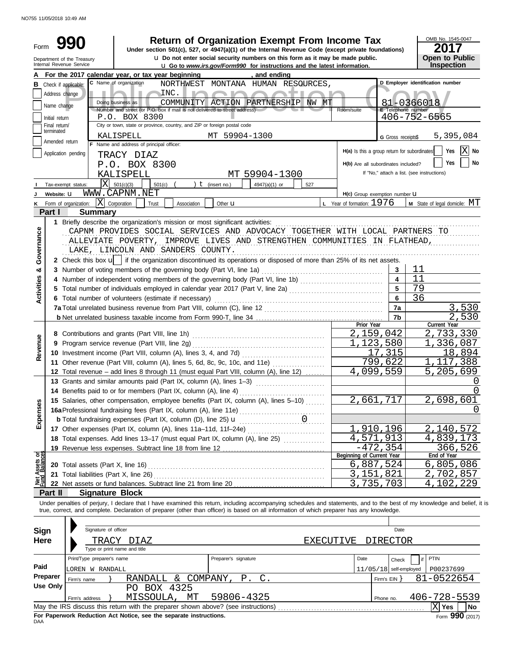NO755 11/05/2018 10:49 AM

| <b>Return of Organization Exempt From Income Tax</b><br>Form<br>Under section 501(c), 527, or 4947(a)(1) of the Internal Revenue Code (except private foundations) |                                                                                                                                                                                                                                                                          |                                                                                                                                                                                                                                                                                                                          |                                              |                          |                                            |  |  |  |  |  |  |
|--------------------------------------------------------------------------------------------------------------------------------------------------------------------|--------------------------------------------------------------------------------------------------------------------------------------------------------------------------------------------------------------------------------------------------------------------------|--------------------------------------------------------------------------------------------------------------------------------------------------------------------------------------------------------------------------------------------------------------------------------------------------------------------------|----------------------------------------------|--------------------------|--------------------------------------------|--|--|--|--|--|--|
|                                                                                                                                                                    | <b>Open to Public</b><br><b>u</b> Do not enter social security numbers on this form as it may be made public.<br>Department of the Treasury<br>Internal Revenue Service<br>Inspection<br><b>u</b> Go to www.irs.gov/Form990 for instructions and the latest information. |                                                                                                                                                                                                                                                                                                                          |                                              |                          |                                            |  |  |  |  |  |  |
| A                                                                                                                                                                  | For the 2017 calendar year, or tax year beginning<br>, and ending                                                                                                                                                                                                        |                                                                                                                                                                                                                                                                                                                          |                                              |                          |                                            |  |  |  |  |  |  |
|                                                                                                                                                                    |                                                                                                                                                                                                                                                                          | C Name of organization<br>NORTHWEST MONTANA HUMAN RESOURCES,<br><b>B</b> Check if applicable:                                                                                                                                                                                                                            |                                              |                          | D Emplover identification number           |  |  |  |  |  |  |
|                                                                                                                                                                    | Address change                                                                                                                                                                                                                                                           | INC.<br>.                                                                                                                                                                                                                                                                                                                |                                              |                          |                                            |  |  |  |  |  |  |
|                                                                                                                                                                    | Name change                                                                                                                                                                                                                                                              | Doing business as<br>COMMUNITY ACTION PARTNERSHIP NW MT<br>Number and street (or P.O. box if mail is not delivered to street address)                                                                                                                                                                                    | Room/suite                                   | E Telephone number       | 81-0366018                                 |  |  |  |  |  |  |
|                                                                                                                                                                    | Initial return                                                                                                                                                                                                                                                           | P.O. BOX 8300                                                                                                                                                                                                                                                                                                            |                                              |                          | $406 - 752 - 6565$                         |  |  |  |  |  |  |
|                                                                                                                                                                    | Final return/                                                                                                                                                                                                                                                            | City or town, state or province, country, and ZIP or foreign postal code                                                                                                                                                                                                                                                 |                                              |                          |                                            |  |  |  |  |  |  |
|                                                                                                                                                                    | terminated                                                                                                                                                                                                                                                               | MT 59904-1300<br>KALISPELL                                                                                                                                                                                                                                                                                               |                                              | G Gross receipts\$       | 5,395,084                                  |  |  |  |  |  |  |
|                                                                                                                                                                    | Amended return                                                                                                                                                                                                                                                           | F Name and address of principal officer:                                                                                                                                                                                                                                                                                 | H(a) Is this a group return for subordinates |                          | $ X $ No<br>Yes                            |  |  |  |  |  |  |
|                                                                                                                                                                    |                                                                                                                                                                                                                                                                          | Application pending<br>TRACY DIAZ                                                                                                                                                                                                                                                                                        |                                              |                          |                                            |  |  |  |  |  |  |
|                                                                                                                                                                    |                                                                                                                                                                                                                                                                          | P.O. BOX 8300                                                                                                                                                                                                                                                                                                            | H(b) Are all subordinates included?          |                          | Yes<br>No                                  |  |  |  |  |  |  |
|                                                                                                                                                                    |                                                                                                                                                                                                                                                                          | MT 59904-1300<br>KALISPELL                                                                                                                                                                                                                                                                                               |                                              |                          | If "No," attach a list. (see instructions) |  |  |  |  |  |  |
|                                                                                                                                                                    |                                                                                                                                                                                                                                                                          | X<br>501(c)(3)<br>$t$ (insert no.)<br>501(c)<br>4947(a)(1) or<br>527<br>Tax-exempt status:                                                                                                                                                                                                                               |                                              |                          |                                            |  |  |  |  |  |  |
|                                                                                                                                                                    | Website: U                                                                                                                                                                                                                                                               | WWW.CAPNM.NET                                                                                                                                                                                                                                                                                                            | H(c) Group exemption number LI               |                          |                                            |  |  |  |  |  |  |
|                                                                                                                                                                    |                                                                                                                                                                                                                                                                          | $\mathbf{X}$ Corporation<br>K Form of organization:<br>Other $\mathbf u$<br>Trust<br>Association                                                                                                                                                                                                                         | <b>L</b> Year of formation: $1976$           |                          | <b>M</b> State of legal domicile: $MT$     |  |  |  |  |  |  |
|                                                                                                                                                                    | Part I                                                                                                                                                                                                                                                                   | <b>Summary</b>                                                                                                                                                                                                                                                                                                           |                                              |                          |                                            |  |  |  |  |  |  |
|                                                                                                                                                                    |                                                                                                                                                                                                                                                                          | CAPNM PROVIDES SOCIAL SERVICES AND ADVOCACY TOGETHER WITH LOCAL PARTNERS TO                                                                                                                                                                                                                                              |                                              |                          |                                            |  |  |  |  |  |  |
| Governance                                                                                                                                                         |                                                                                                                                                                                                                                                                          | ALLEVIATE POVERTY,<br>IMPROVE LIVES AND STRENGTHEN COMMUNITIES IN FLATHEAD,                                                                                                                                                                                                                                              |                                              |                          |                                            |  |  |  |  |  |  |
|                                                                                                                                                                    |                                                                                                                                                                                                                                                                          | LAKE, LINCOLN AND SANDERS COUNTY.                                                                                                                                                                                                                                                                                        |                                              |                          |                                            |  |  |  |  |  |  |
|                                                                                                                                                                    |                                                                                                                                                                                                                                                                          | 2 Check this box u   if the organization discontinued its operations or disposed of more than 25% of its net assets.                                                                                                                                                                                                     |                                              |                          |                                            |  |  |  |  |  |  |
| න්                                                                                                                                                                 |                                                                                                                                                                                                                                                                          | 3 Number of voting members of the governing body (Part VI, line 1a)                                                                                                                                                                                                                                                      |                                              | 3                        | 11                                         |  |  |  |  |  |  |
|                                                                                                                                                                    |                                                                                                                                                                                                                                                                          |                                                                                                                                                                                                                                                                                                                          |                                              | $\overline{\mathbf{4}}$  | 11                                         |  |  |  |  |  |  |
| <b>Activities</b>                                                                                                                                                  |                                                                                                                                                                                                                                                                          | 5 Total number of individuals employed in calendar year 2017 (Part V, line 2a)                                                                                                                                                                                                                                           |                                              |                          | 79                                         |  |  |  |  |  |  |
|                                                                                                                                                                    |                                                                                                                                                                                                                                                                          | 6 Total number of volunteers (estimate if necessary)                                                                                                                                                                                                                                                                     |                                              | 6                        | 36                                         |  |  |  |  |  |  |
|                                                                                                                                                                    |                                                                                                                                                                                                                                                                          |                                                                                                                                                                                                                                                                                                                          |                                              | 7a                       | 3,530                                      |  |  |  |  |  |  |
|                                                                                                                                                                    |                                                                                                                                                                                                                                                                          |                                                                                                                                                                                                                                                                                                                          |                                              | 7b                       | 2,530                                      |  |  |  |  |  |  |
|                                                                                                                                                                    |                                                                                                                                                                                                                                                                          |                                                                                                                                                                                                                                                                                                                          | Prior Year                                   | 2,159,042                | Current Year<br>2,733,330                  |  |  |  |  |  |  |
| Revenue                                                                                                                                                            |                                                                                                                                                                                                                                                                          | 9 Program service revenue (Part VIII, line 2g)                                                                                                                                                                                                                                                                           |                                              | 1,123,580                | ,336,087                                   |  |  |  |  |  |  |
|                                                                                                                                                                    |                                                                                                                                                                                                                                                                          | 10 Investment income (Part VIII, column (A), lines 3, 4, and 7d)                                                                                                                                                                                                                                                         |                                              | 17,315                   | 18,894                                     |  |  |  |  |  |  |
|                                                                                                                                                                    |                                                                                                                                                                                                                                                                          |                                                                                                                                                                                                                                                                                                                          |                                              | 799,622                  | 117,388                                    |  |  |  |  |  |  |
|                                                                                                                                                                    |                                                                                                                                                                                                                                                                          | 12 Total revenue – add lines 8 through 11 (must equal Part VIII, column (A), line 12)                                                                                                                                                                                                                                    |                                              | 4,099,559                | 5,205,699                                  |  |  |  |  |  |  |
|                                                                                                                                                                    |                                                                                                                                                                                                                                                                          | 13 Grants and similar amounts paid (Part IX, column (A), lines 1-3)                                                                                                                                                                                                                                                      |                                              |                          | $\left( \right)$                           |  |  |  |  |  |  |
|                                                                                                                                                                    |                                                                                                                                                                                                                                                                          | 14 Benefits paid to or for members (Part IX, column (A), line 4)                                                                                                                                                                                                                                                         |                                              |                          | $\cup$                                     |  |  |  |  |  |  |
|                                                                                                                                                                    |                                                                                                                                                                                                                                                                          | 15 Salaries, other compensation, employee benefits (Part IX, column (A), lines 5-10)                                                                                                                                                                                                                                     |                                              | 2,661,717                | 2,698,601                                  |  |  |  |  |  |  |
| Expenses                                                                                                                                                           |                                                                                                                                                                                                                                                                          |                                                                                                                                                                                                                                                                                                                          |                                              |                          |                                            |  |  |  |  |  |  |
|                                                                                                                                                                    |                                                                                                                                                                                                                                                                          |                                                                                                                                                                                                                                                                                                                          |                                              |                          |                                            |  |  |  |  |  |  |
|                                                                                                                                                                    |                                                                                                                                                                                                                                                                          | 17 Other expenses (Part IX, column (A), lines 11a-11d, 11f-24e)                                                                                                                                                                                                                                                          |                                              | 1,910,196                | 2,140,572                                  |  |  |  |  |  |  |
|                                                                                                                                                                    |                                                                                                                                                                                                                                                                          |                                                                                                                                                                                                                                                                                                                          |                                              | 4,571,913                | 4,839,173                                  |  |  |  |  |  |  |
|                                                                                                                                                                    |                                                                                                                                                                                                                                                                          |                                                                                                                                                                                                                                                                                                                          | Beginning of Current Year                    | $-472, 354$              | 366,526<br>End of Year                     |  |  |  |  |  |  |
| Net Assets or<br>Fund Balances                                                                                                                                     |                                                                                                                                                                                                                                                                          |                                                                                                                                                                                                                                                                                                                          |                                              | 6,887,524                | 6,805,086                                  |  |  |  |  |  |  |
|                                                                                                                                                                    |                                                                                                                                                                                                                                                                          |                                                                                                                                                                                                                                                                                                                          |                                              | 3,151,821                | 2,702,857                                  |  |  |  |  |  |  |
|                                                                                                                                                                    |                                                                                                                                                                                                                                                                          |                                                                                                                                                                                                                                                                                                                          |                                              | 3,735,703                | 4,102,229                                  |  |  |  |  |  |  |
|                                                                                                                                                                    | Part II                                                                                                                                                                                                                                                                  | <b>Signature Block</b>                                                                                                                                                                                                                                                                                                   |                                              |                          |                                            |  |  |  |  |  |  |
|                                                                                                                                                                    |                                                                                                                                                                                                                                                                          | Under penalties of perjury, I declare that I have examined this return, including accompanying schedules and statements, and to the best of my knowledge and belief, it is<br>true, correct, and complete. Declaration of preparer (other than officer) is based on all information of which preparer has any knowledge. |                                              |                          |                                            |  |  |  |  |  |  |
|                                                                                                                                                                    |                                                                                                                                                                                                                                                                          |                                                                                                                                                                                                                                                                                                                          |                                              |                          |                                            |  |  |  |  |  |  |
| Sign                                                                                                                                                               |                                                                                                                                                                                                                                                                          | Signature of officer                                                                                                                                                                                                                                                                                                     |                                              | Date                     |                                            |  |  |  |  |  |  |
| <b>Here</b>                                                                                                                                                        |                                                                                                                                                                                                                                                                          | TRACY DIAZ                                                                                                                                                                                                                                                                                                               | <b>EXECUTIVE</b>                             | <b>DIRECTOR</b>          |                                            |  |  |  |  |  |  |
|                                                                                                                                                                    |                                                                                                                                                                                                                                                                          | Type or print name and title                                                                                                                                                                                                                                                                                             |                                              |                          |                                            |  |  |  |  |  |  |
|                                                                                                                                                                    |                                                                                                                                                                                                                                                                          | Print/Type preparer's name<br>Preparer's signature                                                                                                                                                                                                                                                                       | Date                                         | Check                    | PTIN                                       |  |  |  |  |  |  |
| Paid                                                                                                                                                               |                                                                                                                                                                                                                                                                          | LOREN W RANDALL                                                                                                                                                                                                                                                                                                          |                                              | $11/05/18$ self-employed | P00237699                                  |  |  |  |  |  |  |
|                                                                                                                                                                    | Preparer                                                                                                                                                                                                                                                                 | RANDALL & COMPANY,<br>$C$ .<br>$P$ .<br>Firm's name                                                                                                                                                                                                                                                                      |                                              | Firm's $EIN$ }           | 81-0522654                                 |  |  |  |  |  |  |
|                                                                                                                                                                    | <b>Use Only</b>                                                                                                                                                                                                                                                          | PO BOX 4325                                                                                                                                                                                                                                                                                                              |                                              |                          |                                            |  |  |  |  |  |  |
|                                                                                                                                                                    |                                                                                                                                                                                                                                                                          | MISSOULA,<br>59806-4325<br>MТ<br>Firm's address                                                                                                                                                                                                                                                                          |                                              | Phone no.                | 406-728-5539                               |  |  |  |  |  |  |
|                                                                                                                                                                    |                                                                                                                                                                                                                                                                          | May the IRS discuss this return with the preparer shown above? (see instructions)                                                                                                                                                                                                                                        |                                              |                          | $ X $ Yes<br>No                            |  |  |  |  |  |  |

| For Paperwork Reduction Act Notice, see the separate instructions. |  |  |
|--------------------------------------------------------------------|--|--|
| DAA                                                                |  |  |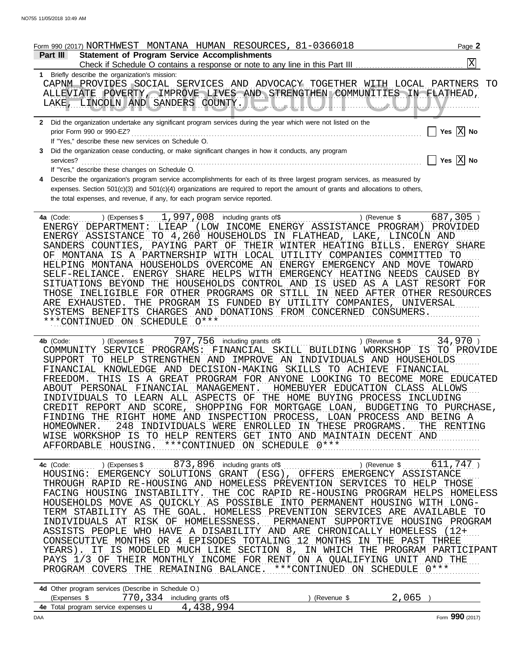| Form 990 (2017) NORTHWEST MONTANA HUMAN RESOURCES, 81-0366018                                                                                                                                                                                                                                                                                                                                                                                                                                                                                                                                                                                                                                                                                                                                                                                                                                                                                                                                                                              | Page 2                  |
|--------------------------------------------------------------------------------------------------------------------------------------------------------------------------------------------------------------------------------------------------------------------------------------------------------------------------------------------------------------------------------------------------------------------------------------------------------------------------------------------------------------------------------------------------------------------------------------------------------------------------------------------------------------------------------------------------------------------------------------------------------------------------------------------------------------------------------------------------------------------------------------------------------------------------------------------------------------------------------------------------------------------------------------------|-------------------------|
| <b>Statement of Program Service Accomplishments</b><br>Part III                                                                                                                                                                                                                                                                                                                                                                                                                                                                                                                                                                                                                                                                                                                                                                                                                                                                                                                                                                            | $\overline{\mathrm{x}}$ |
| 1 Briefly describe the organization's mission:                                                                                                                                                                                                                                                                                                                                                                                                                                                                                                                                                                                                                                                                                                                                                                                                                                                                                                                                                                                             |                         |
| CAPNM PROVIDES SOCIAL SERVICES AND ADVOCACY TOGETHER WITH LOCAL PARTNERS<br>ALLEVIATE POVERTY, IMPROVE LIVES AND STRENGTHEN COMMUNITIES IN FLATHEAD,<br>LAKE, LINCOLN AND SANDERS COUNTY JE LA LA LA LA LA LA LA LA LA LA LA LA                                                                                                                                                                                                                                                                                                                                                                                                                                                                                                                                                                                                                                                                                                                                                                                                            | TО                      |
| 2 Did the organization undertake any significant program services during the year which were not listed on the<br>prior Form 990 or 990-EZ?<br>If "Yes," describe these new services on Schedule O.                                                                                                                                                                                                                                                                                                                                                                                                                                                                                                                                                                                                                                                                                                                                                                                                                                        | Yes $X$ No              |
| Did the organization cease conducting, or make significant changes in how it conducts, any program<br>3<br>services?                                                                                                                                                                                                                                                                                                                                                                                                                                                                                                                                                                                                                                                                                                                                                                                                                                                                                                                       | Yes $ X $ No            |
| If "Yes," describe these changes on Schedule O.                                                                                                                                                                                                                                                                                                                                                                                                                                                                                                                                                                                                                                                                                                                                                                                                                                                                                                                                                                                            |                         |
| Describe the organization's program service accomplishments for each of its three largest program services, as measured by                                                                                                                                                                                                                                                                                                                                                                                                                                                                                                                                                                                                                                                                                                                                                                                                                                                                                                                 |                         |
| expenses. Section 501(c)(3) and 501(c)(4) organizations are required to report the amount of grants and allocations to others,<br>the total expenses, and revenue, if any, for each program service reported.                                                                                                                                                                                                                                                                                                                                                                                                                                                                                                                                                                                                                                                                                                                                                                                                                              |                         |
| ) (Revenue \$ 687, 305)<br>4a (Code:<br>ENERGY DEPARTMENT: LIEAP (LOW INCOME ENERGY ASSISTANCE PROGRAM) PROVIDED<br>ENERGY ASSISTANCE TO 4,260 HOUSEHOLDS IN FLATHEAD, LAKE, LINCOLN AND<br>SANDERS COUNTIES, PAYING PART OF THEIR WINTER HEATING BILLS. ENERGY SHARE<br>OF MONTANA IS A PARTNERSHIP WITH LOCAL UTILITY COMPANIES COMMITTED TO<br>HELPING MONTANA HOUSEHOLDS OVERCOME AN ENERGY EMERGENCY AND MOVE<br>ENERGY SHARE HELPS WITH EMERGENCY HEATING NEEDS CAUSED BY<br>SELF-RELIANCE.<br>SITUATIONS BEYOND THE HOUSEHOLDS CONTROL AND IS USED AS A LAST RESORT FOR<br>THOSE INELIGIBLE FOR OTHER PROGRAMS OR STILL IN NEED AFTER OTHER RESOURCES<br>ARE EXHAUSTED. THE PROGRAM IS FUNDED BY UTILITY COMPANIES, UNIVERSAL<br>SYSTEMS BENEFITS CHARGES AND DONATIONS FROM CONCERNED CONSUMERS.<br>***CONTINUED ON SCHEDULE 0***                                                                                                                                                                                                  | TOWARD                  |
| ) (Expenses $\frac{1}{2}$ , $\frac{797}{756}$ including grants of $\frac{1}{2}$ , $\frac{1}{2}$ , $\frac{1}{2}$ , $\frac{1}{2}$<br>) (Revenue $\frac{1}{2}$ , $\ldots$ , $\ldots$<br>4b $(Code:$<br>COMMUNITY SERVICE PROGRAMS: FINANCIAL SKILL BUILDING WORKSHOP IS TO PROVIDE<br>SUPPORT TO HELP STRENGTHEN AND IMPROVE<br>INDIVIDUALS AND HOUSEHOLDS<br>AN<br>FINANCIAL KNOWLEDGE<br>AND DECISION-MAKING<br>SKILLS TO ACHIEVE<br>FINANCIAL<br>THIS IS A GREAT PROGRAM FOR ANYONE LOOKING TO BECOME MORE EDUCATED<br>FREEDOM.<br>ABOUT PERSONAL FINANCIAL MANAGEMENT. HOMEBUYER EDUCATION CLASS ALLOWS<br>INDIVIDUALS TO LEARN ALL ASPECTS OF THE HOME BUYING PROCESS INCLUDING<br>CREDIT REPORT AND SCORE, SHOPPING FOR MORTGAGE LOAN, BUDGETING TO PURCHASE,<br>FINDING THE RIGHT HOME AND INSPECTION PROCESS, LOAN PROCESS AND BEING A<br>248 INDIVIDUALS WERE ENROLLED IN THESE PROGRAMS.<br>HOMEOWNER.<br>WISE WORKSHOP IS TO HELP RENTERS GET INTO AND MAINTAIN DECENT AND<br>***CONTINUED ON SCHEDULE 0***<br>AFFORDABLE HOUSING. | 34,970)<br>THE RENTING  |
| ) (Revenue \$ 611, 747)<br>HOUSING: EMERGENCY SOLUTIONS GRANT (ESG), OFFERS EMERGENCY ASSISTANCE<br>THROUGH RAPID RE-HOUSING AND HOMELESS PREVENTION SERVICES TO HELP THOSE<br>FACING HOUSING INSTABILITY. THE COC RAPID RE-HOUSING PROGRAM HELPS HOMELESS<br>HOUSEHOLDS MOVE AS QUICKLY AS POSSIBLE INTO PERMANENT HOUSING WITH LONG-<br>TERM STABILITY AS THE GOAL.<br>HOMELESS PREVENTION SERVICES ARE AVAILABLE TO<br>INDIVIDUALS AT RISK OF HOMELESSNESS.<br>PERMANENT SUPPORTIVE HOUSING PROGRAM<br>ASSISTS PEOPLE WHO HAVE A DISABILITY AND ARE CHRONICALLY HOMELESS<br>CONSECUTIVE MONTHS OR 4 EPISODES TOTALING 12 MONTHS IN THE PAST THREE<br>YEARS). IT IS MODELED MUCH LIKE SECTION 8, IN WHICH THE PROGRAM PARTICIPANT<br>PAYS 1/3 OF THEIR MONTHLY INCOME FOR RENT ON A QUALIFYING UNIT AND THE<br>PROGRAM COVERS THE REMAINING BALANCE. *** CONTINUED ON SCHEDULE                                                                                                                                                           | $(12+)$<br>$0***$       |
| 4d Other program services (Describe in Schedule O.)                                                                                                                                                                                                                                                                                                                                                                                                                                                                                                                                                                                                                                                                                                                                                                                                                                                                                                                                                                                        |                         |

|            | (Expenses                                         | including grants of\$ | (Revenue) | י<br>▃             |
|------------|---------------------------------------------------|-----------------------|-----------|--------------------|
|            | <b>4e</b> Total program service expenses <b>u</b> |                       |           |                    |
| <b>DAA</b> |                                                   |                       |           | Form 990<br>(2017) |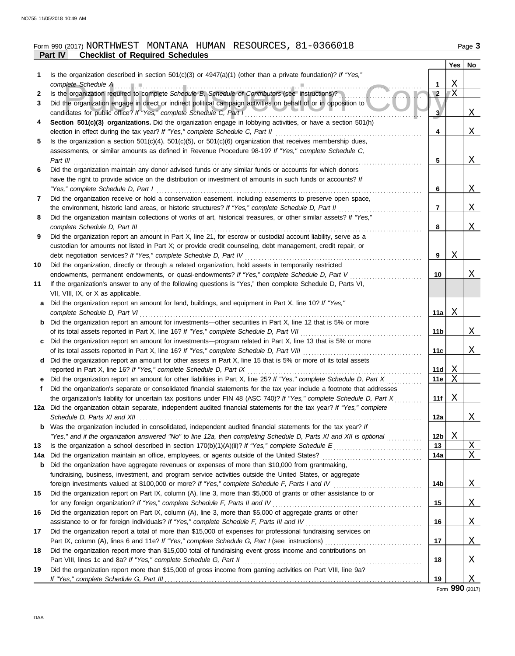| <b>Part IV</b> Checklist of Required Schedules                |  |  |        |
|---------------------------------------------------------------|--|--|--------|
| Form 990 (2017) NORTHWEST MONTANA HUMAN RESOURCES, 81-0366018 |  |  | Page 3 |

|     |                                                                                                                         |                         | Yes | No           |
|-----|-------------------------------------------------------------------------------------------------------------------------|-------------------------|-----|--------------|
| 1   | Is the organization described in section $501(c)(3)$ or $4947(a)(1)$ (other than a private foundation)? If "Yes,"       |                         |     |              |
|     |                                                                                                                         | 1                       | Χ   |              |
| 2   | Is the organization required to complete Schedule B, Schedule of Contributors (see instructions)?                       | $\overline{\mathbf{2}}$ | 7X  |              |
| 3   | Did the organization engage in direct or indirect political campaign activities on behalf of or in opposition to        |                         |     |              |
|     | candidates for public office? If "Yes," complete Schedule C, Part I                                                     | $\mathbf{3}$            |     | <u>X</u>     |
| 4   | Section 501(c)(3) organizations. Did the organization engage in lobbying activities, or have a section 501(h)           |                         |     |              |
|     |                                                                                                                         | 4                       |     | X            |
| 5   | Is the organization a section $501(c)(4)$ , $501(c)(5)$ , or $501(c)(6)$ organization that receives membership dues,    |                         |     |              |
|     | assessments, or similar amounts as defined in Revenue Procedure 98-19? If "Yes," complete Schedule C,                   |                         |     |              |
|     | Part III                                                                                                                | 5                       |     | $X_{-}$      |
| 6   | Did the organization maintain any donor advised funds or any similar funds or accounts for which donors                 |                         |     |              |
|     | have the right to provide advice on the distribution or investment of amounts in such funds or accounts? If             |                         |     |              |
|     |                                                                                                                         | 6                       |     | X            |
| 7   | Did the organization receive or hold a conservation easement, including easements to preserve open space,               |                         |     |              |
|     | the environment, historic land areas, or historic structures? If "Yes," complete Schedule D, Part II                    | 7                       |     | Χ            |
| 8   | Did the organization maintain collections of works of art, historical treasures, or other similar assets? If "Yes,"     |                         |     |              |
|     | complete Schedule D, Part III                                                                                           | 8                       |     | X            |
| 9   | Did the organization report an amount in Part X, line 21, for escrow or custodial account liability, serve as a         |                         |     |              |
|     | custodian for amounts not listed in Part X; or provide credit counseling, debt management, credit repair, or            |                         |     |              |
|     |                                                                                                                         | 9                       | X   |              |
| 10  | Did the organization, directly or through a related organization, hold assets in temporarily restricted                 |                         |     |              |
|     | endowments, permanent endowments, or quasi-endowments? If "Yes," complete Schedule D, Part V                            | 10                      |     | Χ            |
| 11  | If the organization's answer to any of the following questions is "Yes," then complete Schedule D, Parts VI,            |                         |     |              |
|     | VII, VIII, IX, or X as applicable.                                                                                      |                         |     |              |
|     | a Did the organization report an amount for land, buildings, and equipment in Part X, line 10? If "Yes,"                |                         |     |              |
|     | complete Schedule D, Part VI                                                                                            | 11a                     | Χ   |              |
|     | <b>b</b> Did the organization report an amount for investments—other securities in Part X, line 12 that is 5% or more   |                         |     |              |
|     |                                                                                                                         | 11b                     |     | Χ            |
|     | c Did the organization report an amount for investments—program related in Part X, line 13 that is 5% or more           |                         |     |              |
|     |                                                                                                                         | 11c                     |     | Χ            |
| d   | Did the organization report an amount for other assets in Part X, line 15 that is 5% or more of its total assets        |                         |     |              |
|     |                                                                                                                         | 11d                     | Χ   |              |
|     | e Did the organization report an amount for other liabilities in Part X, line 25? If "Yes," complete Schedule D, Part X | <b>11e</b>              | Χ   |              |
| f   | Did the organization's separate or consolidated financial statements for the tax year include a footnote that addresses |                         |     |              |
|     | the organization's liability for uncertain tax positions under FIN 48 (ASC 740)? If "Yes," complete Schedule D, Part X  | 11f                     | Χ   |              |
|     | 12a Did the organization obtain separate, independent audited financial statements for the tax year? If "Yes," complete |                         |     |              |
|     |                                                                                                                         | 12a                     |     | <u>X</u>     |
|     | <b>b</b> Was the organization included in consolidated, independent audited financial statements for the tax year? If   |                         |     |              |
|     | "Yes," and if the organization answered "No" to line 12a, then completing Schedule D, Parts XI and XII is optional      | 12 <sub>b</sub>         | Χ   |              |
| 13  |                                                                                                                         | 13                      |     | Χ            |
| 14a |                                                                                                                         | 14a                     |     | Χ            |
| b   | Did the organization have aggregate revenues or expenses of more than \$10,000 from grantmaking,                        |                         |     |              |
|     | fundraising, business, investment, and program service activities outside the United States, or aggregate               |                         |     |              |
|     |                                                                                                                         | 14b                     |     | Χ            |
| 15  | Did the organization report on Part IX, column (A), line 3, more than \$5,000 of grants or other assistance to or       |                         |     |              |
|     |                                                                                                                         | 15                      |     | <u>X</u>     |
| 16  | Did the organization report on Part IX, column (A), line 3, more than \$5,000 of aggregate grants or other              |                         |     |              |
|     |                                                                                                                         | 16                      |     | <u>X</u>     |
| 17  | Did the organization report a total of more than \$15,000 of expenses for professional fundraising services on          |                         |     |              |
|     |                                                                                                                         | 17                      |     | <u>X</u>     |
| 18  | Did the organization report more than \$15,000 total of fundraising event gross income and contributions on             |                         |     |              |
|     |                                                                                                                         | 18                      |     | Χ            |
| 19  | Did the organization report more than \$15,000 of gross income from gaming activities on Part VIII, line 9a?            |                         |     |              |
|     | If "Yes," complete Schedule G, Part III                                                                                 | 19                      |     | $\mathbf{X}$ |

Form **990** (2017)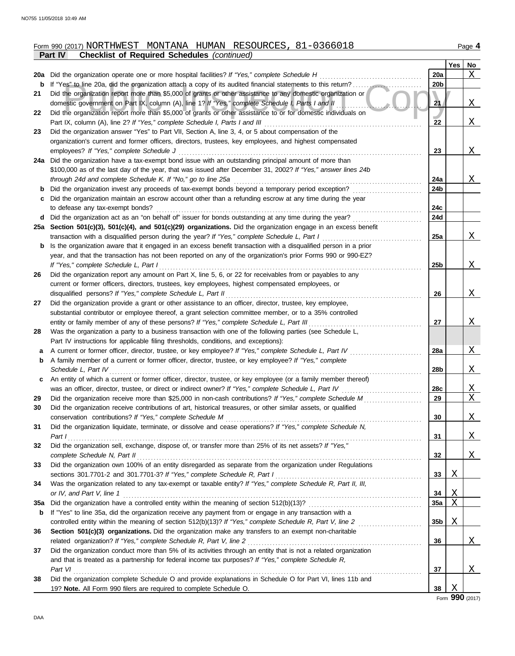|     | <b>Checklist of Required Schedules (continued)</b><br>Part IV                                                    |                 |             |          |
|-----|------------------------------------------------------------------------------------------------------------------|-----------------|-------------|----------|
|     |                                                                                                                  |                 | Yes         | No       |
| 20a | Did the organization operate one or more hospital facilities? If "Yes," complete Schedule H                      | 20a             |             | Χ        |
| b   | If "Yes" to line 20a, did the organization attach a copy of its audited financial statements to this return?     | 20 <sub>b</sub> |             |          |
| 21  | Did the organization report more than \$5,000 of grants or other assistance to any domestic organization or      |                 |             |          |
|     | domestic government on Part IX, column (A), line 1? If "Yes," complete Schedule I, Parts I and II                | 21              |             | Χ        |
| 22  | Did the organization report more than \$5,000 of grants or other assistance to or for domestic individuals on    |                 |             |          |
|     | Part IX, column (A), line 2? If "Yes," complete Schedule I, Parts I and III                                      | 22              |             | Χ        |
| 23  | Did the organization answer "Yes" to Part VII, Section A, line 3, 4, or 5 about compensation of the              |                 |             |          |
|     | organization's current and former officers, directors, trustees, key employees, and highest compensated          |                 |             |          |
|     | employees? If "Yes," complete Schedule J                                                                         | 23              |             | X        |
| 24a | Did the organization have a tax-exempt bond issue with an outstanding principal amount of more than              |                 |             |          |
|     | \$100,000 as of the last day of the year, that was issued after December 31, 2002? If "Yes," answer lines 24b    |                 |             |          |
|     | through 24d and complete Schedule K. If "No," go to line 25a                                                     | 24a             |             | Χ        |
| b   | Did the organization invest any proceeds of tax-exempt bonds beyond a temporary period exception?                | 24b             |             |          |
| с   | Did the organization maintain an escrow account other than a refunding escrow at any time during the year        |                 |             |          |
|     | to defease any tax-exempt bonds?                                                                                 | 24c             |             |          |
| d   | Did the organization act as an "on behalf of" issuer for bonds outstanding at any time during the year?          | 24d             |             |          |
| 25a | Section 501(c)(3), 501(c)(4), and 501(c)(29) organizations. Did the organization engage in an excess benefit     |                 |             |          |
|     | transaction with a disqualified person during the year? If "Yes," complete Schedule L, Part I                    | 25a             |             | X        |
| b   | Is the organization aware that it engaged in an excess benefit transaction with a disqualified person in a prior |                 |             |          |
|     | year, and that the transaction has not been reported on any of the organization's prior Forms 990 or 990-EZ?     |                 |             |          |
|     | If "Yes," complete Schedule L, Part I                                                                            | 25b             |             | X        |
| 26  | Did the organization report any amount on Part X, line 5, 6, or 22 for receivables from or payables to any       |                 |             |          |
|     | current or former officers, directors, trustees, key employees, highest compensated employees, or                |                 |             |          |
|     | disqualified persons? If "Yes," complete Schedule L, Part II                                                     | 26              |             | X        |
| 27  | Did the organization provide a grant or other assistance to an officer, director, trustee, key employee,         |                 |             |          |
|     | substantial contributor or employee thereof, a grant selection committee member, or to a 35% controlled          |                 |             |          |
|     | entity or family member of any of these persons? If "Yes," complete Schedule L, Part III                         | 27              |             | Χ        |
| 28  | Was the organization a party to a business transaction with one of the following parties (see Schedule L,        |                 |             |          |
|     | Part IV instructions for applicable filing thresholds, conditions, and exceptions):                              |                 |             |          |
| а   | A current or former officer, director, trustee, or key employee? If "Yes," complete Schedule L, Part IV          | 28a             |             | <u>X</u> |
| b   | A family member of a current or former officer, director, trustee, or key employee? If "Yes," complete           |                 |             |          |
|     | Schedule L, Part IV                                                                                              | 28b             |             | Χ        |
| c   | An entity of which a current or former officer, director, trustee, or key employee (or a family member thereof)  |                 |             |          |
|     | was an officer, director, trustee, or direct or indirect owner? If "Yes," complete Schedule L, Part IV           | 28c             |             | <u>X</u> |
| 29  | Did the organization receive more than \$25,000 in non-cash contributions? If "Yes," complete Schedule M         | 29              |             | X        |
|     | Did the organization receive contributions of art, historical treasures, or other similar assets, or qualified   |                 |             |          |
|     | conservation contributions? If "Yes," complete Schedule M                                                        | 30              |             | <u>X</u> |
| 31  | Did the organization liquidate, terminate, or dissolve and cease operations? If "Yes," complete Schedule N,      |                 |             |          |
|     | Part I                                                                                                           | 31              |             | Χ        |
| 32  | Did the organization sell, exchange, dispose of, or transfer more than 25% of its net assets? If "Yes,"          |                 |             |          |
|     | complete Schedule N, Part II                                                                                     | 32              |             | Χ        |
| 33  | Did the organization own 100% of an entity disregarded as separate from the organization under Regulations       |                 |             |          |
|     | sections 301.7701-2 and 301.7701-3? If "Yes," complete Schedule R, Part I                                        | 33              | Χ           |          |
| 34  | Was the organization related to any tax-exempt or taxable entity? If "Yes," complete Schedule R, Part II, III,   |                 |             |          |
|     | or IV, and Part V, line 1                                                                                        | 34              | $\mathbf X$ |          |
| 35a |                                                                                                                  | 35a             | X           |          |
| b   | If "Yes" to line 35a, did the organization receive any payment from or engage in any transaction with a          |                 |             |          |
|     |                                                                                                                  | 35 <sub>b</sub> | Χ           |          |
| 36  | Section 501(c)(3) organizations. Did the organization make any transfers to an exempt non-charitable             |                 |             |          |
|     | related organization? If "Yes," complete Schedule R, Part V, line 2                                              | 36              |             | X        |
| 37  | Did the organization conduct more than 5% of its activities through an entity that is not a related organization |                 |             |          |
|     | and that is treated as a partnership for federal income tax purposes? If "Yes," complete Schedule R,             |                 |             |          |
|     | Part VI                                                                                                          | 37              |             | Χ        |
| 38  | Did the organization complete Schedule O and provide explanations in Schedule O for Part VI, lines 11b and       |                 |             |          |
|     | 19? Note. All Form 990 filers are required to complete Schedule O.                                               | 38              | Χ           |          |

 $\overline{a}$ 

Form **990** (2017)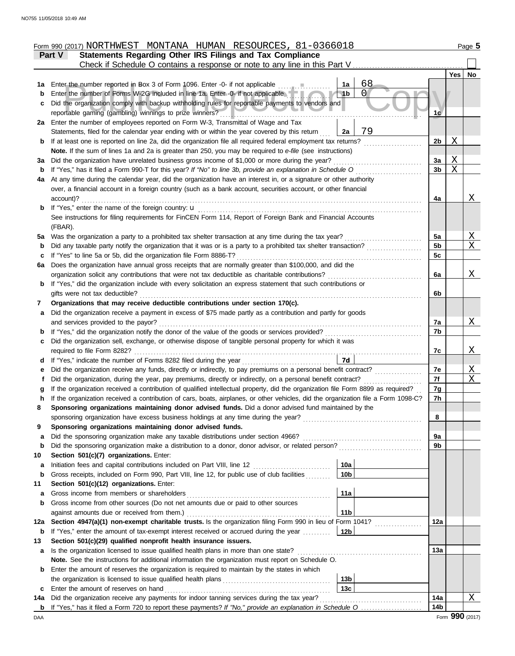|     | Form 990 (2017) NORTHWEST MONTANA HUMAN RESOURCES, 81-0366018                                                                                                                                                          |                |     | Page 5 |
|-----|------------------------------------------------------------------------------------------------------------------------------------------------------------------------------------------------------------------------|----------------|-----|--------|
|     | Statements Regarding Other IRS Filings and Tax Compliance<br><b>Part V</b>                                                                                                                                             |                |     |        |
|     | Check if Schedule O contains a response or note to any line in this Part V                                                                                                                                             |                |     |        |
|     |                                                                                                                                                                                                                        |                | Yes | No     |
| 1a  | 68<br>Enter the number reported in Box 3 of Form 1096. Enter -0- if not applicable<br>1a                                                                                                                               |                |     |        |
| b   | 0<br>Enter the number of Forms W-2G included in line 1a. Enter -0- if not applicable<br>1 <sub>b</sub>                                                                                                                 |                |     |        |
| c   | Did the organization comply with backup withholding rules for reportable payments to vendors and                                                                                                                       |                |     |        |
|     | reportable gaming (gambling) winnings to prize winners?                                                                                                                                                                | 1c/            |     |        |
| 2a  | Enter the number of employees reported on Form W-3, Transmittal of Wage and Tax                                                                                                                                        |                |     |        |
|     | 79<br>Statements, filed for the calendar year ending with or within the year covered by this return<br>2a                                                                                                              |                |     |        |
| b   | If at least one is reported on line 2a, did the organization file all required federal employment tax returns?                                                                                                         | 2 <sub>b</sub> | Χ   |        |
|     | Note. If the sum of lines 1a and 2a is greater than 250, you may be required to e-file (see instructions)                                                                                                              |                |     |        |
| За  | Did the organization have unrelated business gross income of \$1,000 or more during the year?                                                                                                                          | 3a             | X   |        |
| b   | If "Yes," has it filed a Form 990-T for this year? If "No" to line 3b, provide an explanation in Schedule O                                                                                                            | 3 <sub>b</sub> | X   |        |
| 4a  | At any time during the calendar year, did the organization have an interest in, or a signature or other authority                                                                                                      |                |     |        |
|     | over, a financial account in a foreign country (such as a bank account, securities account, or other financial                                                                                                         |                |     |        |
|     | account)?                                                                                                                                                                                                              | 4a             |     | Χ      |
| b   | If "Yes," enter the name of the foreign country: u                                                                                                                                                                     |                |     |        |
|     | See instructions for filing requirements for FinCEN Form 114, Report of Foreign Bank and Financial Accounts                                                                                                            |                |     |        |
|     | (FBAR).                                                                                                                                                                                                                |                |     |        |
| 5а  | Was the organization a party to a prohibited tax shelter transaction at any time during the tax year?                                                                                                                  | 5a             |     | Χ      |
| b   | Did any taxable party notify the organization that it was or is a party to a prohibited tax shelter transaction?                                                                                                       | 5 <sub>b</sub> |     | X      |
| c   | If "Yes" to line 5a or 5b, did the organization file Form 8886-T?                                                                                                                                                      | 5c             |     |        |
| 6a  | Does the organization have annual gross receipts that are normally greater than \$100,000, and did the                                                                                                                 |                |     |        |
|     | organization solicit any contributions that were not tax deductible as charitable contributions?                                                                                                                       | 6a             |     | Χ      |
| b   | If "Yes," did the organization include with every solicitation an express statement that such contributions or                                                                                                         |                |     |        |
|     | gifts were not tax deductible?                                                                                                                                                                                         | 6b             |     |        |
|     | Organizations that may receive deductible contributions under section 170(c).                                                                                                                                          |                |     |        |
| 7   | Did the organization receive a payment in excess of \$75 made partly as a contribution and partly for goods                                                                                                            |                |     |        |
| a   | and services provided to the payor?                                                                                                                                                                                    | 7a             |     | Χ      |
| b   |                                                                                                                                                                                                                        | 7b             |     |        |
| c   | Did the organization sell, exchange, or otherwise dispose of tangible personal property for which it was                                                                                                               |                |     |        |
|     | required to file Form 8282?                                                                                                                                                                                            | 7c             |     | X      |
| d   | If "Yes," indicate the number of Forms 8282 filed during the year<br>7d                                                                                                                                                |                |     |        |
| е   | Did the organization receive any funds, directly or indirectly, to pay premiums on a personal benefit contract?                                                                                                        | 7е             |     | Χ      |
|     | Did the organization, during the year, pay premiums, directly or indirectly, on a personal benefit contract?                                                                                                           | 7f             |     | X      |
|     | If the organization received a contribution of qualified intellectual property, did the organization file Form 8899 as required?                                                                                       | 7g             |     |        |
|     | If the organization received a contribution of cars, boats, airplanes, or other vehicles, did the organization file a Form 1098-C?                                                                                     | 7h             |     |        |
| 8   | Sponsoring organizations maintaining donor advised funds. Did a donor advised fund maintained by the                                                                                                                   |                |     |        |
|     | sponsoring organization have excess business holdings at any time during the year?                                                                                                                                     | 8              |     |        |
| 9   | Sponsoring organizations maintaining donor advised funds.                                                                                                                                                              |                |     |        |
| a   | Did the sponsoring organization make any taxable distributions under section 4966?                                                                                                                                     | 9а             |     |        |
| b   | Did the sponsoring organization make a distribution to a donor, donor advisor, or related person?                                                                                                                      | 9b             |     |        |
| 10  | Section 501(c)(7) organizations. Enter:                                                                                                                                                                                |                |     |        |
| a   | 10a                                                                                                                                                                                                                    |                |     |        |
| b   | Gross receipts, included on Form 990, Part VIII, line 12, for public use of club facilities<br>10 <sub>b</sub>                                                                                                         |                |     |        |
| 11  | Section 501(c)(12) organizations. Enter:                                                                                                                                                                               |                |     |        |
| a   | 11a<br>Gross income from members or shareholders                                                                                                                                                                       |                |     |        |
| b   | Gross income from other sources (Do not net amounts due or paid to other sources                                                                                                                                       |                |     |        |
|     | against amounts due or received from them.)<br>11 <sub>b</sub>                                                                                                                                                         |                |     |        |
|     |                                                                                                                                                                                                                        |                |     |        |
| 12a | Section 4947(a)(1) non-exempt charitable trusts. Is the organization filing Form 990 in lieu of Form 1041?<br>12 <sub>b</sub><br>If "Yes," enter the amount of tax-exempt interest received or accrued during the year | 12a            |     |        |
| b   |                                                                                                                                                                                                                        |                |     |        |
| 13  | Section 501(c)(29) qualified nonprofit health insurance issuers.                                                                                                                                                       |                |     |        |
| a   | Is the organization licensed to issue qualified health plans in more than one state?                                                                                                                                   | 13а            |     |        |
|     | Note. See the instructions for additional information the organization must report on Schedule O.                                                                                                                      |                |     |        |
| b   | Enter the amount of reserves the organization is required to maintain by the states in which                                                                                                                           |                |     |        |
|     | 13 <sub>b</sub>                                                                                                                                                                                                        |                |     |        |
| c   | 13c<br>Enter the amount of reserves on hand                                                                                                                                                                            |                |     |        |
| 14a | Did the organization receive any payments for indoor tanning services during the tax year?                                                                                                                             | 14a            |     | Χ      |
|     | <b>b</b> If "Yes," has it filed a Form 720 to report these payments? If "No," provide an explanation in Schedule O                                                                                                     | 14b            |     |        |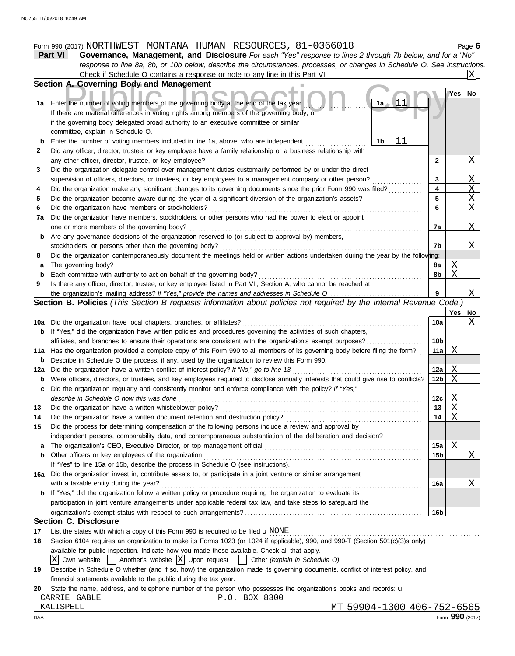## Form 990 (2017) NORTHWEST MONTANA HUMAN RESOURCES, 81-0366018

**Part VI Governance, Management, and Disclosure** *For each "Yes" response to lines 2 through 7b below, and for a "No" response to line 8a, 8b, or 10b below, describe the circumstances, processes, or changes in Schedule O. See instructions.* Check if Schedule O contains a response or note to any line in this Part VI . . . . . . . . . . . . . . . . . . . . . . . . . . . . . . . . . . . . . . . . . . . . . . . . . X

|     | Section A. Governing Body and Management                                                                                                                                                                                |                 |                         |                       |
|-----|-------------------------------------------------------------------------------------------------------------------------------------------------------------------------------------------------------------------------|-----------------|-------------------------|-----------------------|
|     |                                                                                                                                                                                                                         |                 | Yes                     | No.                   |
| 1a  | $\blacksquare$ 1<br>1a<br>Enter the number of voting members of the governing body at the end of the tax year                                                                                                           |                 |                         |                       |
|     | If there are material differences in voting rights among members of the governing body, or                                                                                                                              |                 |                         |                       |
|     | if the governing body delegated broad authority to an executive committee or similar                                                                                                                                    |                 |                         |                       |
|     | committee, explain in Schedule O.                                                                                                                                                                                       |                 |                         |                       |
|     | 11<br>Enter the number of voting members included in line 1a, above, who are independent<br>1b                                                                                                                          |                 |                         |                       |
| 2   | Did any officer, director, trustee, or key employee have a family relationship or a business relationship with                                                                                                          |                 |                         |                       |
|     | any other officer, director, trustee, or key employee?                                                                                                                                                                  | $\mathbf{2}$    |                         | Χ                     |
| 3   | Did the organization delegate control over management duties customarily performed by or under the direct                                                                                                               |                 |                         |                       |
|     | supervision of officers, directors, or trustees, or key employees to a management company or other person?                                                                                                              | 3               |                         | X                     |
| 4   | Did the organization make any significant changes to its governing documents since the prior Form 990 was filed?                                                                                                        | 4               |                         | $\overline{\text{X}}$ |
| 5   | Did the organization become aware during the year of a significant diversion of the organization's assets?                                                                                                              | 5               |                         | $\mathbf X$           |
| 6   | Did the organization have members or stockholders?                                                                                                                                                                      | 6               |                         | $\mathbf X$           |
| 7a  | Did the organization have members, stockholders, or other persons who had the power to elect or appoint                                                                                                                 |                 |                         |                       |
|     | one or more members of the governing body?                                                                                                                                                                              | 7a              |                         | Χ                     |
| b   | Are any governance decisions of the organization reserved to (or subject to approval by) members,                                                                                                                       |                 |                         |                       |
|     | stockholders, or persons other than the governing body?                                                                                                                                                                 | 7b              |                         | Χ                     |
| 8   | Did the organization contemporaneously document the meetings held or written actions undertaken during the year by the following:                                                                                       |                 |                         |                       |
| а   | The governing body?                                                                                                                                                                                                     | 8a              | <u>х</u>                |                       |
| b   | Each committee with authority to act on behalf of the governing body?                                                                                                                                                   | 8b              | X                       |                       |
| 9   | Is there any officer, director, trustee, or key employee listed in Part VII, Section A, who cannot be reached at                                                                                                        |                 |                         |                       |
|     |                                                                                                                                                                                                                         | 9               |                         | Χ                     |
|     | Section B. Policies (This Section B requests information about policies not required by the Internal Revenue Code.)                                                                                                     |                 |                         |                       |
|     |                                                                                                                                                                                                                         |                 | <b>Yes</b>              | No                    |
| 10a | Did the organization have local chapters, branches, or affiliates?                                                                                                                                                      | 10a             |                         | Χ                     |
| b   | If "Yes," did the organization have written policies and procedures governing the activities of such chapters,                                                                                                          |                 |                         |                       |
|     | affiliates, and branches to ensure their operations are consistent with the organization's exempt purposes?                                                                                                             | 10b             |                         |                       |
| 11a | Has the organization provided a complete copy of this Form 990 to all members of its governing body before filing the form?                                                                                             | 11a             | X                       |                       |
| b   | Describe in Schedule O the process, if any, used by the organization to review this Form 990.                                                                                                                           |                 |                         |                       |
| 12a | Did the organization have a written conflict of interest policy? If "No," go to line 13                                                                                                                                 | 12a             | $\overline{\mathrm{X}}$ |                       |
| b   | Were officers, directors, or trustees, and key employees required to disclose annually interests that could give rise to conflicts?                                                                                     | 12 <sub>b</sub> | X                       |                       |
| c   | Did the organization regularly and consistently monitor and enforce compliance with the policy? If "Yes,"                                                                                                               |                 |                         |                       |
|     | describe in Schedule O how this was done                                                                                                                                                                                | 12c             | Χ                       |                       |
| 13  | Did the organization have a written whistleblower policy?                                                                                                                                                               | 13              | X<br>X                  |                       |
| 14  | Did the organization have a written document retention and destruction policy?                                                                                                                                          | 14              |                         |                       |
| 15  | Did the process for determining compensation of the following persons include a review and approval by<br>independent persons, comparability data, and contemporaneous substantiation of the deliberation and decision? |                 |                         |                       |
|     | The organization's CEO, Executive Director, or top management official                                                                                                                                                  | 15a             | Χ                       |                       |
| b   | Other officers or key employees of the organization                                                                                                                                                                     | 15b             |                         | <u>X</u>              |
|     | If "Yes" to line 15a or 15b, describe the process in Schedule O (see instructions).                                                                                                                                     |                 |                         |                       |
| 16а | Did the organization invest in, contribute assets to, or participate in a joint venture or similar arrangement                                                                                                          |                 |                         |                       |
|     | with a taxable entity during the year?                                                                                                                                                                                  | 16a             |                         | <u>X</u>              |
| b   | If "Yes," did the organization follow a written policy or procedure requiring the organization to evaluate its                                                                                                          |                 |                         |                       |
|     | participation in joint venture arrangements under applicable federal tax law, and take steps to safeguard the                                                                                                           |                 |                         |                       |
|     |                                                                                                                                                                                                                         | 16b             |                         |                       |
|     | <b>Section C. Disclosure</b>                                                                                                                                                                                            |                 |                         |                       |
| 17  | List the states with which a copy of this Form 990 is required to be filed $\mathbf u$ NONE                                                                                                                             |                 |                         |                       |
| 18  | Section 6104 requires an organization to make its Forms 1023 (or 1024 if applicable), 990, and 990-T (Section 501(c)(3)s only)                                                                                          |                 |                         |                       |
|     | available for public inspection. Indicate how you made these available. Check all that apply.                                                                                                                           |                 |                         |                       |
|     | Another's website $ X $ Upon request<br>Own website<br>Other (explain in Schedule O)                                                                                                                                    |                 |                         |                       |
| 19  | Describe in Schedule O whether (and if so, how) the organization made its governing documents, conflict of interest policy, and                                                                                         |                 |                         |                       |

| financial statements available to the public during the tax year. |
|-------------------------------------------------------------------|
|-------------------------------------------------------------------|

| 20 State the name, address, and telephone number of the person who possesses the organization's books and records: u |  |  |  |  |  |  |  |
|----------------------------------------------------------------------------------------------------------------------|--|--|--|--|--|--|--|
|                                                                                                                      |  |  |  |  |  |  |  |

| CARRIE GABLE |  | P.O. BOX 8300 |  |
|--------------|--|---------------|--|
|              |  |               |  |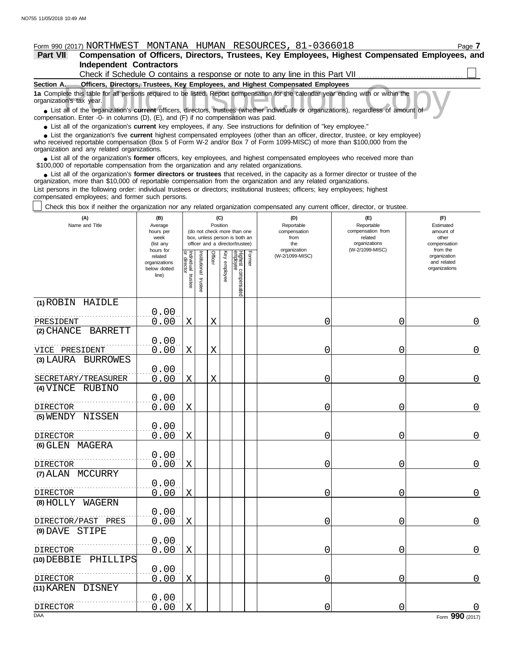## NORTHWEST MONTANA HUMAN RESOURCES, 81-0366018

| Form 990 (2017) NORTHWEST MONTANA HUMAN RESOURCES, 81-0366018                                                                                                                                                                                                                                              |                          |                           |              |         |          |                                                                  |        |                                                                                                  |                                 | Page 7                      |  |
|------------------------------------------------------------------------------------------------------------------------------------------------------------------------------------------------------------------------------------------------------------------------------------------------------------|--------------------------|---------------------------|--------------|---------|----------|------------------------------------------------------------------|--------|--------------------------------------------------------------------------------------------------|---------------------------------|-----------------------------|--|
| Part VII                                                                                                                                                                                                                                                                                                   |                          |                           |              |         |          |                                                                  |        | Compensation of Officers, Directors, Trustees, Key Employees, Highest Compensated Employees, and |                                 |                             |  |
| <b>Independent Contractors</b>                                                                                                                                                                                                                                                                             |                          |                           |              |         |          |                                                                  |        |                                                                                                  |                                 |                             |  |
|                                                                                                                                                                                                                                                                                                            |                          |                           |              |         |          |                                                                  |        | Check if Schedule O contains a response or note to any line in this Part VII                     |                                 |                             |  |
| Section A.                                                                                                                                                                                                                                                                                                 |                          |                           |              |         |          |                                                                  |        | Officers, Directors, Trustees, Key Employees, and Highest Compensated Employees                  |                                 |                             |  |
| 1a Complete this table for all persons required to be listed. Report compensation for the calendar year ending with or within the<br>organization's tax year.                                                                                                                                              |                          |                           |              |         |          |                                                                  |        |                                                                                                  |                                 |                             |  |
| • List all of the organization's current officers, directors, trustees (whether individuals or organizations), regardless of amount of<br>compensation. Enter -0- in columns (D), (E), and (F) if no compensation was paid.                                                                                |                          |                           |              |         |          |                                                                  |        |                                                                                                  |                                 |                             |  |
| • List all of the organization's current key employees, if any. See instructions for definition of "key employee."                                                                                                                                                                                         |                          |                           |              |         |          |                                                                  |        |                                                                                                  |                                 |                             |  |
| • List the organization's five current highest compensated employees (other than an officer, director, trustee, or key employee)<br>who received reportable compensation (Box 5 of Form W-2 and/or Box 7 of Form 1099-MISC) of more than \$100,000 from the<br>organization and any related organizations. |                          |                           |              |         |          |                                                                  |        |                                                                                                  |                                 |                             |  |
| • List all of the organization's former officers, key employees, and highest compensated employees who received more than<br>\$100,000 of reportable compensation from the organization and any related organizations.                                                                                     |                          |                           |              |         |          |                                                                  |        |                                                                                                  |                                 |                             |  |
| • List all of the organization's former directors or trustees that received, in the capacity as a former director or trustee of the<br>organization, more than \$10,000 of reportable compensation from the organization and any related organizations.                                                    |                          |                           |              |         |          |                                                                  |        |                                                                                                  |                                 |                             |  |
| List persons in the following order: individual trustees or directors; institutional trustees; officers; key employees; highest<br>compensated employees; and former such persons.                                                                                                                         |                          |                           |              |         |          |                                                                  |        |                                                                                                  |                                 |                             |  |
| Check this box if neither the organization nor any related organization compensated any current officer, director, or trustee.                                                                                                                                                                             |                          |                           |              |         |          |                                                                  |        |                                                                                                  |                                 |                             |  |
| (A)                                                                                                                                                                                                                                                                                                        | (B)                      |                           |              |         | (C)      |                                                                  |        | (D)                                                                                              | (E)                             | (F)                         |  |
| Name and Title                                                                                                                                                                                                                                                                                             | Average<br>hours per     |                           |              |         | Position | (do not check more than one                                      |        | Reportable<br>compensation                                                                       | Reportable<br>compensation from | Estimated<br>amount of      |  |
|                                                                                                                                                                                                                                                                                                            | week<br>(list any        |                           |              |         |          | box, unless person is both an<br>officer and a director/trustee) |        | from<br>the                                                                                      | related<br>organizations        | other<br>compensation       |  |
|                                                                                                                                                                                                                                                                                                            | hours for                |                           |              |         |          |                                                                  |        | organization                                                                                     | (W-2/1099-MISC)                 | from the                    |  |
|                                                                                                                                                                                                                                                                                                            | related<br>organizations | Individual<br>or director | nstitutional | Officer | Key      |                                                                  | Former | (W-2/1099-MISC)                                                                                  |                                 | organization<br>and related |  |
|                                                                                                                                                                                                                                                                                                            | below dotted             |                           |              |         | employee |                                                                  |        |                                                                                                  |                                 | organizations               |  |
|                                                                                                                                                                                                                                                                                                            | line)                    | trustee                   |              |         |          |                                                                  |        |                                                                                                  |                                 |                             |  |
|                                                                                                                                                                                                                                                                                                            |                          |                           | trustee      |         |          | Highest compensated<br>employee                                  |        |                                                                                                  |                                 |                             |  |
| $(1)$ ROBIN<br>HAIDLE                                                                                                                                                                                                                                                                                      |                          |                           |              |         |          |                                                                  |        |                                                                                                  |                                 |                             |  |
|                                                                                                                                                                                                                                                                                                            | 0.00                     |                           |              |         |          |                                                                  |        |                                                                                                  |                                 |                             |  |
| PRESIDENT                                                                                                                                                                                                                                                                                                  | 0.00                     | X                         |              | X       |          |                                                                  |        | 0                                                                                                | 0                               | 0                           |  |
| (2) CHANCE<br>BARRETT                                                                                                                                                                                                                                                                                      |                          |                           |              |         |          |                                                                  |        |                                                                                                  |                                 |                             |  |
|                                                                                                                                                                                                                                                                                                            | 0.00                     |                           |              |         |          |                                                                  |        |                                                                                                  |                                 |                             |  |
| VICE PRESIDENT                                                                                                                                                                                                                                                                                             | 0.00                     | X                         |              | X       |          |                                                                  |        | 0                                                                                                | $\overline{0}$                  | 0                           |  |
| $(3)$ LAURA<br>BURROWES                                                                                                                                                                                                                                                                                    |                          |                           |              |         |          |                                                                  |        |                                                                                                  |                                 |                             |  |
|                                                                                                                                                                                                                                                                                                            | 0.00                     |                           |              |         |          |                                                                  |        |                                                                                                  |                                 |                             |  |
| SECRETARY/TREASURER                                                                                                                                                                                                                                                                                        | 0.00                     | X                         |              | X       |          |                                                                  |        | 0                                                                                                | 0                               | 0                           |  |
| $(4)$ VINCE<br>RUBINO                                                                                                                                                                                                                                                                                      |                          |                           |              |         |          |                                                                  |        |                                                                                                  |                                 |                             |  |
| DIRECTOR                                                                                                                                                                                                                                                                                                   | 0.00<br>0.00             | X                         |              |         |          |                                                                  |        | 0                                                                                                | 0                               | 0                           |  |
| (5) WENDY NISSEN                                                                                                                                                                                                                                                                                           |                          |                           |              |         |          |                                                                  |        |                                                                                                  |                                 |                             |  |
|                                                                                                                                                                                                                                                                                                            | 0.00                     |                           |              |         |          |                                                                  |        |                                                                                                  |                                 |                             |  |
| <b>DIRECTOR</b>                                                                                                                                                                                                                                                                                            | 0.00                     | $\mathsf{X}$              |              |         |          |                                                                  |        | 0                                                                                                | $\Omega$                        | 0                           |  |

|                      | 0.00 |   |          |   |                 |
|----------------------|------|---|----------|---|-----------------|
| <b>DIRECTOR</b>      | 0.00 | Χ | 0        | 0 | 0               |
| (6) GLEN MAGERA      |      |   |          |   |                 |
|                      | 0.00 |   |          |   |                 |
| DIRECTOR             | 0.00 | Χ | 0        | 0 | 0               |
| (7) ALAN MCCURRY     |      |   |          |   |                 |
|                      | 0.00 |   |          |   |                 |
| <b>DIRECTOR</b>      | 0.00 | X | 0        | 0 | 0               |
| (8) HOLLY WAGERN     |      |   |          |   |                 |
|                      | 0.00 |   |          |   |                 |
| DIRECTOR/PAST PRES   | 0.00 | X | $\Omega$ | 0 | 0               |
| (9) DAVE STIPE       |      |   |          |   |                 |
|                      | 0.00 |   |          |   |                 |
| <b>DIRECTOR</b>      | 0.00 | X | O        | 0 | 0               |
| (10) DEBBIE PHILLIPS |      |   |          |   |                 |
|                      | 0.00 |   |          |   |                 |
| <b>DIRECTOR</b>      | 0.00 | Χ |          | U | 0               |
| (11) KAREN<br>DISNEY |      |   |          |   |                 |
|                      | 0.00 |   |          |   |                 |
| <b>DIRECTOR</b>      | 0.00 | Χ |          | 0 | 0               |
| <b>DAA</b>           |      |   |          |   | Form 990 (2017) |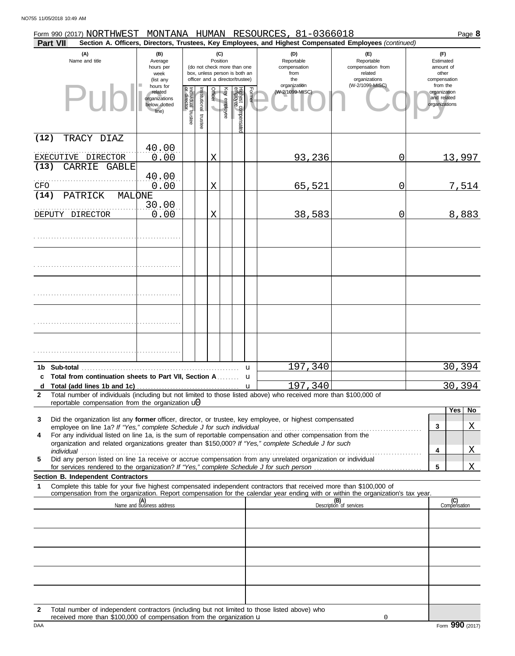|              | Form 990 (2017) NORTHWEST MONTANA HUMAN RESOURCES, 81-0366018                                                                                                                                                                                          |                                                                |                                   |                       |                 |              |                                                                                                 |        |                                                  |                                                                                                        | Page 8                                                   |
|--------------|--------------------------------------------------------------------------------------------------------------------------------------------------------------------------------------------------------------------------------------------------------|----------------------------------------------------------------|-----------------------------------|-----------------------|-----------------|--------------|-------------------------------------------------------------------------------------------------|--------|--------------------------------------------------|--------------------------------------------------------------------------------------------------------|----------------------------------------------------------|
|              | Part VII                                                                                                                                                                                                                                               |                                                                |                                   |                       |                 |              |                                                                                                 |        |                                                  | Section A. Officers, Directors, Trustees, Key Employees, and Highest Compensated Employees (continued) |                                                          |
|              | (A)<br>Name and title                                                                                                                                                                                                                                  | (B)<br>Average<br>hours per<br>week<br>(list any               |                                   |                       | (C)<br>Position |              | (do not check more than one<br>box, unless person is both an<br>officer and a director/trustee) |        | (D)<br>Reportable<br>compensation<br>from<br>the | (E)<br>Reportable<br>compensation from<br>related<br>organizations                                     | (F)<br>Estimated<br>amount of<br>other<br>compensation   |
|              | Puh                                                                                                                                                                                                                                                    | hours for<br>related<br>organizations<br>below dotted<br>line) | Individual trustee<br>or director | Institutional trustee | Officer         | Key employee | Highest compensatec<br>employee                                                                 | Former | organization<br>(W-2/1099-MISC)                  | (W-2/1099-MISC)                                                                                        | from the<br>organization<br>and related<br>organizations |
| (12)         | TRACY DIAZ                                                                                                                                                                                                                                             |                                                                |                                   |                       |                 |              |                                                                                                 |        |                                                  |                                                                                                        |                                                          |
|              |                                                                                                                                                                                                                                                        | 40.00                                                          |                                   |                       |                 |              |                                                                                                 |        |                                                  |                                                                                                        |                                                          |
| (13)         | EXECUTIVE DIRECTOR<br>CARRIE GABLE                                                                                                                                                                                                                     | 0.00                                                           |                                   |                       | X               |              |                                                                                                 |        | 93,236                                           | 0                                                                                                      | 13,997                                                   |
|              |                                                                                                                                                                                                                                                        | 40.00                                                          |                                   |                       |                 |              |                                                                                                 |        |                                                  |                                                                                                        |                                                          |
| CFO          |                                                                                                                                                                                                                                                        | 0.00                                                           |                                   |                       | X               |              |                                                                                                 |        | 65,521                                           | 0                                                                                                      | 7,514                                                    |
| (14)         | PATRICK<br>MALONE                                                                                                                                                                                                                                      |                                                                |                                   |                       |                 |              |                                                                                                 |        |                                                  |                                                                                                        |                                                          |
|              | DEPUTY DIRECTOR                                                                                                                                                                                                                                        | 30.00<br>0.00                                                  |                                   |                       | X               |              |                                                                                                 |        | 38,583                                           | 0                                                                                                      | 8,883                                                    |
|              |                                                                                                                                                                                                                                                        |                                                                |                                   |                       |                 |              |                                                                                                 |        |                                                  |                                                                                                        |                                                          |
|              |                                                                                                                                                                                                                                                        |                                                                |                                   |                       |                 |              |                                                                                                 |        |                                                  |                                                                                                        |                                                          |
|              |                                                                                                                                                                                                                                                        |                                                                |                                   |                       |                 |              |                                                                                                 |        |                                                  |                                                                                                        |                                                          |
|              |                                                                                                                                                                                                                                                        |                                                                |                                   |                       |                 |              |                                                                                                 |        |                                                  |                                                                                                        |                                                          |
|              |                                                                                                                                                                                                                                                        |                                                                |                                   |                       |                 |              |                                                                                                 |        |                                                  |                                                                                                        |                                                          |
|              |                                                                                                                                                                                                                                                        |                                                                |                                   |                       |                 |              |                                                                                                 |        |                                                  |                                                                                                        |                                                          |
|              |                                                                                                                                                                                                                                                        |                                                                |                                   |                       |                 |              |                                                                                                 |        |                                                  |                                                                                                        |                                                          |
|              |                                                                                                                                                                                                                                                        |                                                                |                                   |                       |                 |              |                                                                                                 | u      | 197,340                                          |                                                                                                        | 30,394                                                   |
|              | c Total from continuation sheets to Part VII, Section A.                                                                                                                                                                                               |                                                                |                                   |                       |                 |              |                                                                                                 | u      |                                                  |                                                                                                        |                                                          |
|              |                                                                                                                                                                                                                                                        |                                                                |                                   |                       |                 |              |                                                                                                 |        | 197,340                                          |                                                                                                        | 30, 394                                                  |
| $\mathbf{2}$ | Total number of individuals (including but not limited to those listed above) who received more than \$100,000 of<br>reportable compensation from the organization $\mathbf{u}$                                                                        |                                                                |                                   |                       |                 |              |                                                                                                 |        |                                                  |                                                                                                        |                                                          |
|              |                                                                                                                                                                                                                                                        |                                                                |                                   |                       |                 |              |                                                                                                 |        |                                                  |                                                                                                        | Yes<br>No                                                |
| 3            | Did the organization list any former officer, director, or trustee, key employee, or highest compensated                                                                                                                                               |                                                                |                                   |                       |                 |              |                                                                                                 |        |                                                  |                                                                                                        | Χ<br>3                                                   |
| 4            | For any individual listed on line 1a, is the sum of reportable compensation and other compensation from the<br>organization and related organizations greater than \$150,000? If "Yes," complete Schedule J for such                                   |                                                                |                                   |                       |                 |              |                                                                                                 |        |                                                  |                                                                                                        |                                                          |
| 5            | Did any person listed on line 1a receive or accrue compensation from any unrelated organization or individual                                                                                                                                          |                                                                |                                   |                       |                 |              |                                                                                                 |        |                                                  |                                                                                                        | X<br>4<br>X<br>5                                         |
|              | Section B. Independent Contractors                                                                                                                                                                                                                     |                                                                |                                   |                       |                 |              |                                                                                                 |        |                                                  |                                                                                                        |                                                          |
| 1            | Complete this table for your five highest compensated independent contractors that received more than \$100,000 of<br>compensation from the organization. Report compensation for the calendar year ending with or within the organization's tax year. |                                                                |                                   |                       |                 |              |                                                                                                 |        |                                                  |                                                                                                        |                                                          |
|              |                                                                                                                                                                                                                                                        | (A)<br>Name and business address                               |                                   |                       |                 |              |                                                                                                 |        |                                                  | (B)<br>Description of services                                                                         | (C)<br>Compensation                                      |
|              |                                                                                                                                                                                                                                                        |                                                                |                                   |                       |                 |              |                                                                                                 |        |                                                  |                                                                                                        |                                                          |
|              |                                                                                                                                                                                                                                                        |                                                                |                                   |                       |                 |              |                                                                                                 |        |                                                  |                                                                                                        |                                                          |
|              |                                                                                                                                                                                                                                                        |                                                                |                                   |                       |                 |              |                                                                                                 |        |                                                  |                                                                                                        |                                                          |
|              |                                                                                                                                                                                                                                                        |                                                                |                                   |                       |                 |              |                                                                                                 |        |                                                  |                                                                                                        |                                                          |
| $\mathbf{2}$ | Total number of independent contractors (including but not limited to those listed above) who                                                                                                                                                          |                                                                |                                   |                       |                 |              |                                                                                                 |        |                                                  |                                                                                                        |                                                          |

DAA Form 990 (2017) received more than \$100,000 of compensation from the organization u

0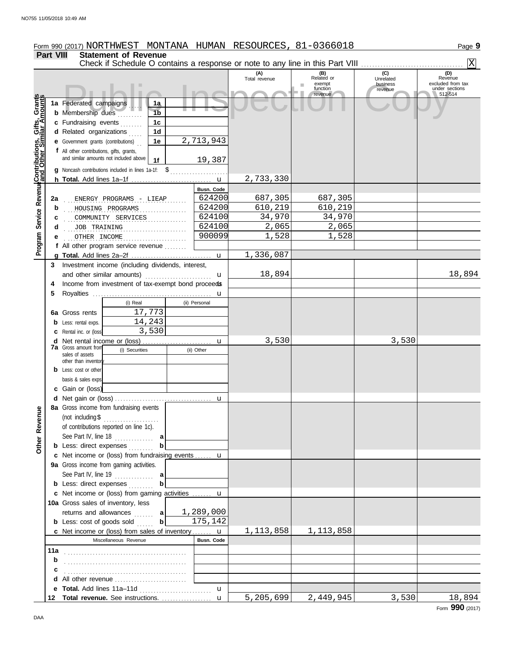|                                                             |                                                         |                                                     |                             |                |  |                   |                      | Form 990 (2017) NORTHWEST MONTANA HUMAN RESOURCES, 81-0366018                 |                  | Page 9                              |
|-------------------------------------------------------------|---------------------------------------------------------|-----------------------------------------------------|-----------------------------|----------------|--|-------------------|----------------------|-------------------------------------------------------------------------------|------------------|-------------------------------------|
|                                                             | <b>Part VIII</b>                                        |                                                     | <b>Statement of Revenue</b> |                |  |                   |                      |                                                                               |                  |                                     |
|                                                             |                                                         |                                                     |                             |                |  |                   |                      | Check if Schedule O contains a response or note to any line in this Part VIII |                  | $\overline{\mathbf{x}}$             |
|                                                             |                                                         |                                                     |                             |                |  |                   | (A)<br>Total revenue | (B)<br>Related or                                                             | (C)<br>Unrelated | (D)<br>Revenue                      |
|                                                             |                                                         |                                                     |                             |                |  |                   |                      | exempt<br>function                                                            | business         | excluded from tax<br>under sections |
|                                                             |                                                         |                                                     |                             |                |  |                   |                      | revenue                                                                       | revenue          | 512-514                             |
|                                                             |                                                         | 1a Federated campaigns                              |                             | 1a             |  |                   |                      |                                                                               |                  |                                     |
|                                                             |                                                         | <b>b</b> Membership dues                            |                             | 1 <sub>b</sub> |  |                   |                      |                                                                               |                  |                                     |
|                                                             |                                                         | c Fundraising events                                |                             | 1 <sub>c</sub> |  |                   |                      |                                                                               |                  |                                     |
|                                                             |                                                         | d Related organizations                             |                             | 1 <sub>d</sub> |  |                   |                      |                                                                               |                  |                                     |
|                                                             |                                                         | e Government grants (contributions)                 |                             | 1e             |  | 2,713,943         |                      |                                                                               |                  |                                     |
|                                                             |                                                         | f All other contributions, gifts, grants,           |                             |                |  |                   |                      |                                                                               |                  |                                     |
|                                                             |                                                         | and similar amounts not included above              |                             | 1f             |  | 19,387            |                      |                                                                               |                  |                                     |
|                                                             |                                                         | g Noncash contributions included in lines 1a-1f: \$ |                             |                |  |                   |                      |                                                                               |                  |                                     |
|                                                             |                                                         |                                                     |                             |                |  |                   | 2,733,330            |                                                                               |                  |                                     |
|                                                             |                                                         |                                                     |                             |                |  | <b>Busn. Code</b> |                      |                                                                               |                  |                                     |
|                                                             | 2a                                                      |                                                     | ENERGY PROGRAMS - LIEAP     |                |  | 624200            | 687,305              | 687,305                                                                       |                  |                                     |
|                                                             | b                                                       |                                                     |                             |                |  | 624200            | 610,219              | 610,219                                                                       |                  |                                     |
|                                                             |                                                         | HOUSING PROGRAMS                                    |                             |                |  | 624100            | 34,970               | 34,970                                                                        |                  |                                     |
|                                                             | c                                                       |                                                     | COMMUNITY SERVICES          |                |  |                   |                      |                                                                               |                  |                                     |
|                                                             | d                                                       | JOB TRAINING                                        |                             | .              |  | 624100            | 2,065                | 2,065                                                                         |                  |                                     |
| Program Service Revenue <b>Contributions, Gifts, Grants</b> | е                                                       | OTHER INCOME                                        |                             |                |  | 900099            | 1,528                | 1,528                                                                         |                  |                                     |
|                                                             |                                                         | f All other program service revenue                 |                             |                |  |                   |                      |                                                                               |                  |                                     |
|                                                             |                                                         |                                                     |                             |                |  |                   | 1,336,087            |                                                                               |                  |                                     |
|                                                             | 3                                                       | Investment income (including dividends, interest,   |                             |                |  |                   |                      |                                                                               |                  |                                     |
|                                                             |                                                         | and other similar amounts)                          |                             |                |  | $\mathbf{u}$      | 18,894               |                                                                               |                  | 18,894                              |
|                                                             | Income from investment of tax-exempt bond proceeds<br>4 |                                                     |                             |                |  |                   |                      |                                                                               |                  |                                     |
|                                                             | 5                                                       |                                                     |                             |                |  |                   |                      |                                                                               |                  |                                     |
|                                                             |                                                         |                                                     | (i) Real                    |                |  | (ii) Personal     |                      |                                                                               |                  |                                     |
|                                                             |                                                         | 6a Gross rents                                      |                             | 17,773         |  |                   |                      |                                                                               |                  |                                     |
|                                                             |                                                         | <b>b</b> Less: rental exps.                         |                             | 14,243         |  |                   |                      |                                                                               |                  |                                     |
|                                                             |                                                         | <b>c</b> Rental inc. or (loss)                      |                             | 3,530          |  |                   |                      |                                                                               |                  |                                     |
|                                                             |                                                         |                                                     |                             |                |  | u                 | 3,530                |                                                                               | 3,530            |                                     |
|                                                             |                                                         | <b>7a</b> Gross amount from<br>sales of assets      | (i) Securities              |                |  | (ii) Other        |                      |                                                                               |                  |                                     |
|                                                             |                                                         | other than inventor                                 |                             |                |  |                   |                      |                                                                               |                  |                                     |
|                                                             |                                                         | <b>b</b> Less: cost or other                        |                             |                |  |                   |                      |                                                                               |                  |                                     |
|                                                             |                                                         | basis & sales exps                                  |                             |                |  |                   |                      |                                                                               |                  |                                     |
|                                                             |                                                         | c Gain or (loss)                                    |                             |                |  |                   |                      |                                                                               |                  |                                     |
|                                                             |                                                         | d Net gain or (loss)                                |                             |                |  |                   |                      |                                                                               |                  |                                     |
|                                                             |                                                         | 8a Gross income from fundraising events             |                             |                |  |                   |                      |                                                                               |                  |                                     |
|                                                             |                                                         | (not including \$                                   | <u>.</u>                    |                |  |                   |                      |                                                                               |                  |                                     |
|                                                             |                                                         | of contributions reported on line 1c).              |                             |                |  |                   |                      |                                                                               |                  |                                     |
| Other Revenue                                               |                                                         | See Part IV, line $18$                              |                             | a              |  |                   |                      |                                                                               |                  |                                     |
|                                                             |                                                         | <b>b</b> Less: direct expenses                      |                             |                |  |                   |                      |                                                                               |                  |                                     |
|                                                             |                                                         | c Net income or (loss) from fundraising events  u   |                             |                |  |                   |                      |                                                                               |                  |                                     |
|                                                             |                                                         | 9a Gross income from gaming activities.             |                             |                |  |                   |                      |                                                                               |                  |                                     |
|                                                             |                                                         | See Part IV, line 19                                |                             | a              |  |                   |                      |                                                                               |                  |                                     |
|                                                             |                                                         | <b>b</b> Less: direct expenses                      |                             |                |  |                   |                      |                                                                               |                  |                                     |
|                                                             |                                                         | c Net income or (loss) from gaming activities  u    |                             |                |  |                   |                      |                                                                               |                  |                                     |
|                                                             |                                                         | 10a Gross sales of inventory, less                  |                             |                |  |                   |                      |                                                                               |                  |                                     |
|                                                             |                                                         | returns and allowances  a                           |                             |                |  | 1,289,000         |                      |                                                                               |                  |                                     |
|                                                             |                                                         | <b>b</b> Less: cost of goods sold                   |                             | $\mathbf{b}$   |  | 175,142           |                      |                                                                               |                  |                                     |
|                                                             |                                                         | c Net income or (loss) from sales of inventory  u   |                             |                |  |                   | 1,113,858            | 1,113,858                                                                     |                  |                                     |
|                                                             |                                                         |                                                     | Miscellaneous Revenue       |                |  | <b>Busn. Code</b> |                      |                                                                               |                  |                                     |
|                                                             | 11a                                                     |                                                     |                             |                |  |                   |                      |                                                                               |                  |                                     |
|                                                             | b                                                       |                                                     |                             |                |  |                   |                      |                                                                               |                  |                                     |
|                                                             | c                                                       |                                                     |                             |                |  |                   |                      |                                                                               |                  |                                     |
|                                                             |                                                         |                                                     |                             |                |  |                   |                      |                                                                               |                  |                                     |
|                                                             |                                                         | e Total. Add lines 11a-11d                          |                             |                |  | $\mathbf{u}$      |                      |                                                                               |                  |                                     |
|                                                             |                                                         |                                                     |                             |                |  | $\mathbf{u}$      | 5,205,699            | 2,449,945                                                                     | 3,530            | 18,894                              |
|                                                             |                                                         |                                                     |                             |                |  |                   |                      |                                                                               |                  |                                     |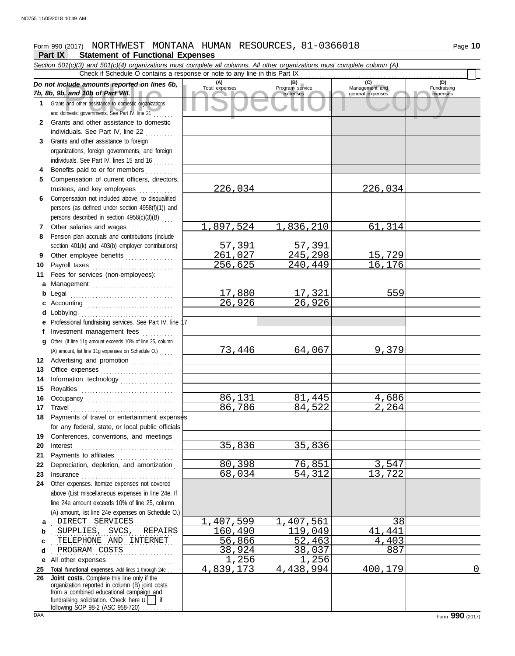## Form 990 (2017) NORTHWEST MONTANA HUMAN RESOURCES, 81-0366018

### **Part IX Statement of Functional Expenses**

Collection and the amounts reported on lines 6b, Total expenses<br>
Program service Management and Total expenses<br>
and other assistance to domestic organizations<br>
Sand other assistance to domestic organizations<br>
Sand other as *Section 501(c)(3) and 501(c)(4) organizations must complete all columns. All other organizations must complete column (A). Do not include amounts reported on lines 6b, 7b, 8b, 9b, and 10b of Part VIII.* **1 2 3 4 5 6** Compensation not included above, to disqualified **7 8 9 10 11 a** Management .............................. **b** Legal **c** Accounting . . . . . . . . . . . . . . . . . . . . . . . . . . . . . . . . **d e f g 12** Advertising and promotion ............... **13 14 15 16 17 18 19 20** Interest . . . . . . . . . . . . . . . . . . . . . . . . . . . . . . . . . . . . **21 22** Depreciation, depletion, and amortization . **23** Insurance . . . . . . . . . . . . . . . . . . . . . . . . . . . . . . . . . . **24** Other expenses. Itemize expenses not covered **a** . DIRECT SERVICES . . . . . . . . . . . 1,407,599 1,407,561 . . . . . . . . 38 **b c d** . . . . . . . . . . . . . . . . . . . . . . . . . . . . . . . . . . . . . . . . . . . . . PROGRAM COSTS 38,924 38,037 887 **e** All other expenses . . . . . . . . . . . . . . . . . . . . . . . . **25 Total functional expenses.** Add lines 1 through 24e . . . **26** Grants and other assistance to domestic organizations and domestic governments. See Part IV, line 21 . . . . . . . . Grants and other assistance to domestic individuals. See Part IV, line 22 Grants and other assistance to foreign organizations, foreign governments, and foreign individuals. See Part IV, lines 15 and 16 Benefits paid to or for members . . . . . . . . . Compensation of current officers, directors, trustees, and key employees .............. persons (as defined under section 4958(f)(1)) and persons described in section 4958(c)(3)(B) . . . . . Other salaries and wages ............ Pension plan accruals and contributions (include section 401(k) and 403(b) employer contributions) Other employee benefits ................... Payroll taxes ................................ Fees for services (non-employees): . . . . . . . . . . . . . . . . . . . . . . . . . . . . . . . . . . . . . . Lobbying . . . . . . . . . . . . . . . . . . . . . . . . . . . . . . . . . . . Professional fundraising services. See Part IV, line 17 Investment management fees Other. (If line 11g amount exceeds 10% of line 25, column Office expenses ............................. Information technology . . . . . . . . . . . . . . . . . . . . Royalties . . . . . . . . . . . . . . . . . . . . . . . . . . . . . . . . . . Occupancy . . . . . . . . . . . . . . . . . . . . . . . . . . . . . . . . Travel . . . . . . . . . . . . . . . . . . . . . . . . . . . . . . . . . . . . . . Payments of travel or entertainment expenses for any federal, state, or local public officials Conferences, conventions, and meetings . Payments to affiliates ....................... above (List miscellaneous expenses in line 24e. If line 24e amount exceeds 10% of line 25, column (A) amount, list line 24e expenses on Schedule O.) fundraising solicitation. Check here  $\mathbf{u}$  | if organization reported in column (B) joint costs from a combined educational campaign and following SOP 98-2 (ASC 958-720) **(A) (B) (C) (D)** Total expenses Program service Management and expenses general expenses Fundraising expenses <u>. SUPPLIES, SVCS, REPAIRS 160,490 119,049 41,441</u> . TELEPHONE AND INTERNET | 56,866 | 52,463 | 4,403 Check if Schedule O contains a response or note to any line in this Part IX . . . . . . . . . . . . . . . . . . . . . . . . . . . . . . . . . . . . . . . . . . . . . . . . . . . . . . . . . . . **Joint costs.** Complete this line only if the (A) amount, list line 11g expenses on Schedule O.) . . . . . . 226,034 226,034 1,897,524 1,836,210 61,314 57,391 57,391 245,298 15,729<br>240.449 16.176 256,625 17,880 17,321 559<br>26,926 26,926 26,926 73,446 64,067 9,379 86,131 81,445 4,686<br>86,786 84,522 2,264 84,522 35,836 35,836 80,398 76,851 3,547<br>68,034 54,312 13,722  $68,034$  $\frac{1,256}{4,839,173}$   $\frac{1,256}{4,438,994}$ 4,839,173 4,438,994 400,179 0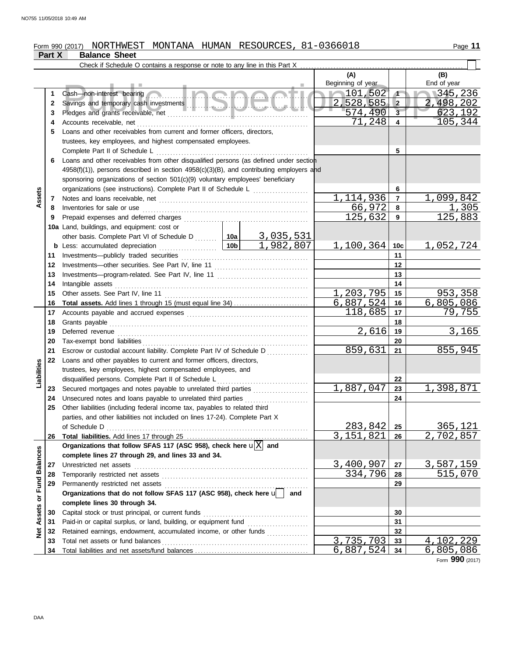#### Form 990 (2017) NORTHWEST MONTANA HUMAN RESOURCES,81-0366018 Page 11 NORTHWEST MONTANA HUMAN RESOURCES, 81-0366018

|                      | Part X   | <b>Balance Sheet</b>                                                                    |                 |           |                   |        |            |                        |
|----------------------|----------|-----------------------------------------------------------------------------------------|-----------------|-----------|-------------------|--------|------------|------------------------|
|                      |          | Check if Schedule O contains a response or note to any line in this Part X              |                 |           |                   |        |            |                        |
|                      |          |                                                                                         |                 |           | (A)               |        |            | (B)                    |
|                      |          |                                                                                         |                 |           | Beginning of year |        |            | End of year            |
|                      | 1        | 5 100000<br>Cash-non-interest bearing                                                   |                 |           | 101               | ,502   | $\sqrt{ }$ | $\overline{345}$ , 236 |
|                      | 2        |                                                                                         |                 |           | 2,528,585         |        | $\vert$ 2  | 2,498,202              |
|                      | 3        |                                                                                         |                 |           | 574,490           |        | 3          | 623,192                |
|                      | 4        |                                                                                         | 71,248          | 4         | 105,344           |        |            |                        |
|                      | 5        | Loans and other receivables from current and former officers, directors,                |                 |           |                   |        |            |                        |
|                      |          | trustees, key employees, and highest compensated employees.                             |                 |           |                   |        |            |                        |
|                      |          | Complete Part II of Schedule L                                                          |                 |           |                   |        | 5          |                        |
|                      | 6        | Loans and other receivables from other disqualified persons (as defined under section   |                 |           |                   |        |            |                        |
|                      |          | 4958(f)(1)), persons described in section 4958(c)(3)(B), and contributing employers and |                 |           |                   |        |            |                        |
|                      |          | sponsoring organizations of section 501(c)(9) voluntary employees' beneficiary          |                 |           |                   |        |            |                        |
|                      |          | organizations (see instructions). Complete Part II of Schedule L                        | 6               |           |                   |        |            |                        |
| Assets               | 7        |                                                                                         | $\overline{7}$  | 1,099,842 |                   |        |            |                        |
|                      | 8        | Inventories for sale or use                                                             |                 |           |                   | 66,972 | 8          | 1,305                  |
|                      | 9        |                                                                                         |                 |           | 125,632           |        | 9          | 125,883                |
|                      |          | 10a Land, buildings, and equipment: cost or                                             |                 |           |                   |        |            |                        |
|                      |          | other basis. Complete Part VI of Schedule D    10a   3, 035, 531                        |                 |           |                   |        |            |                        |
|                      | b        | Less: accumulated depreciation                                                          | 10 <sub>b</sub> | 1,982,807 | 1,100,364         |        | 10c        | 1,052,724              |
|                      | 11       | Investments--publicly traded securities                                                 |                 | 11        |                   |        |            |                        |
|                      | 12       |                                                                                         |                 |           |                   | 12     |            |                        |
|                      | 13       |                                                                                         |                 |           | 13                |        |            |                        |
|                      | 14       | Intangible assets                                                                       |                 |           |                   |        | 14         |                        |
|                      | 15       | Other assets. See Part IV, line 11                                                      |                 |           | 1,203,795         |        | 15         | 953,358                |
|                      | 16       | <b>Total assets.</b> Add lines 1 through 15 (must equal line 34)                        |                 |           | 6,887,524         |        | 16         | 6,805,086              |
|                      | 17       |                                                                                         |                 |           | 118,685           |        | 17         | 79,755                 |
|                      | 18       |                                                                                         |                 |           | 18                |        |            |                        |
|                      | 19       |                                                                                         |                 |           |                   | 2,616  | 19         | 3,165                  |
|                      | 20       |                                                                                         |                 |           |                   |        | 20         |                        |
|                      | 21       | Escrow or custodial account liability. Complete Part IV of Schedule D                   |                 |           | 859,631           |        | 21         | 855,945                |
|                      | 22       | Loans and other payables to current and former officers, directors,                     |                 |           |                   |        |            |                        |
|                      |          | trustees, key employees, highest compensated employees, and                             |                 |           |                   |        |            |                        |
| Liabilities          |          | disqualified persons. Complete Part II of Schedule L                                    |                 |           |                   |        | 22         |                        |
|                      | 23       | Secured mortgages and notes payable to unrelated third parties                          |                 |           | 1,887,047         |        | 23         | 1,398,871              |
|                      | 24       | Unsecured notes and loans payable to unrelated third parties                            |                 |           |                   |        | 24         |                        |
|                      | 25       | Other liabilities (including federal income tax, payables to related third              |                 |           |                   |        |            |                        |
|                      |          | parties, and other liabilities not included on lines 17-24). Complete Part X            |                 |           |                   |        |            |                        |
|                      |          | of Schedule D                                                                           |                 |           | 283,842           |        | 25         | <u>365,121</u>         |
|                      | 26       |                                                                                         |                 |           | 3, 151, 821       |        | 26         | 2,702,857              |
|                      |          | Organizations that follow SFAS 117 (ASC 958), check here $\mathbf{u}[\overline{X}]$ and |                 |           |                   |        |            |                        |
|                      |          | complete lines 27 through 29, and lines 33 and 34.                                      |                 |           |                   |        |            |                        |
|                      | 27       | Unrestricted net assets                                                                 |                 |           | 3,400,907         |        | 27         | 3,587,159              |
| <b>Fund Balances</b> | 28       | Temporarily restricted net assets                                                       |                 |           | 334,796           |        | 28         | 515,070                |
|                      | 29       | Permanently restricted net assets                                                       |                 |           |                   |        | 29         |                        |
| ð                    |          | Organizations that do not follow SFAS 117 (ASC 958), check here u                       |                 | and       |                   |        |            |                        |
|                      |          | complete lines 30 through 34.                                                           |                 |           |                   |        |            |                        |
| <b>Net Assets</b>    | 30       | Capital stock or trust principal, or current funds                                      |                 |           |                   |        | 30<br>31   |                        |
|                      | 31       | Retained earnings, endowment, accumulated income, or other funds                        |                 |           |                   |        | 32         |                        |
|                      | 32<br>33 | Total net assets or fund balances                                                       |                 |           | 3,735,703         |        | 33         | 4,102,229              |
|                      | 34       |                                                                                         |                 |           | <u>6,887,524 </u> |        | 34         | <u>6,805,086</u>       |
|                      |          |                                                                                         |                 |           |                   |        |            |                        |

Form **990** (2017)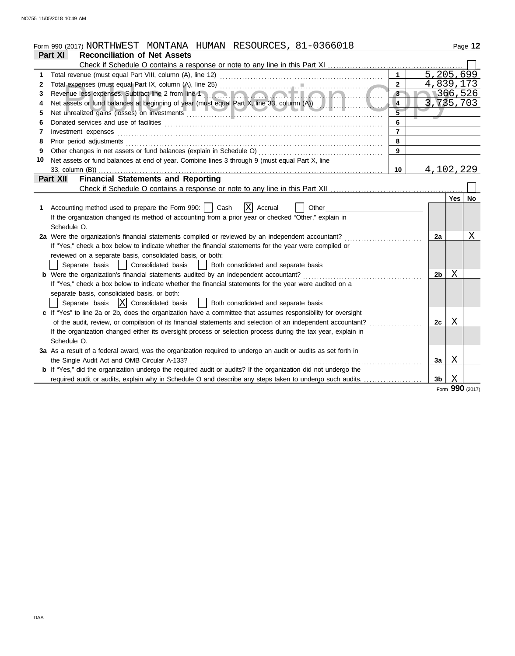|    | Form 990 (2017) NORTHWEST MONTANA HUMAN RESOURCES, 81-0366018                                                                                                                                                                      |           |         | Page 12         |
|----|------------------------------------------------------------------------------------------------------------------------------------------------------------------------------------------------------------------------------------|-----------|---------|-----------------|
|    | <b>Reconciliation of Net Assets</b><br><b>Part XI</b>                                                                                                                                                                              |           |         |                 |
|    | Check if Schedule O contains a response or note to any line in this Part XI                                                                                                                                                        |           |         |                 |
| 1  | $\mathbf{1}$                                                                                                                                                                                                                       | 5,205,699 |         |                 |
| 2  | $\mathbf{2}$                                                                                                                                                                                                                       | 4,839,173 |         |                 |
| 3  | 3                                                                                                                                                                                                                                  |           | 366,526 |                 |
| 4  | 4                                                                                                                                                                                                                                  | 3,735,703 |         |                 |
| 5  | Net unrealized gains (losses) on investments entertainments and the material contract of the material contract of                                                                                                                  |           |         |                 |
| 6  | 6                                                                                                                                                                                                                                  |           |         |                 |
| 7  | $\overline{7}$                                                                                                                                                                                                                     |           |         |                 |
| 8  | Prior period adjustments [11, 12] materials and a series and adjustments are response to the contract of the series of the series and adjustments are response to the series of the series of the series of the series of the<br>8 |           |         |                 |
| 9  | 9                                                                                                                                                                                                                                  |           |         |                 |
| 10 | Net assets or fund balances at end of year. Combine lines 3 through 9 (must equal Part X, line                                                                                                                                     |           |         |                 |
|    | 33, column (B))<br>10                                                                                                                                                                                                              | 4,102,229 |         |                 |
|    | <b>Financial Statements and Reporting</b><br>Part XII                                                                                                                                                                              |           |         |                 |
|    |                                                                                                                                                                                                                                    |           |         |                 |
|    |                                                                                                                                                                                                                                    |           | Yes     | No              |
| 1. | Accounting method used to prepare the Form 990:     Cash<br>$ X $ Accrual<br>Other                                                                                                                                                 |           |         |                 |
|    | If the organization changed its method of accounting from a prior year or checked "Other," explain in                                                                                                                              |           |         |                 |
|    | Schedule O.                                                                                                                                                                                                                        |           |         |                 |
|    | 2a Were the organization's financial statements compiled or reviewed by an independent accountant?                                                                                                                                 | 2a        |         | Χ               |
|    | If "Yes," check a box below to indicate whether the financial statements for the year were compiled or                                                                                                                             |           |         |                 |
|    | reviewed on a separate basis, consolidated basis, or both:                                                                                                                                                                         |           |         |                 |
|    | Consolidated basis<br>Separate basis<br>Both consolidated and separate basis<br>$\mathbf{I}$                                                                                                                                       |           |         |                 |
|    | <b>b</b> Were the organization's financial statements audited by an independent accountant?                                                                                                                                        | 2b        | Χ       |                 |
|    | If "Yes," check a box below to indicate whether the financial statements for the year were audited on a                                                                                                                            |           |         |                 |
|    | separate basis, consolidated basis, or both:                                                                                                                                                                                       |           |         |                 |
|    | $ X $ Consolidated basis<br>Both consolidated and separate basis<br>Separate basis                                                                                                                                                 |           |         |                 |
|    | c If "Yes" to line 2a or 2b, does the organization have a committee that assumes responsibility for oversight                                                                                                                      |           |         |                 |
|    | of the audit, review, or compilation of its financial statements and selection of an independent accountant?                                                                                                                       | 2с        | Χ       |                 |
|    | If the organization changed either its oversight process or selection process during the tax year, explain in                                                                                                                      |           |         |                 |
|    | Schedule O.                                                                                                                                                                                                                        |           |         |                 |
|    | 3a As a result of a federal award, was the organization required to undergo an audit or audits as set forth in                                                                                                                     |           |         |                 |
|    | the Single Audit Act and OMB Circular A-133?                                                                                                                                                                                       | Зa        | Χ       |                 |
|    | b If "Yes," did the organization undergo the required audit or audits? If the organization did not undergo the                                                                                                                     |           |         |                 |
|    | required audit or audits, explain why in Schedule O and describe any steps taken to undergo such audits.                                                                                                                           | 3b        | X       |                 |
|    |                                                                                                                                                                                                                                    |           |         | Form 990 (2017) |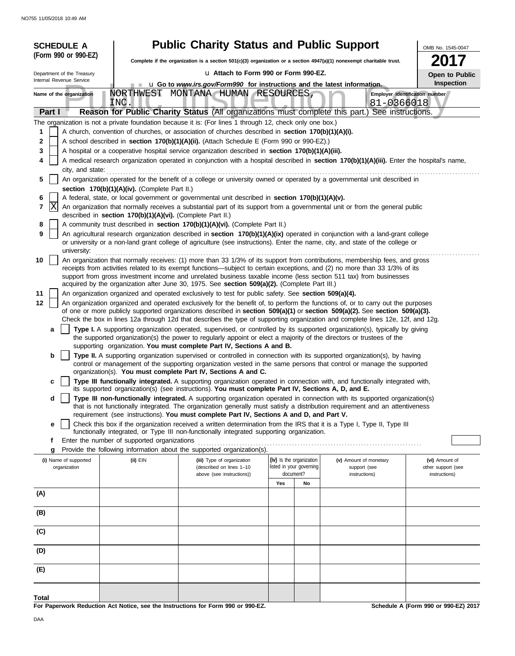| <b>SCHEDULE A</b>                                                                                                                                                                                                                                                                                                                                                                                                                                                                                                                                                                                                                                                                                                                                                                                                                                                                                                                                                                                                                                                                                                                                                                                                                                                                                                                                                                                                                                                                                                                                                                                                                                                                                                                                                                                                                                                                                                                                                                                                                                                                                                                                                                                                                                                                                                                                                                                                                                                                                                                                                                                                                                                                                                                                                                                                                                                                                                                                                                                                                                                                                                                                                                                                                                                                                                                                                                                                          |                                             | <b>Public Charity Status and Public Support</b>                                                                      |                                                                   |    |                                                                                                                         | OMB No. 1545-0047                                     |
|----------------------------------------------------------------------------------------------------------------------------------------------------------------------------------------------------------------------------------------------------------------------------------------------------------------------------------------------------------------------------------------------------------------------------------------------------------------------------------------------------------------------------------------------------------------------------------------------------------------------------------------------------------------------------------------------------------------------------------------------------------------------------------------------------------------------------------------------------------------------------------------------------------------------------------------------------------------------------------------------------------------------------------------------------------------------------------------------------------------------------------------------------------------------------------------------------------------------------------------------------------------------------------------------------------------------------------------------------------------------------------------------------------------------------------------------------------------------------------------------------------------------------------------------------------------------------------------------------------------------------------------------------------------------------------------------------------------------------------------------------------------------------------------------------------------------------------------------------------------------------------------------------------------------------------------------------------------------------------------------------------------------------------------------------------------------------------------------------------------------------------------------------------------------------------------------------------------------------------------------------------------------------------------------------------------------------------------------------------------------------------------------------------------------------------------------------------------------------------------------------------------------------------------------------------------------------------------------------------------------------------------------------------------------------------------------------------------------------------------------------------------------------------------------------------------------------------------------------------------------------------------------------------------------------------------------------------------------------------------------------------------------------------------------------------------------------------------------------------------------------------------------------------------------------------------------------------------------------------------------------------------------------------------------------------------------------------------------------------------------------------------------------------------------------|---------------------------------------------|----------------------------------------------------------------------------------------------------------------------|-------------------------------------------------------------------|----|-------------------------------------------------------------------------------------------------------------------------|-------------------------------------------------------|
| (Form 990 or 990-EZ)                                                                                                                                                                                                                                                                                                                                                                                                                                                                                                                                                                                                                                                                                                                                                                                                                                                                                                                                                                                                                                                                                                                                                                                                                                                                                                                                                                                                                                                                                                                                                                                                                                                                                                                                                                                                                                                                                                                                                                                                                                                                                                                                                                                                                                                                                                                                                                                                                                                                                                                                                                                                                                                                                                                                                                                                                                                                                                                                                                                                                                                                                                                                                                                                                                                                                                                                                                                                       |                                             | Complete if the organization is a section 501(c)(3) organization or a section 4947(a)(1) nonexempt charitable trust. |                                                                   |    |                                                                                                                         | 2017                                                  |
| Department of the Treasury                                                                                                                                                                                                                                                                                                                                                                                                                                                                                                                                                                                                                                                                                                                                                                                                                                                                                                                                                                                                                                                                                                                                                                                                                                                                                                                                                                                                                                                                                                                                                                                                                                                                                                                                                                                                                                                                                                                                                                                                                                                                                                                                                                                                                                                                                                                                                                                                                                                                                                                                                                                                                                                                                                                                                                                                                                                                                                                                                                                                                                                                                                                                                                                                                                                                                                                                                                                                 |                                             | La Attach to Form 990 or Form 990-EZ.                                                                                |                                                                   |    |                                                                                                                         | Open to Public                                        |
| Internal Revenue Service                                                                                                                                                                                                                                                                                                                                                                                                                                                                                                                                                                                                                                                                                                                                                                                                                                                                                                                                                                                                                                                                                                                                                                                                                                                                                                                                                                                                                                                                                                                                                                                                                                                                                                                                                                                                                                                                                                                                                                                                                                                                                                                                                                                                                                                                                                                                                                                                                                                                                                                                                                                                                                                                                                                                                                                                                                                                                                                                                                                                                                                                                                                                                                                                                                                                                                                                                                                                   |                                             | u Go to www.irs.gov/Form990 for instructions and the latest information.                                             |                                                                   |    |                                                                                                                         | Inspection                                            |
| Name of the organization                                                                                                                                                                                                                                                                                                                                                                                                                                                                                                                                                                                                                                                                                                                                                                                                                                                                                                                                                                                                                                                                                                                                                                                                                                                                                                                                                                                                                                                                                                                                                                                                                                                                                                                                                                                                                                                                                                                                                                                                                                                                                                                                                                                                                                                                                                                                                                                                                                                                                                                                                                                                                                                                                                                                                                                                                                                                                                                                                                                                                                                                                                                                                                                                                                                                                                                                                                                                   | INC.                                        | NORTHWEST MONTANA HUMAN RESOURCES,                                                                                   |                                                                   |    | Employer identification number<br>81-0366018                                                                            |                                                       |
| Part I                                                                                                                                                                                                                                                                                                                                                                                                                                                                                                                                                                                                                                                                                                                                                                                                                                                                                                                                                                                                                                                                                                                                                                                                                                                                                                                                                                                                                                                                                                                                                                                                                                                                                                                                                                                                                                                                                                                                                                                                                                                                                                                                                                                                                                                                                                                                                                                                                                                                                                                                                                                                                                                                                                                                                                                                                                                                                                                                                                                                                                                                                                                                                                                                                                                                                                                                                                                                                     |                                             |                                                                                                                      |                                                                   |    | Reason for Public Charity Status (All organizations must complete this part.) See instructions.                         |                                                       |
| The organization is not a private foundation because it is: (For lines 1 through 12, check only one box.)<br>A church, convention of churches, or association of churches described in section 170(b)(1)(A)(i).<br>1<br>2<br>A school described in <b>section 170(b)(1)(A)(ii).</b> (Attach Schedule E (Form 990 or 990-EZ).)<br>3<br>A hospital or a cooperative hospital service organization described in section 170(b)(1)(A)(iii).<br>A medical research organization operated in conjunction with a hospital described in section 170(b)(1)(A)(iii). Enter the hospital's name,<br>4<br>city, and state:<br>5<br>An organization operated for the benefit of a college or university owned or operated by a governmental unit described in<br>section 170(b)(1)(A)(iv). (Complete Part II.)<br>A federal, state, or local government or governmental unit described in section 170(b)(1)(A)(v).<br>6<br> X<br>An organization that normally receives a substantial part of its support from a governmental unit or from the general public<br>7<br>described in section 170(b)(1)(A)(vi). (Complete Part II.)<br>A community trust described in section 170(b)(1)(A)(vi). (Complete Part II.)<br>8<br>9<br>An agricultural research organization described in section 170(b)(1)(A)(ix) operated in conjunction with a land-grant college<br>or university or a non-land grant college of agriculture (see instructions). Enter the name, city, and state of the college or<br>university:<br>An organization that normally receives: (1) more than 33 1/3% of its support from contributions, membership fees, and gross<br>10<br>receipts from activities related to its exempt functions—subject to certain exceptions, and (2) no more than 33 1/3% of its<br>support from gross investment income and unrelated business taxable income (less section 511 tax) from businesses<br>acquired by the organization after June 30, 1975. See section 509(a)(2). (Complete Part III.)<br>11<br>An organization organized and operated exclusively to test for public safety. See section 509(a)(4).<br>An organization organized and operated exclusively for the benefit of, to perform the functions of, or to carry out the purposes<br>12<br>of one or more publicly supported organizations described in section 509(a)(1) or section 509(a)(2). See section 509(a)(3).<br>Check the box in lines 12a through 12d that describes the type of supporting organization and complete lines 12e, 12f, and 12g.<br>Type I. A supporting organization operated, supervised, or controlled by its supported organization(s), typically by giving<br>а<br>the supported organization(s) the power to regularly appoint or elect a majority of the directors or trustees of the<br>supporting organization. You must complete Part IV, Sections A and B.<br>Type II. A supporting organization supervised or controlled in connection with its supported organization(s), by having<br>b<br>control or management of the supporting organization vested in the same persons that control or manage the supported<br>organization(s). You must complete Part IV, Sections A and C.<br>Type III functionally integrated. A supporting organization operated in connection with, and functionally integrated with,<br>c<br>its supported organization(s) (see instructions). You must complete Part IV, Sections A, D, and E. |                                             |                                                                                                                      |                                                                   |    |                                                                                                                         |                                                       |
| е                                                                                                                                                                                                                                                                                                                                                                                                                                                                                                                                                                                                                                                                                                                                                                                                                                                                                                                                                                                                                                                                                                                                                                                                                                                                                                                                                                                                                                                                                                                                                                                                                                                                                                                                                                                                                                                                                                                                                                                                                                                                                                                                                                                                                                                                                                                                                                                                                                                                                                                                                                                                                                                                                                                                                                                                                                                                                                                                                                                                                                                                                                                                                                                                                                                                                                                                                                                                                          |                                             | requirement (see instructions). You must complete Part IV, Sections A and D, and Part V.                             |                                                                   |    | Check this box if the organization received a written determination from the IRS that it is a Type I, Type II, Type III |                                                       |
|                                                                                                                                                                                                                                                                                                                                                                                                                                                                                                                                                                                                                                                                                                                                                                                                                                                                                                                                                                                                                                                                                                                                                                                                                                                                                                                                                                                                                                                                                                                                                                                                                                                                                                                                                                                                                                                                                                                                                                                                                                                                                                                                                                                                                                                                                                                                                                                                                                                                                                                                                                                                                                                                                                                                                                                                                                                                                                                                                                                                                                                                                                                                                                                                                                                                                                                                                                                                                            |                                             | functionally integrated, or Type III non-functionally integrated supporting organization.                            |                                                                   |    |                                                                                                                         |                                                       |
| f<br>g                                                                                                                                                                                                                                                                                                                                                                                                                                                                                                                                                                                                                                                                                                                                                                                                                                                                                                                                                                                                                                                                                                                                                                                                                                                                                                                                                                                                                                                                                                                                                                                                                                                                                                                                                                                                                                                                                                                                                                                                                                                                                                                                                                                                                                                                                                                                                                                                                                                                                                                                                                                                                                                                                                                                                                                                                                                                                                                                                                                                                                                                                                                                                                                                                                                                                                                                                                                                                     | Enter the number of supported organizations | Provide the following information about the supported organization(s).                                               |                                                                   |    |                                                                                                                         |                                                       |
| (i) Name of supported<br>organization                                                                                                                                                                                                                                                                                                                                                                                                                                                                                                                                                                                                                                                                                                                                                                                                                                                                                                                                                                                                                                                                                                                                                                                                                                                                                                                                                                                                                                                                                                                                                                                                                                                                                                                                                                                                                                                                                                                                                                                                                                                                                                                                                                                                                                                                                                                                                                                                                                                                                                                                                                                                                                                                                                                                                                                                                                                                                                                                                                                                                                                                                                                                                                                                                                                                                                                                                                                      | (ii) EIN                                    | (iii) Type of organization<br>(described on lines 1-10<br>above (see instructions))                                  | (iv) Is the organization<br>listed in your governing<br>document? |    | (v) Amount of monetary<br>support (see<br>instructions)                                                                 | (vi) Amount of<br>other support (see<br>instructions) |
| (A)                                                                                                                                                                                                                                                                                                                                                                                                                                                                                                                                                                                                                                                                                                                                                                                                                                                                                                                                                                                                                                                                                                                                                                                                                                                                                                                                                                                                                                                                                                                                                                                                                                                                                                                                                                                                                                                                                                                                                                                                                                                                                                                                                                                                                                                                                                                                                                                                                                                                                                                                                                                                                                                                                                                                                                                                                                                                                                                                                                                                                                                                                                                                                                                                                                                                                                                                                                                                                        |                                             |                                                                                                                      | Yes                                                               | No |                                                                                                                         |                                                       |
|                                                                                                                                                                                                                                                                                                                                                                                                                                                                                                                                                                                                                                                                                                                                                                                                                                                                                                                                                                                                                                                                                                                                                                                                                                                                                                                                                                                                                                                                                                                                                                                                                                                                                                                                                                                                                                                                                                                                                                                                                                                                                                                                                                                                                                                                                                                                                                                                                                                                                                                                                                                                                                                                                                                                                                                                                                                                                                                                                                                                                                                                                                                                                                                                                                                                                                                                                                                                                            |                                             |                                                                                                                      |                                                                   |    |                                                                                                                         |                                                       |
| (B)                                                                                                                                                                                                                                                                                                                                                                                                                                                                                                                                                                                                                                                                                                                                                                                                                                                                                                                                                                                                                                                                                                                                                                                                                                                                                                                                                                                                                                                                                                                                                                                                                                                                                                                                                                                                                                                                                                                                                                                                                                                                                                                                                                                                                                                                                                                                                                                                                                                                                                                                                                                                                                                                                                                                                                                                                                                                                                                                                                                                                                                                                                                                                                                                                                                                                                                                                                                                                        |                                             |                                                                                                                      |                                                                   |    |                                                                                                                         |                                                       |
| (C)                                                                                                                                                                                                                                                                                                                                                                                                                                                                                                                                                                                                                                                                                                                                                                                                                                                                                                                                                                                                                                                                                                                                                                                                                                                                                                                                                                                                                                                                                                                                                                                                                                                                                                                                                                                                                                                                                                                                                                                                                                                                                                                                                                                                                                                                                                                                                                                                                                                                                                                                                                                                                                                                                                                                                                                                                                                                                                                                                                                                                                                                                                                                                                                                                                                                                                                                                                                                                        |                                             |                                                                                                                      |                                                                   |    |                                                                                                                         |                                                       |
| (D)                                                                                                                                                                                                                                                                                                                                                                                                                                                                                                                                                                                                                                                                                                                                                                                                                                                                                                                                                                                                                                                                                                                                                                                                                                                                                                                                                                                                                                                                                                                                                                                                                                                                                                                                                                                                                                                                                                                                                                                                                                                                                                                                                                                                                                                                                                                                                                                                                                                                                                                                                                                                                                                                                                                                                                                                                                                                                                                                                                                                                                                                                                                                                                                                                                                                                                                                                                                                                        |                                             |                                                                                                                      |                                                                   |    |                                                                                                                         |                                                       |
| (E)                                                                                                                                                                                                                                                                                                                                                                                                                                                                                                                                                                                                                                                                                                                                                                                                                                                                                                                                                                                                                                                                                                                                                                                                                                                                                                                                                                                                                                                                                                                                                                                                                                                                                                                                                                                                                                                                                                                                                                                                                                                                                                                                                                                                                                                                                                                                                                                                                                                                                                                                                                                                                                                                                                                                                                                                                                                                                                                                                                                                                                                                                                                                                                                                                                                                                                                                                                                                                        |                                             |                                                                                                                      |                                                                   |    |                                                                                                                         |                                                       |
| Total                                                                                                                                                                                                                                                                                                                                                                                                                                                                                                                                                                                                                                                                                                                                                                                                                                                                                                                                                                                                                                                                                                                                                                                                                                                                                                                                                                                                                                                                                                                                                                                                                                                                                                                                                                                                                                                                                                                                                                                                                                                                                                                                                                                                                                                                                                                                                                                                                                                                                                                                                                                                                                                                                                                                                                                                                                                                                                                                                                                                                                                                                                                                                                                                                                                                                                                                                                                                                      |                                             | For Paperwork Reduction Act Notice, see the Instructions for Form 990 or 990-EZ.                                     |                                                                   |    |                                                                                                                         | Schedule A (Form 990 or 990-EZ) 2017                  |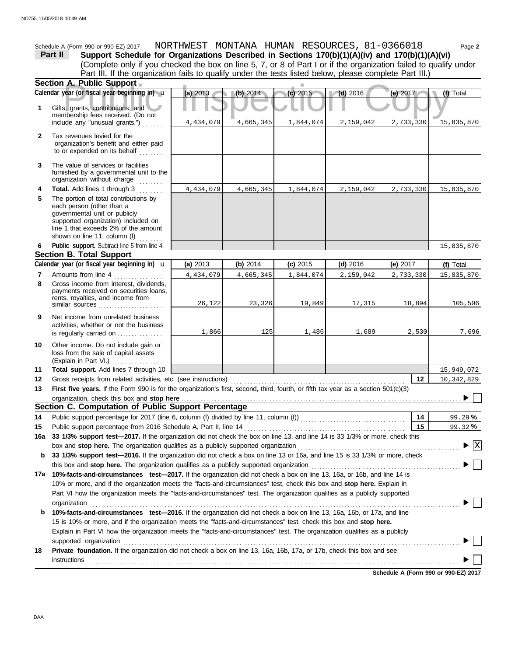**A. Public Support**<br>
year (or fiscal year beginning in) **u** (a) 2013<br>
S, grants, contributions, and therefore received. (Do not (Explain in Part VI.) . . . . . . . . . . . . . . . . . . . governmental unit or publicly **Section A. Public Support Total support.** Add lines 7 through 10 loss from the sale of capital assets Other income. Do not include gain or is regularly carried on . . . . . . . . . . . . . . . activities, whether or not the business Net income from unrelated business rents, royalties, and income from payments received on securities loans, Gross income from interest, dividends, line 1 that exceeds 2% of the amount supported organization) included on each person (other than a The portion of total contributions by **Total.** Add lines 1 through 3 .......... The value of services or facilities to or expended on its behalf ......... organization's benefit and either paid Tax revenues levied for the First five years. If the Form 990 is for the organization's first, second, third, fourth, or fifth tax year as a section 501(c)(3) Gross receipts from related activities, etc. (see instructions) . . . . . . . . . . . . . . . . . . . . . . . . . . . . . . . . . . . . . . . . . . . . . . . . . . . . . . . . . . . . . . . Amounts from line 4 **Public support.** Subtract line 5 from line 4. include any "unusual grants.") . . . . . . . . membership fees received. (Do not Gifts, grants, contributions, and Schedule A (Form 990 or 990-EZ) 2017 NORTHWEST MONTANA HUMAN RESOURCES,81-0366018 Page **2 13 12 11 9 8 6 4 3 2 1 (a)** 2013 **(b)** 2014 **(c)** 2015 **(d)** 2016 **(e)** 2017 (Complete only if you checked the box on line 5, 7, or 8 of Part I or if the organization failed to qualify under **Part II Support Schedule for Organizations Described in Sections 170(b)(1)(A)(iv) and 170(b)(1)(A)(vi)** Calendar year (or fiscal year beginning in)  $\cdot$  **(a)** 2013 (b) 2014 (c) 2015 (d) 2016 (e) 2016 (e) 2017 (e) 2017 furnished by a governmental unit to the organization without charge **5 Section B. Total Support 7** similar sources **10** organization, check this box and stop here **Section C. Computation of Public Support Percentage 12 14** Public support percentage for 2017 (line 6, column (f) divided by line 11, column (f)) . . . . . . . . . . . . . . . . . . . . . . . . . . . . . . . . . . . . . . Public support percentage from 2016 Schedule A, Part II, line 14 . . . . . . . . . . . . . . . . . . . . . . . . . . . . . . . . . . . . . . . . . . . . . . . . . . . . . . . . . . **15 16a 33 1/3% support test—2017.** If the organization did not check the box on line 13, and line 14 is 33 1/3% or more, check this box and stop here. The organization qualifies as a publicly supported organization .............. **b 33 1/3% support test—2016.** If the organization did not check a box on line 13 or 16a, and line 15 is 33 1/3% or more, check this box and stop here. The organization qualifies as a publicly supported organization ......................... **17a 10%-facts-and-circumstances test—2017.** If the organization did not check a box on line 13, 16a, or 16b, and line 14 is 10% or more, and if the organization meets the "facts-and-circumstances" test, check this box and **stop here.** Explain in Part VI how the organization meets the "facts-and-circumstances" test. The organization qualifies as a publicly supported **b 10%-facts-and-circumstances test—2016.** If the organization did not check a box on line 13, 16a, 16b, or 17a, and line Explain in Part VI how the organization meets the "facts-and-circumstances" test. The organization qualifies as a publicly 15 is 10% or more, and if the organization meets the "facts-and-circumstances" test, check this box and **stop here. 18 Private foundation.** If the organization did not check a box on line 13, 16a, 16b, 17a, or 17b, check this box and see **14 15 %** 99.29 **%** 99.32 Calendar year (or fiscal year beginning in)  $\bf{u}$  (a) 2013 (b) 2014 (c) 2015 (d) 2016 (e) 2017 (f) Total Part III. If the organization fails to qualify under the tests listed below, please complete Part III.) **(a)** 2013 shown on line 11, column (f)  $\ldots \ldots$ organization . . . . . . . . . . . . . . . . . . . . . . . . . . . . . . . . . . . . . . . . . . . . . . . . . . . . . . . . . . . . . . . . . . . . . . . . . . . . . . . . . . . . . . . . . . . . . . . . . . . . . . . . . . . . . . . . . . . . . . . . . . . . . . . . . . . . . . supported organization . . . . . . . . . . . . . . . . . . . . . . . . . . . . . . . . . . . . . . . . . . . . . . . . . . . . . . . . . . . . . . . . . . . . . . . . . . . . . . . . . . . . . . . . . . . . . . . . . . . . . . . . . . . . . . . . . . . . . . . . . . instructions<br>
<u>Instructions</u> u **(b)** 2014 **(c)** 2015 **(d)** 2016 **(e)** 2017 4,434,079 4,665,345 1,844,074 2,159,042 2,733,330 15,835,870 4,434,079 4,665,345 1,844,074 2,159,042 2,733,330 15,835,870 15,835,870 4,434,079 4,665,345 1,844,074 2,159,042 2,733,330 15,835,870 26,122 23,326 19,849 17,315 18,894 105,506 1,866 125 1,486 1,689 2,530 7,696 15,949,072 10,342,829  $\overline{X}$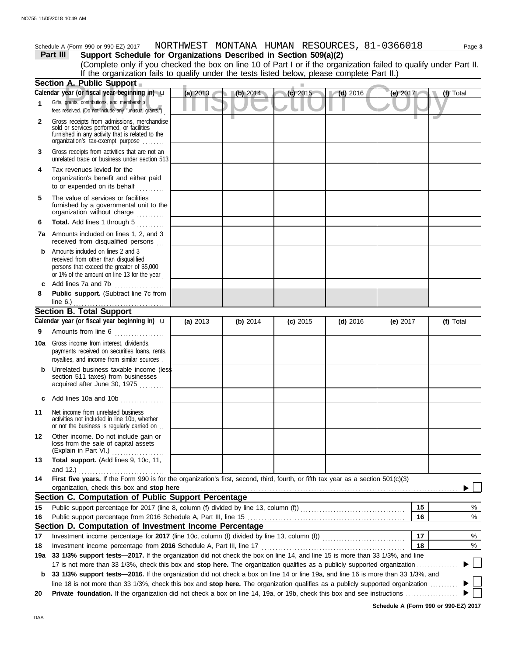## Schedule A (Form 990 or 990-EZ) 2017 NORTHWEST MONTANA HUMAN RESOURCES, 81-0366018 Page 3

**Part III Support Schedule for Organizations Described in Section 509(a)(2)** (Complete only if you checked the box on line 10 of Part I or if the organization failed to qualify under Part II. If the organization fails to qualify under the tests listed below, please complete Part II.)

|              | <b>Section A. Public Support</b>                                                                                                                                                                                                                                |          |          |            |            |            |           |
|--------------|-----------------------------------------------------------------------------------------------------------------------------------------------------------------------------------------------------------------------------------------------------------------|----------|----------|------------|------------|------------|-----------|
|              | Calendar year (or fiscal year beginning in) u                                                                                                                                                                                                                   | (a) 2013 | (b) 2014 | $(c)$ 2015 | $(d)$ 2016 | (e) $2017$ | (f) Total |
| $\mathbf{1}$ | Gifts, grants, contributions, and membership<br>fees received. (Do not include any "unusual grants.")                                                                                                                                                           |          |          |            |            |            |           |
| 2            | Gross receipts from admissions, merchandise<br>sold or services performed, or facilities<br>furnished in any activity that is related to the<br>organization's tax-exempt purpose                                                                               |          |          |            |            |            |           |
| 3            | Gross receipts from activities that are not an<br>unrelated trade or business under section 513                                                                                                                                                                 |          |          |            |            |            |           |
| 4            | Tax revenues levied for the<br>organization's benefit and either paid<br>to or expended on its behalf                                                                                                                                                           |          |          |            |            |            |           |
| 5            | The value of services or facilities<br>furnished by a governmental unit to the<br>organization without charge<br>.                                                                                                                                              |          |          |            |            |            |           |
| 6            | Total. Add lines 1 through 5<br>.                                                                                                                                                                                                                               |          |          |            |            |            |           |
|              | <b>7a</b> Amounts included on lines 1, 2, and 3<br>received from disqualified persons                                                                                                                                                                           |          |          |            |            |            |           |
| b            | Amounts included on lines 2 and 3<br>received from other than disqualified<br>persons that exceed the greater of \$5,000<br>or 1% of the amount on line 13 for the year                                                                                         |          |          |            |            |            |           |
| C            | Add lines 7a and 7b<br>.                                                                                                                                                                                                                                        |          |          |            |            |            |           |
| 8            | Public support. (Subtract line 7c from                                                                                                                                                                                                                          |          |          |            |            |            |           |
|              |                                                                                                                                                                                                                                                                 |          |          |            |            |            |           |
|              | <b>Section B. Total Support</b>                                                                                                                                                                                                                                 |          |          |            |            |            |           |
|              | Calendar year (or fiscal year beginning in) $\mathbf u$                                                                                                                                                                                                         | (a) 2013 | (b) 2014 | $(c)$ 2015 | $(d)$ 2016 | (e) $2017$ | (f) Total |
| 9            | Amounts from line 6                                                                                                                                                                                                                                             |          |          |            |            |            |           |
| 10a          | Gross income from interest, dividends,<br>payments received on securities loans, rents,<br>royalties, and income from similar sources.                                                                                                                          |          |          |            |            |            |           |
|              | Unrelated business taxable income (less<br>section 511 taxes) from businesses<br>acquired after June 30, 1975                                                                                                                                                   |          |          |            |            |            |           |
|              | c Add lines 10a and 10b $\ldots$                                                                                                                                                                                                                                |          |          |            |            |            |           |
| 11           | Net income from unrelated business<br>activities not included in line 10b, whether<br>or not the business is regularly carried on                                                                                                                               |          |          |            |            |            |           |
| 12.          | Other income. Do not include gain or<br>loss from the sale of capital assets<br>(Explain in Part VI.)                                                                                                                                                           |          |          |            |            |            |           |
| 13           | Total support. (Add lines 9, 10c, 11,                                                                                                                                                                                                                           |          |          |            |            |            |           |
|              | and 12.)                                                                                                                                                                                                                                                        |          |          |            |            |            |           |
| 14           | First five years. If the Form 990 is for the organization's first, second, third, fourth, or fifth tax year as a section 501(c)(3)                                                                                                                              |          |          |            |            |            |           |
|              | organization, check this box and stop here                                                                                                                                                                                                                      |          |          |            |            |            |           |
|              | Section C. Computation of Public Support Percentage                                                                                                                                                                                                             |          |          |            |            |            |           |
| 15           | Public support percentage for 2017 (line 8, column (f) divided by line 13, column (f)) [[[[[[[[[[[[[[[[[[[[[[                                                                                                                                                   |          |          |            |            | 15         | %         |
| 16           | Section D. Computation of Investment Income Percentage                                                                                                                                                                                                          |          |          |            |            | 16         | %         |
|              |                                                                                                                                                                                                                                                                 |          |          |            |            |            |           |
| 17           |                                                                                                                                                                                                                                                                 |          |          |            |            | 17         | %         |
| 18           | Investment income percentage from 2016 Schedule A, Part III, line 17                                                                                                                                                                                            |          |          |            |            | 18         | %         |
| 19a          | 33 1/3% support tests-2017. If the organization did not check the box on line 14, and line 15 is more than 33 1/3%, and line                                                                                                                                    |          |          |            |            |            |           |
| b            | 17 is not more than 33 1/3%, check this box and stop here. The organization qualifies as a publicly supported organization<br>33 1/3% support tests—2016. If the organization did not check a box on line 14 or line 19a, and line 16 is more than 33 1/3%, and |          |          |            |            |            |           |
|              | line 18 is not more than 33 1/3%, check this box and stop here. The organization qualifies as a publicly supported organization                                                                                                                                 |          |          |            |            |            |           |
| 20           |                                                                                                                                                                                                                                                                 |          |          |            |            |            |           |
|              |                                                                                                                                                                                                                                                                 |          |          |            |            |            |           |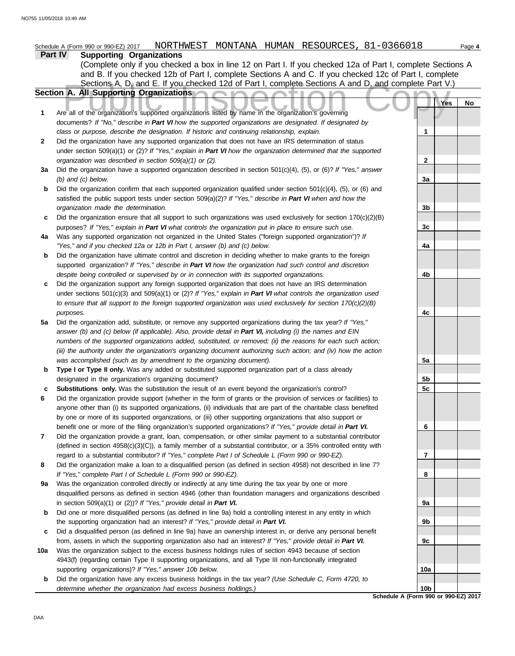|              | NORTHWEST MONTANA HUMAN RESOURCES, 81-0366018<br>Schedule A (Form 990 or 990-EZ) 2017                                                                                                                                         |                 |     | Page 4 |
|--------------|-------------------------------------------------------------------------------------------------------------------------------------------------------------------------------------------------------------------------------|-----------------|-----|--------|
|              | Part IV<br><b>Supporting Organizations</b>                                                                                                                                                                                    |                 |     |        |
|              | (Complete only if you checked a box in line 12 on Part I. If you checked 12a of Part I, complete Sections A                                                                                                                   |                 |     |        |
|              | and B. If you checked 12b of Part I, complete Sections A and C. If you checked 12c of Part I, complete                                                                                                                        |                 |     |        |
|              | Sections A, D, and E. If you checked 12d of Part I, complete Sections A and D, and complete Part V.)                                                                                                                          |                 |     |        |
|              | Section A. All Supporting Organizations<br>. .                                                                                                                                                                                |                 |     |        |
|              |                                                                                                                                                                                                                               |                 | Yes | No     |
| 1            | Are all of the organization's supported organizations listed by name in the organization's governing                                                                                                                          |                 |     |        |
|              | documents? If "No," describe in Part VI how the supported organizations are designated. If designated by                                                                                                                      |                 |     |        |
|              | class or purpose, describe the designation. If historic and continuing relationship, explain.                                                                                                                                 | 1               |     |        |
| $\mathbf{2}$ | Did the organization have any supported organization that does not have an IRS determination of status                                                                                                                        |                 |     |        |
|              | under section 509(a)(1) or (2)? If "Yes," explain in Part VI how the organization determined that the supported                                                                                                               |                 |     |        |
|              | organization was described in section 509(a)(1) or (2).                                                                                                                                                                       | $\mathbf{2}$    |     |        |
| За           | Did the organization have a supported organization described in section $501(c)(4)$ , (5), or (6)? If "Yes," answer<br>$(b)$ and $(c)$ below.                                                                                 | 3a              |     |        |
| b            | Did the organization confirm that each supported organization qualified under section $501(c)(4)$ , (5), or (6) and                                                                                                           |                 |     |        |
|              | satisfied the public support tests under section 509(a)(2)? If "Yes," describe in Part VI when and how the                                                                                                                    |                 |     |        |
|              | organization made the determination.                                                                                                                                                                                          | 3b              |     |        |
| c            | Did the organization ensure that all support to such organizations was used exclusively for section $170(c)(2)(B)$                                                                                                            |                 |     |        |
|              | purposes? If "Yes," explain in Part VI what controls the organization put in place to ensure such use.                                                                                                                        | 3c              |     |        |
| 4a           | Was any supported organization not organized in the United States ("foreign supported organization")? If                                                                                                                      |                 |     |        |
|              | "Yes," and if you checked 12a or 12b in Part I, answer (b) and (c) below.                                                                                                                                                     | 4a              |     |        |
| b            | Did the organization have ultimate control and discretion in deciding whether to make grants to the foreign                                                                                                                   |                 |     |        |
|              | supported organization? If "Yes," describe in Part VI how the organization had such control and discretion                                                                                                                    |                 |     |        |
|              | despite being controlled or supervised by or in connection with its supported organizations.                                                                                                                                  | 4b              |     |        |
| c            | Did the organization support any foreign supported organization that does not have an IRS determination                                                                                                                       |                 |     |        |
|              | under sections $501(c)(3)$ and $509(a)(1)$ or (2)? If "Yes," explain in Part VI what controls the organization used                                                                                                           |                 |     |        |
|              | to ensure that all support to the foreign supported organization was used exclusively for section $170(c)(2)(B)$                                                                                                              |                 |     |        |
|              | purposes.                                                                                                                                                                                                                     | 4c              |     |        |
| 5a           | Did the organization add, substitute, or remove any supported organizations during the tax year? If "Yes,"                                                                                                                    |                 |     |        |
|              | answer (b) and (c) below (if applicable). Also, provide detail in Part VI, including (i) the names and EIN                                                                                                                    |                 |     |        |
|              | numbers of the supported organizations added, substituted, or removed; (ii) the reasons for each such action;                                                                                                                 |                 |     |        |
|              | (iii) the authority under the organization's organizing document authorizing such action; and (iv) how the action                                                                                                             |                 |     |        |
|              | was accomplished (such as by amendment to the organizing document).                                                                                                                                                           | 5a              |     |        |
| b            | Type I or Type II only. Was any added or substituted supported organization part of a class already                                                                                                                           |                 |     |        |
|              | designated in the organization's organizing document?                                                                                                                                                                         | 5b              |     |        |
|              | Substitutions only. Was the substitution the result of an event beyond the organization's control?                                                                                                                            | 5c              |     |        |
|              | Did the organization provide support (whether in the form of grants or the provision of services or facilities) to                                                                                                            |                 |     |        |
|              | anyone other than (i) its supported organizations, (ii) individuals that are part of the charitable class benefited                                                                                                           |                 |     |        |
|              | by one or more of its supported organizations, or (iii) other supporting organizations that also support or<br>benefit one or more of the filing organization's supported organizations? If "Yes," provide detail in Part VI. | 6               |     |        |
| 7            | Did the organization provide a grant, loan, compensation, or other similar payment to a substantial contributor                                                                                                               |                 |     |        |
|              | (defined in section $4958(c)(3)(C)$ ), a family member of a substantial contributor, or a 35% controlled entity with                                                                                                          |                 |     |        |
|              | regard to a substantial contributor? If "Yes," complete Part I of Schedule L (Form 990 or 990-EZ).                                                                                                                            | 7               |     |        |
| 8            | Did the organization make a loan to a disqualified person (as defined in section 4958) not described in line 7?                                                                                                               |                 |     |        |
|              | If "Yes," complete Part I of Schedule L (Form 990 or 990-EZ).                                                                                                                                                                 | 8               |     |        |
| 9a           | Was the organization controlled directly or indirectly at any time during the tax year by one or more                                                                                                                         |                 |     |        |
|              | disqualified persons as defined in section 4946 (other than foundation managers and organizations described                                                                                                                   |                 |     |        |
|              | in section $509(a)(1)$ or $(2)$ ? If "Yes," provide detail in Part VI.                                                                                                                                                        | 9а              |     |        |
| b            | Did one or more disqualified persons (as defined in line 9a) hold a controlling interest in any entity in which                                                                                                               |                 |     |        |
|              | the supporting organization had an interest? If "Yes," provide detail in Part VI.                                                                                                                                             | 9b              |     |        |
| c            | Did a disqualified person (as defined in line 9a) have an ownership interest in, or derive any personal benefit                                                                                                               |                 |     |        |
|              | from, assets in which the supporting organization also had an interest? If "Yes," provide detail in Part VI.                                                                                                                  | 9c              |     |        |
| 10a          | Was the organization subject to the excess business holdings rules of section 4943 because of section                                                                                                                         |                 |     |        |
|              | 4943(f) (regarding certain Type II supporting organizations, and all Type III non-functionally integrated                                                                                                                     |                 |     |        |
|              | supporting organizations)? If "Yes," answer 10b below.                                                                                                                                                                        | 10a             |     |        |
| b            | Did the organization have any excess business holdings in the tax year? (Use Schedule C, Form 4720, to                                                                                                                        |                 |     |        |
|              | determine whether the organization had excess business holdings.)                                                                                                                                                             | 10 <sub>b</sub> |     |        |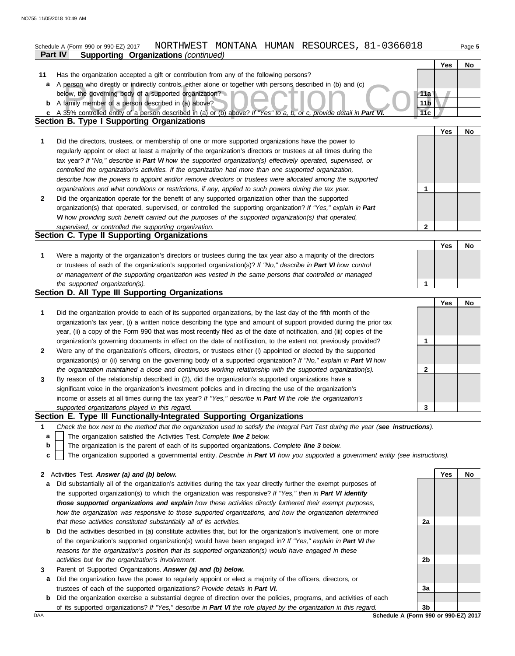|    | NORTHWEST MONTANA HUMAN RESOURCES, 81-0366018<br>Schedule A (Form 990 or 990-EZ) 2017                                             |                 | Page 5 |
|----|-----------------------------------------------------------------------------------------------------------------------------------|-----------------|--------|
|    | <b>Part IV</b><br><b>Supporting Organizations (continued)</b>                                                                     |                 |        |
|    |                                                                                                                                   | Yes             | No     |
| 11 | Has the organization accepted a gift or contribution from any of the following persons?                                           |                 |        |
| а  | A person who directly or indirectly controls, either alone or together with persons described in (b) and (c)                      |                 |        |
|    | below, the governing body of a supported organization?                                                                            |                 |        |
|    |                                                                                                                                   | 11a             |        |
| b  | A family member of a person described in (a) above?                                                                               | 11 <sub>b</sub> |        |
| c  | A 35% controlled entity of a person described in (a) or (b) above? If "Yes" to a, b, or c, provide detail in Part VI.             | 11c             |        |
|    | <b>Section B. Type I Supporting Organizations</b>                                                                                 |                 |        |
|    |                                                                                                                                   | <b>Yes</b>      | No     |
| 1  | Did the directors, trustees, or membership of one or more supported organizations have the power to                               |                 |        |
|    | regularly appoint or elect at least a majority of the organization's directors or trustees at all times during the                |                 |        |
|    | tax year? If "No," describe in Part VI how the supported organization(s) effectively operated, supervised, or                     |                 |        |
|    | controlled the organization's activities. If the organization had more than one supported organization,                           |                 |        |
|    | describe how the powers to appoint and/or remove directors or trustees were allocated among the supported                         |                 |        |
|    | organizations and what conditions or restrictions, if any, applied to such powers during the tax year.                            | 1               |        |
| 2  | Did the organization operate for the benefit of any supported organization other than the supported                               |                 |        |
|    | organization(s) that operated, supervised, or controlled the supporting organization? If "Yes," explain in Part                   |                 |        |
|    | VI how providing such benefit carried out the purposes of the supported organization(s) that operated,                            |                 |        |
|    | supervised, or controlled the supporting organization.                                                                            | $\mathbf{2}$    |        |
|    | Section C. Type II Supporting Organizations                                                                                       |                 |        |
|    |                                                                                                                                   | Yes             |        |
|    |                                                                                                                                   |                 | No     |
| 1  | Were a majority of the organization's directors or trustees during the tax year also a majority of the directors                  |                 |        |
|    | or trustees of each of the organization's supported organization(s)? If "No," describe in Part VI how control                     |                 |        |
|    | or management of the supporting organization was vested in the same persons that controlled or managed                            |                 |        |
|    | the supported organization(s).                                                                                                    | 1               |        |
|    | Section D. All Type III Supporting Organizations                                                                                  |                 |        |
|    |                                                                                                                                   | Yes             | No     |
| 1  | Did the organization provide to each of its supported organizations, by the last day of the fifth month of the                    |                 |        |
|    | organization's tax year, (i) a written notice describing the type and amount of support provided during the prior tax             |                 |        |
|    | year, (ii) a copy of the Form 990 that was most recently filed as of the date of notification, and (iii) copies of the            |                 |        |
|    | organization's governing documents in effect on the date of notification, to the extent not previously provided?                  | 1               |        |
| 2  | Were any of the organization's officers, directors, or trustees either (i) appointed or elected by the supported                  |                 |        |
|    | organization(s) or (ii) serving on the governing body of a supported organization? If "No," explain in Part VI how                |                 |        |
|    | the organization maintained a close and continuous working relationship with the supported organization(s).                       | 2               |        |
| 3  | By reason of the relationship described in (2), did the organization's supported organizations have a                             |                 |        |
|    |                                                                                                                                   |                 |        |
|    | significant voice in the organization's investment policies and in directing the use of the organization's                        |                 |        |
|    | income or assets at all times during the tax year? If "Yes," describe in Part VI the role the organization's                      |                 |        |
|    | supported organizations played in this regard.                                                                                    | 3               |        |
|    | Section E. Type III Functionally-Integrated Supporting Organizations                                                              |                 |        |
| 1  | Check the box next to the method that the organization used to satisfy the Integral Part Test during the year (see instructions). |                 |        |
| а  | The organization satisfied the Activities Test. Complete line 2 below.                                                            |                 |        |
| b  | The organization is the parent of each of its supported organizations. Complete line 3 below.                                     |                 |        |
| c  | The organization supported a governmental entity. Describe in Part VI how you supported a government entity (see instructions).   |                 |        |
|    |                                                                                                                                   |                 |        |

- **2** Activities Test. *Answer (a) and (b) below.*
	- **a** Did substantially all of the organization's activities during the tax year directly further the exempt purposes of the supported organization(s) to which the organization was responsive? *If "Yes," then in Part VI identify those supported organizations and explain how these activities directly furthered their exempt purposes, how the organization was responsive to those supported organizations, and how the organization determined that these activities constituted substantially all of its activities.*
	- **b** Did the activities described in (a) constitute activities that, but for the organization's involvement, one or more of the organization's supported organization(s) would have been engaged in? *If "Yes," explain in Part VI the reasons for the organization's position that its supported organization(s) would have engaged in these activities but for the organization's involvement.*
- **3** Parent of Supported Organizations. *Answer (a) and (b) below.*
	- **a** Did the organization have the power to regularly appoint or elect a majority of the officers, directors, or trustees of each of the supported organizations? *Provide details in Part VI.*
- **b** Did the organization exercise a substantial degree of direction over the policies, programs, and activities of each of its supported organizations? *If "Yes," describe in Part VI the role played by the organization in this regard.*

**Yes No 2a 2b 3a 3b**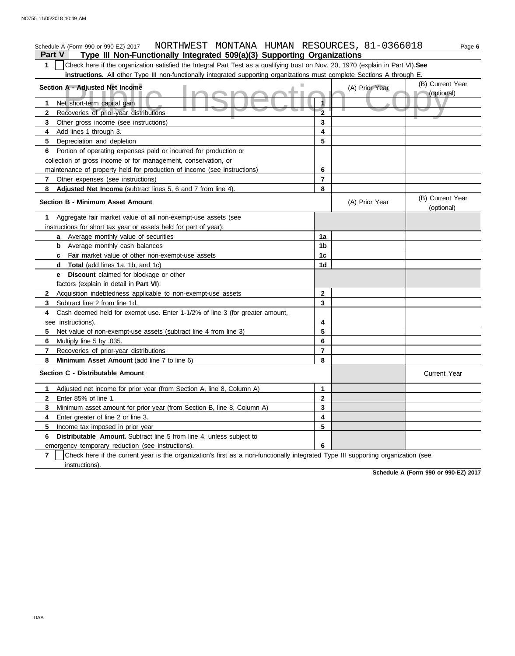## Schedule A (Form 990 or 990-EZ) 2017 NORTHWEST MONTANA HUMAN RESOURCES, 81-0366018 Page **6**

**Part V Type III Non-Functionally Integrated 509(a)(3) Supporting Organizations**

**1** Check here if the organization satisfied the Integral Part Test as a qualifying trust on Nov. 20, 1970 (explain in Part VI).**See instructions.** All other Type III non-functionally integrated supporting organizations must complete Sections A through E.

| Section A - Adjusted Net Income                                                                                                        |                | (A) Prior Year | (B) Current Year<br>(optional) |
|----------------------------------------------------------------------------------------------------------------------------------------|----------------|----------------|--------------------------------|
| Net short-term capital gain<br>$\mathbf 1$                                                                                             | 1              |                |                                |
| $\mathbf{2}$<br>Recoveries of prior-year distributions                                                                                 | $\overline{2}$ |                |                                |
| 3<br>Other gross income (see instructions)                                                                                             | 3              |                |                                |
| Add lines 1 through 3.<br>4                                                                                                            | 4              |                |                                |
| 5.<br>Depreciation and depletion                                                                                                       | 5              |                |                                |
| Portion of operating expenses paid or incurred for production or<br>6                                                                  |                |                |                                |
| collection of gross income or for management, conservation, or                                                                         |                |                |                                |
| maintenance of property held for production of income (see instructions)                                                               | 6              |                |                                |
| Other expenses (see instructions)<br>7                                                                                                 | $\overline{7}$ |                |                                |
| Adjusted Net Income (subtract lines 5, 6 and 7 from line 4).<br>8                                                                      | 8              |                |                                |
| <b>Section B - Minimum Asset Amount</b>                                                                                                |                | (A) Prior Year | (B) Current Year<br>(optional) |
| Aggregate fair market value of all non-exempt-use assets (see<br>1.                                                                    |                |                |                                |
| instructions for short tax year or assets held for part of year):                                                                      |                |                |                                |
| <b>a</b> Average monthly value of securities                                                                                           | 1a             |                |                                |
| <b>b</b> Average monthly cash balances                                                                                                 | 1b             |                |                                |
| <b>c</b> Fair market value of other non-exempt-use assets                                                                              | 1 <sub>c</sub> |                |                                |
| <b>Total</b> (add lines 1a, 1b, and 1c)<br>d                                                                                           | 1d             |                |                                |
| Discount claimed for blockage or other<br>e                                                                                            |                |                |                                |
| factors (explain in detail in <b>Part VI</b> ):                                                                                        |                |                |                                |
| $\mathbf{2}$<br>Acquisition indebtedness applicable to non-exempt-use assets                                                           | $\mathbf{2}$   |                |                                |
| Subtract line 2 from line 1d.<br>3                                                                                                     | 3              |                |                                |
| Cash deemed held for exempt use. Enter 1-1/2% of line 3 (for greater amount,<br>4                                                      |                |                |                                |
| see instructions).                                                                                                                     | 4              |                |                                |
| 5.<br>Net value of non-exempt-use assets (subtract line 4 from line 3)                                                                 | 5              |                |                                |
| 6<br>Multiply line 5 by .035.                                                                                                          | 6              |                |                                |
| 7<br>Recoveries of prior-year distributions                                                                                            | $\overline{7}$ |                |                                |
| 8<br>Minimum Asset Amount (add line 7 to line 6)                                                                                       | 8              |                |                                |
| Section C - Distributable Amount                                                                                                       |                |                | <b>Current Year</b>            |
| Adjusted net income for prior year (from Section A, line 8, Column A)<br>1                                                             | 1              |                |                                |
| Enter 85% of line 1.<br>$\mathbf{2}$                                                                                                   | $\overline{2}$ |                |                                |
| 3<br>Minimum asset amount for prior year (from Section B, line 8, Column A)                                                            | 3              |                |                                |
| Enter greater of line 2 or line 3.<br>4                                                                                                | 4              |                |                                |
| 5<br>Income tax imposed in prior year                                                                                                  | 5              |                |                                |
| <b>Distributable Amount.</b> Subtract line 5 from line 4, unless subject to<br>6                                                       |                |                |                                |
| emergency temporary reduction (see instructions).                                                                                      | 6              |                |                                |
| 7<br>Check here if the current year is the organization's first as a non-functionally integrated Type III supporting organization (see |                |                |                                |
| instructions).                                                                                                                         |                |                |                                |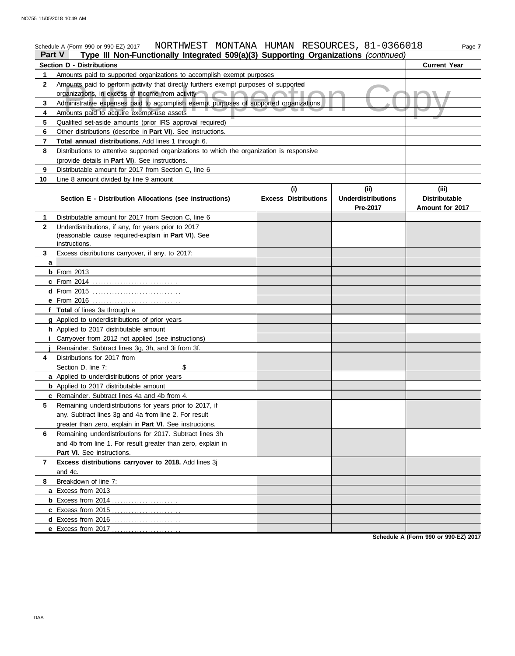#### mounts paid to perform activity that directly furthers exempt purposes of supported<br>ganizations, in excess of income from activity<br>dministrative expenses paid to accomplish exempt purposes of supported organizations<br>mounts Schedule A (Form 990 or 990-EZ) 2017 NORTHWEST MONTANA HUMAN RESOURCES, 81-0366018 Page **7 Part V Type III Non-Functionally Integrated 509(a)(3) Supporting Organizations** *(continued)* **Section D - Distributions Current Year 1** Amounts paid to supported organizations to accomplish exempt purposes **2 3 4 5 6 7 8 9 10** Amounts paid to perform activity that directly furthers exempt purposes of supported organizations, in excess of income from activity Administrative expenses paid to accomplish exempt purposes of supported organizations Amounts paid to acquire exempt-use assets Qualified set-aside amounts (prior IRS approval required) Other distributions (describe in **Part VI**). See instructions. **Total annual distributions.** Add lines 1 through 6. Distributions to attentive supported organizations to which the organization is responsive (provide details in **Part VI**). See instructions. Distributable amount for 2017 from Section C, line 6 Line 8 amount divided by line 9 amount **Section E - Distribution Allocations (see instructions) Excess Distributions (i) (ii) Underdistributions Pre-2017 (iii) Distributable Amount for 2017 8** Breakdown of line 7: **7 6** Remaining underdistributions for 2017. Subtract lines 3h **5** Remaining underdistributions for years prior to 2017, if **4** Distributions for 2017 from **3 2 1 a b** From 2013 **c** From 2014 . . . . . . . . . . . . . . . . . . . . . . . . . . . . . . . **d** From 2015 . . . . . . . . . . . . . . . . . . . . . . . . . . . . . . . . **e** From 2016 . . . . . . . . . . . . . . . . . . . . . . . . . . . . . . . . **f Total** of lines 3a through e **g** Applied to underdistributions of prior years **h** Applied to 2017 distributable amount **i** Carryover from 2012 not applied (see instructions) **j** Remainder. Subtract lines 3g, 3h, and 3i from 3f. **a** Applied to underdistributions of prior years **b** Applied to 2017 distributable amount **c** Remainder. Subtract lines 4a and 4b from 4. **a** Excess from 2013 **b** Excess from 2014 . . . . . . . . . . . . . . . . . . . . . . . . **c** Excess from 2015 . . . . . . . . . . . . . . . . . . . . . . . . . **d** Excess from 2016 . . . . . . . . . . . . . . . . . . . . . . . . . **e** Excess from 2017 . . . . . . . . . . . . . . . . . . . . . . . . . Distributable amount for 2017 from Section C, line 6 Underdistributions, if any, for years prior to 2017 (reasonable cause required-explain in **Part VI**). See Excess distributions carryover, if any, to 2017: Section D, line 7: \$ any. Subtract lines 3g and 4a from line 2. For result greater than zero, explain in **Part VI**. See instructions. and 4b from line 1. For result greater than zero, explain in Part VI. See instructions. **Excess distributions carryover to 2018.** Add lines 3j and 4c. instructions.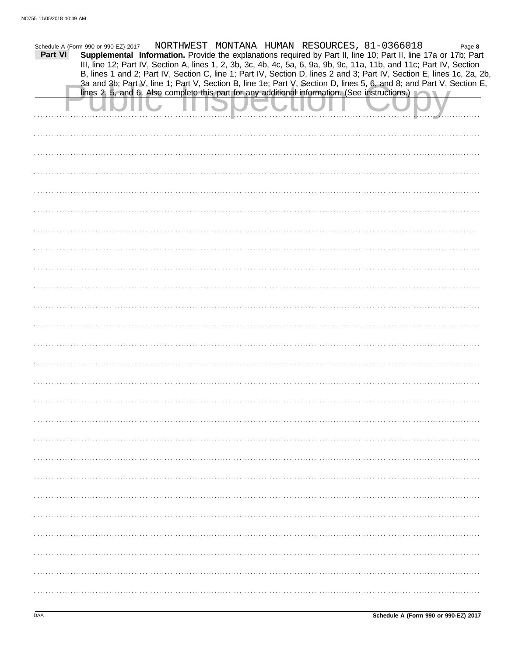|         | Schedule A (Form 990 or 990-EZ) 2017                                                                                 |  |  | NORTHWEST MONTANA HUMAN RESOURCES, 81-0366018 |  |  | Page 8                                                                                                                 |
|---------|----------------------------------------------------------------------------------------------------------------------|--|--|-----------------------------------------------|--|--|------------------------------------------------------------------------------------------------------------------------|
| Part VI | Supplemental Information. Provide the explanations required by Part II, line 10; Part II, line 17a or 17b; Part      |  |  |                                               |  |  |                                                                                                                        |
|         | III, line 12; Part IV, Section A, lines 1, 2, 3b, 3c, 4b, 4c, 5a, 6, 9a, 9b, 9c, 11a, 11b, and 11c; Part IV, Section |  |  |                                               |  |  |                                                                                                                        |
|         |                                                                                                                      |  |  |                                               |  |  | B, lines 1 and 2; Part IV, Section C, line 1; Part IV, Section D, lines 2 and 3; Part IV, Section E, lines 1c, 2a, 2b, |
|         |                                                                                                                      |  |  |                                               |  |  | 3a and 3b; Part V, line 1; Part V, Section B, line 1e; Part V, Section D, lines 5, 6, and 8; and Part V, Section E,    |
|         | lines 2, 5, and 6. Also complete this part for any additional information. (See instructions.)                       |  |  |                                               |  |  |                                                                                                                        |
|         |                                                                                                                      |  |  |                                               |  |  |                                                                                                                        |
|         |                                                                                                                      |  |  |                                               |  |  |                                                                                                                        |
|         |                                                                                                                      |  |  |                                               |  |  |                                                                                                                        |
|         |                                                                                                                      |  |  |                                               |  |  |                                                                                                                        |
|         |                                                                                                                      |  |  |                                               |  |  |                                                                                                                        |
|         |                                                                                                                      |  |  |                                               |  |  |                                                                                                                        |
|         |                                                                                                                      |  |  |                                               |  |  |                                                                                                                        |
|         |                                                                                                                      |  |  |                                               |  |  |                                                                                                                        |
|         |                                                                                                                      |  |  |                                               |  |  |                                                                                                                        |
|         |                                                                                                                      |  |  |                                               |  |  |                                                                                                                        |
|         |                                                                                                                      |  |  |                                               |  |  |                                                                                                                        |
|         |                                                                                                                      |  |  |                                               |  |  |                                                                                                                        |
|         |                                                                                                                      |  |  |                                               |  |  |                                                                                                                        |
|         |                                                                                                                      |  |  |                                               |  |  |                                                                                                                        |
|         |                                                                                                                      |  |  |                                               |  |  |                                                                                                                        |
|         |                                                                                                                      |  |  |                                               |  |  |                                                                                                                        |
|         |                                                                                                                      |  |  |                                               |  |  |                                                                                                                        |
|         |                                                                                                                      |  |  |                                               |  |  |                                                                                                                        |
|         |                                                                                                                      |  |  |                                               |  |  |                                                                                                                        |
|         |                                                                                                                      |  |  |                                               |  |  |                                                                                                                        |
|         |                                                                                                                      |  |  |                                               |  |  |                                                                                                                        |
|         |                                                                                                                      |  |  |                                               |  |  |                                                                                                                        |
|         |                                                                                                                      |  |  |                                               |  |  |                                                                                                                        |
|         |                                                                                                                      |  |  |                                               |  |  |                                                                                                                        |
|         |                                                                                                                      |  |  |                                               |  |  |                                                                                                                        |
|         |                                                                                                                      |  |  |                                               |  |  |                                                                                                                        |
|         |                                                                                                                      |  |  |                                               |  |  |                                                                                                                        |
|         |                                                                                                                      |  |  |                                               |  |  |                                                                                                                        |
|         |                                                                                                                      |  |  |                                               |  |  |                                                                                                                        |
|         |                                                                                                                      |  |  |                                               |  |  |                                                                                                                        |
|         |                                                                                                                      |  |  |                                               |  |  |                                                                                                                        |
|         |                                                                                                                      |  |  |                                               |  |  |                                                                                                                        |
|         |                                                                                                                      |  |  |                                               |  |  |                                                                                                                        |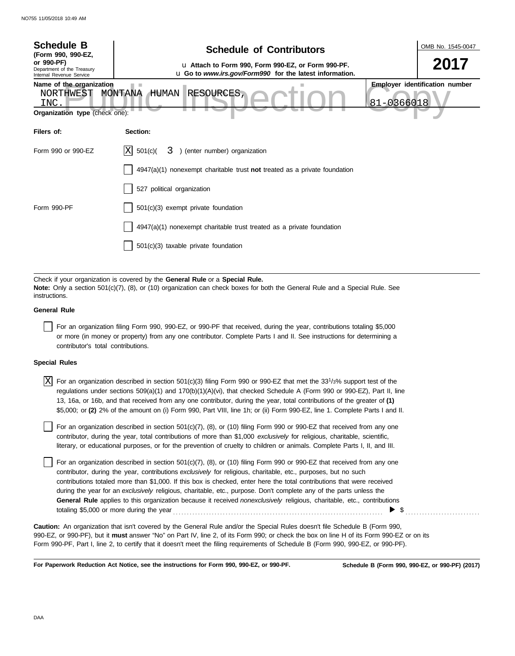| <b>Schedule B</b><br>(Form 990, 990-EZ,                                         | <b>Schedule of Contributors</b>                                                                                                                                                                             |            | OMB No. 1545-0047                     |
|---------------------------------------------------------------------------------|-------------------------------------------------------------------------------------------------------------------------------------------------------------------------------------------------------------|------------|---------------------------------------|
| or 990-PF)<br>Department of the Treasury<br>Internal Revenue Service            | u Attach to Form 990, Form 990-EZ, or Form 990-PF.<br>u Go to www.irs.gov/Form990 for the latest information.                                                                                               |            | 2017                                  |
| Name of the organization<br>NORTHWEST<br>INC.<br>Organization type (check one): | RESOURCES,<br>MONTANA<br>HUMAN                                                                                                                                                                              | 81-0366018 | <b>Employer identification number</b> |
| Filers of:                                                                      | Section:                                                                                                                                                                                                    |            |                                       |
| Form 990 or 990-EZ                                                              | IXI<br>501(c)<br>3) (enter number) organization                                                                                                                                                             |            |                                       |
|                                                                                 | $4947(a)(1)$ nonexempt charitable trust not treated as a private foundation                                                                                                                                 |            |                                       |
|                                                                                 | 527 political organization                                                                                                                                                                                  |            |                                       |
| Form 990-PF                                                                     | 501(c)(3) exempt private foundation                                                                                                                                                                         |            |                                       |
|                                                                                 | 4947(a)(1) nonexempt charitable trust treated as a private foundation                                                                                                                                       |            |                                       |
|                                                                                 | 501(c)(3) taxable private foundation                                                                                                                                                                        |            |                                       |
|                                                                                 |                                                                                                                                                                                                             |            |                                       |
| instructions.                                                                   | Check if your organization is covered by the General Rule or a Special Rule.<br>Note: Only a section 501(c)(7), (8), or (10) organization can check boxes for both the General Rule and a Special Rule. See |            |                                       |
| <b>General Rule</b>                                                             |                                                                                                                                                                                                             |            |                                       |

For an organization filing Form 990, 990-EZ, or 990-PF that received, during the year, contributions totaling \$5,000 or more (in money or property) from any one contributor. Complete Parts I and II. See instructions for determining a contributor's total contributions.

### **Special Rules**

| $\overline{X}$ For an organization described in section 501(c)(3) filing Form 990 or 990-EZ that met the 33 <sup>1</sup> /3% support test of the |
|--------------------------------------------------------------------------------------------------------------------------------------------------|
| regulations under sections 509(a)(1) and 170(b)(1)(A)(vi), that checked Schedule A (Form 990 or 990-EZ), Part II, line                           |
| 13, 16a, or 16b, and that received from any one contributor, during the year, total contributions of the greater of (1)                          |
| \$5,000; or (2) 2% of the amount on (i) Form 990, Part VIII, line 1h; or (ii) Form 990-EZ, line 1. Complete Parts I and II.                      |

literary, or educational purposes, or for the prevention of cruelty to children or animals. Complete Parts I, II, and III. For an organization described in section  $501(c)(7)$ ,  $(8)$ , or  $(10)$  filing Form 990 or 990-EZ that received from any one contributor, during the year, total contributions of more than \$1,000 *exclusively* for religious, charitable, scientific,

For an organization described in section 501(c)(7), (8), or (10) filing Form 990 or 990-EZ that received from any one contributor, during the year, contributions *exclusively* for religious, charitable, etc., purposes, but no such contributions totaled more than \$1,000. If this box is checked, enter here the total contributions that were received during the year for an *exclusively* religious, charitable, etc., purpose. Don't complete any of the parts unless the **General Rule** applies to this organization because it received *nonexclusively* religious, charitable, etc., contributions totaling \$5,000 or more during the year . . . . . . . . . . . . . . . . . . . . . . . . . . . . . . . . . . . . . . . . . . . . . . . . . . . . . . . . . . . . . . . . . . . . . . . . . . . . \$ . . . . . . . . . . . . . . . . . . . . . . . . . . .

990-EZ, or 990-PF), but it **must** answer "No" on Part IV, line 2, of its Form 990; or check the box on line H of its Form 990-EZ or on its Form 990-PF, Part I, line 2, to certify that it doesn't meet the filing requirements of Schedule B (Form 990, 990-EZ, or 990-PF). **Caution:** An organization that isn't covered by the General Rule and/or the Special Rules doesn't file Schedule B (Form 990,

**For Paperwork Reduction Act Notice, see the instructions for Form 990, 990-EZ, or 990-PF.**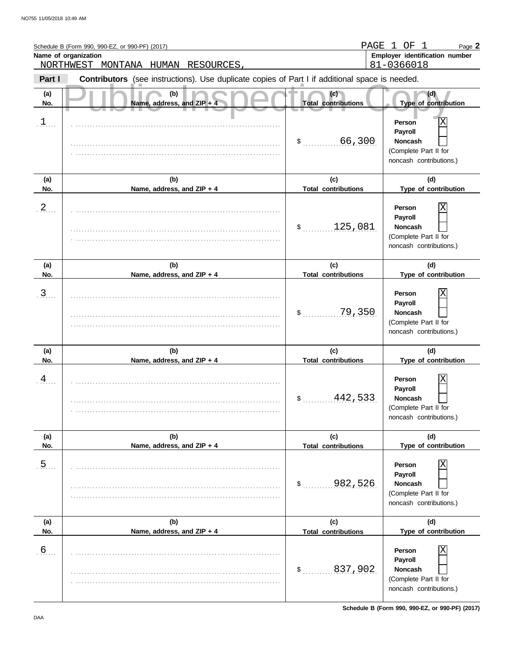|                | Schedule B (Form 990, 990-EZ, or 990-PF) (2017)<br>Name of organization<br>NORTHWEST MONTANA HUMAN<br>RESOURCES, |                                   | PAGE 1<br>OF 1<br>Page 2<br>Employer identification number<br>81-0366018                     |
|----------------|------------------------------------------------------------------------------------------------------------------|-----------------------------------|----------------------------------------------------------------------------------------------|
| Part I         | Contributors (see instructions). Use duplicate copies of Part I if additional space is needed.                   |                                   |                                                                                              |
| (a)<br>No.     | (b)<br>Name, address, and ZIP +                                                                                  | (c)<br><b>Total contributions</b> | (d)<br>Type of contribution                                                                  |
| $\mathbf{1}$   |                                                                                                                  |                                   | Χ<br>Person<br>Payroll<br><b>Noncash</b><br>(Complete Part II for<br>noncash contributions.) |
| (a)<br>No.     | (b)<br>Name, address, and ZIP + 4                                                                                | (c)<br><b>Total contributions</b> | (d)<br>Type of contribution                                                                  |
| $\overline{2}$ |                                                                                                                  | 125,081<br>$\sim$                 | Person<br>Payroll<br><b>Noncash</b><br>(Complete Part II for<br>noncash contributions.)      |
| (a)<br>No.     | (b)<br>Name, address, and ZIP + 4                                                                                | (c)<br><b>Total contributions</b> | (d)<br>Type of contribution                                                                  |
| $\mathfrak{Z}$ |                                                                                                                  | .79,350<br>$\sim$                 | Χ<br>Person<br>Payroll<br><b>Noncash</b><br>(Complete Part II for<br>noncash contributions.) |
| (a)<br>No.     | (b)<br>Name, address, and ZIP + 4                                                                                | (c)<br><b>Total contributions</b> | (d)<br>Type of contribution                                                                  |
| 4              |                                                                                                                  | 442,533<br>\$                     | Χ<br>Person<br>Payroll<br>Noncash<br>(Complete Part II for<br>noncash contributions.)        |
| (a)<br>No.     | (b)<br>Name, address, and ZIP + 4                                                                                | (c)<br><b>Total contributions</b> | (d)<br>Type of contribution                                                                  |
| $\overline{5}$ |                                                                                                                  | 982,526<br>$\ddot{\textbf{S}}$    | Person<br>Payroll<br><b>Noncash</b><br>(Complete Part II for<br>noncash contributions.)      |
| (a)<br>No.     | (b)<br>Name, address, and ZIP + 4                                                                                | (c)<br><b>Total contributions</b> | (d)<br>Type of contribution                                                                  |
| 6              |                                                                                                                  | 837,902<br>$\mathsf{\$}$          | Person<br>Payroll<br><b>Noncash</b><br>(Complete Part II for<br>noncash contributions.)      |

**Schedule B (Form 990, 990-EZ, or 990-PF) (2017)**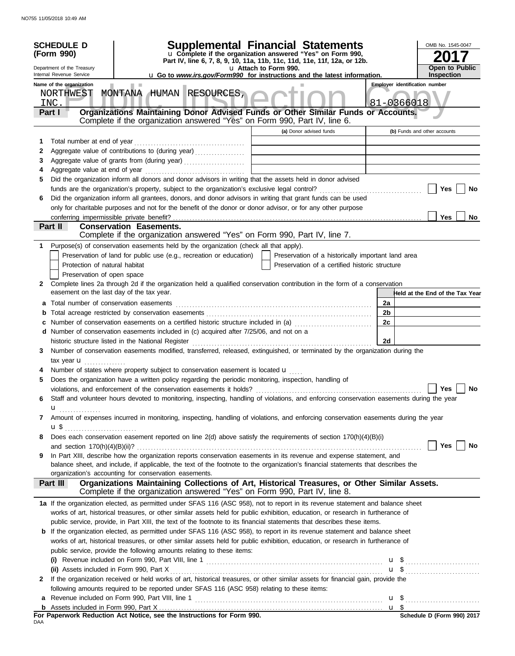|              | <b>SCHEDULE D</b><br>(Form 990)               |                                                                                                              | <b>Supplemental Financial Statements</b><br>u Complete if the organization answered "Yes" on Form 990, |                       | Part IV, line 6, 7, 8, 9, 10, 11a, 11b, 11c, 11d, 11e, 11f, 12a, or 12b.                                                                                                                                                                                  |    | OMB No. 1545-0047                                                                                                                             |
|--------------|-----------------------------------------------|--------------------------------------------------------------------------------------------------------------|--------------------------------------------------------------------------------------------------------|-----------------------|-----------------------------------------------------------------------------------------------------------------------------------------------------------------------------------------------------------------------------------------------------------|----|-----------------------------------------------------------------------------------------------------------------------------------------------|
|              | Department of the Treasury                    |                                                                                                              |                                                                                                        | u Attach to Form 990. |                                                                                                                                                                                                                                                           |    | <b>Open to Public</b>                                                                                                                         |
|              | Internal Revenue Service                      |                                                                                                              |                                                                                                        |                       | <b>u</b> Go to www.irs.gov/Form990 for instructions and the latest information.                                                                                                                                                                           |    | Inspection                                                                                                                                    |
|              | Name of the organization<br>NORTHWEST<br>INC. | MONTANA HUMAN                                                                                                | RESOURCES,                                                                                             |                       |                                                                                                                                                                                                                                                           |    | <b>Employer identification number</b><br>81-0366018                                                                                           |
|              | Part I                                        |                                                                                                              |                                                                                                        |                       | Organizations Maintaining Donor Advised Funds or Other Similar Funds or Accounts.                                                                                                                                                                         |    |                                                                                                                                               |
|              |                                               | Complete if the organization answered "Yes" on Form 990, Part IV, line 6.                                    |                                                                                                        |                       |                                                                                                                                                                                                                                                           |    |                                                                                                                                               |
|              |                                               |                                                                                                              |                                                                                                        |                       | (a) Donor advised funds                                                                                                                                                                                                                                   |    | (b) Funds and other accounts                                                                                                                  |
| 1            | Total number at end of year                   |                                                                                                              |                                                                                                        |                       |                                                                                                                                                                                                                                                           |    |                                                                                                                                               |
| 2            |                                               |                                                                                                              |                                                                                                        |                       |                                                                                                                                                                                                                                                           |    |                                                                                                                                               |
| 3            |                                               | Aggregate value of grants from (during year)                                                                 |                                                                                                        |                       |                                                                                                                                                                                                                                                           |    |                                                                                                                                               |
| 4            | Aggregate value at end of year                | Did the organization inform all donors and donor advisors in writing that the assets held in donor advised   |                                                                                                        |                       |                                                                                                                                                                                                                                                           |    |                                                                                                                                               |
| 5            |                                               |                                                                                                              |                                                                                                        |                       |                                                                                                                                                                                                                                                           |    | Yes<br>No                                                                                                                                     |
| 6            |                                               |                                                                                                              |                                                                                                        |                       | Did the organization inform all grantees, donors, and donor advisors in writing that grant funds can be used                                                                                                                                              |    |                                                                                                                                               |
|              |                                               | only for charitable purposes and not for the benefit of the donor or donor advisor, or for any other purpose |                                                                                                        |                       |                                                                                                                                                                                                                                                           |    |                                                                                                                                               |
|              | conferring impermissible private benefit?     |                                                                                                              |                                                                                                        |                       |                                                                                                                                                                                                                                                           |    | <b>Yes</b><br>No                                                                                                                              |
|              | Part II                                       | <b>Conservation Easements.</b>                                                                               |                                                                                                        |                       |                                                                                                                                                                                                                                                           |    |                                                                                                                                               |
|              |                                               | Complete if the organization answered "Yes" on Form 990, Part IV, line 7.                                    |                                                                                                        |                       |                                                                                                                                                                                                                                                           |    |                                                                                                                                               |
| 1            |                                               | Purpose(s) of conservation easements held by the organization (check all that apply).                        |                                                                                                        |                       |                                                                                                                                                                                                                                                           |    |                                                                                                                                               |
|              |                                               | Preservation of land for public use (e.g., recreation or education)                                          |                                                                                                        |                       | Preservation of a historically important land area                                                                                                                                                                                                        |    |                                                                                                                                               |
|              | Protection of natural habitat                 |                                                                                                              |                                                                                                        |                       | Preservation of a certified historic structure                                                                                                                                                                                                            |    |                                                                                                                                               |
|              | Preservation of open space                    |                                                                                                              |                                                                                                        |                       |                                                                                                                                                                                                                                                           |    |                                                                                                                                               |
| $\mathbf{2}$ |                                               |                                                                                                              |                                                                                                        |                       | Complete lines 2a through 2d if the organization held a qualified conservation contribution in the form of a conservation                                                                                                                                 |    |                                                                                                                                               |
|              | easement on the last day of the tax year.     |                                                                                                              |                                                                                                        |                       |                                                                                                                                                                                                                                                           |    | Held at the End of the Tax Year                                                                                                               |
| а            | Total number of conservation easements        |                                                                                                              |                                                                                                        |                       |                                                                                                                                                                                                                                                           | 2a |                                                                                                                                               |
| b            |                                               |                                                                                                              |                                                                                                        |                       |                                                                                                                                                                                                                                                           | 2b |                                                                                                                                               |
|              |                                               |                                                                                                              |                                                                                                        |                       | Number of conservation easements on a certified historic structure included in (a)                                                                                                                                                                        | 2c |                                                                                                                                               |
|              |                                               | d Number of conservation easements included in (c) acquired after 7/25/06, and not on a                      |                                                                                                        |                       |                                                                                                                                                                                                                                                           |    |                                                                                                                                               |
|              |                                               | historic structure listed in the National Register                                                           |                                                                                                        |                       |                                                                                                                                                                                                                                                           | 2d |                                                                                                                                               |
| 3            |                                               |                                                                                                              |                                                                                                        |                       | Number of conservation easements modified, transferred, released, extinguished, or terminated by the organization during the                                                                                                                              |    |                                                                                                                                               |
|              | tax year <b>u</b><br>.                        |                                                                                                              |                                                                                                        |                       |                                                                                                                                                                                                                                                           |    |                                                                                                                                               |
|              |                                               | Number of states where property subject to conservation easement is located u                                |                                                                                                        |                       |                                                                                                                                                                                                                                                           |    |                                                                                                                                               |
| 5            |                                               | Does the organization have a written policy regarding the periodic monitoring, inspection, handling of       |                                                                                                        |                       |                                                                                                                                                                                                                                                           |    |                                                                                                                                               |
|              |                                               | violations, and enforcement of the conservation easements it holds?                                          |                                                                                                        |                       |                                                                                                                                                                                                                                                           |    | Yes<br>No                                                                                                                                     |
| 6            |                                               |                                                                                                              |                                                                                                        |                       | Staff and volunteer hours devoted to monitoring, inspecting, handling of violations, and enforcing conservation easements during the year                                                                                                                 |    |                                                                                                                                               |
|              | u                                             |                                                                                                              |                                                                                                        |                       |                                                                                                                                                                                                                                                           |    |                                                                                                                                               |
| 7            |                                               |                                                                                                              |                                                                                                        |                       | Amount of expenses incurred in monitoring, inspecting, handling of violations, and enforcing conservation easements during the year                                                                                                                       |    |                                                                                                                                               |
|              |                                               |                                                                                                              |                                                                                                        |                       |                                                                                                                                                                                                                                                           |    |                                                                                                                                               |
| 8            |                                               |                                                                                                              |                                                                                                        |                       | Does each conservation easement reported on line 2(d) above satisfy the requirements of section 170(h)(4)(B)(i)                                                                                                                                           |    |                                                                                                                                               |
|              |                                               |                                                                                                              |                                                                                                        |                       |                                                                                                                                                                                                                                                           |    | Yes<br>No                                                                                                                                     |
| 9            |                                               |                                                                                                              |                                                                                                        |                       | In Part XIII, describe how the organization reports conservation easements in its revenue and expense statement, and<br>balance sheet, and include, if applicable, the text of the footnote to the organization's financial statements that describes the |    |                                                                                                                                               |
|              |                                               | organization's accounting for conservation easements.                                                        |                                                                                                        |                       |                                                                                                                                                                                                                                                           |    |                                                                                                                                               |
|              | Part III                                      |                                                                                                              |                                                                                                        |                       | Organizations Maintaining Collections of Art, Historical Treasures, or Other Similar Assets.                                                                                                                                                              |    |                                                                                                                                               |
|              |                                               | Complete if the organization answered "Yes" on Form 990, Part IV, line 8.                                    |                                                                                                        |                       |                                                                                                                                                                                                                                                           |    |                                                                                                                                               |
|              |                                               |                                                                                                              |                                                                                                        |                       | 1a If the organization elected, as permitted under SFAS 116 (ASC 958), not to report in its revenue statement and balance sheet                                                                                                                           |    |                                                                                                                                               |
|              |                                               |                                                                                                              |                                                                                                        |                       | works of art, historical treasures, or other similar assets held for public exhibition, education, or research in furtherance of                                                                                                                          |    |                                                                                                                                               |
|              |                                               |                                                                                                              |                                                                                                        |                       | public service, provide, in Part XIII, the text of the footnote to its financial statements that describes these items.                                                                                                                                   |    |                                                                                                                                               |
| b            |                                               |                                                                                                              |                                                                                                        |                       | If the organization elected, as permitted under SFAS 116 (ASC 958), to report in its revenue statement and balance sheet                                                                                                                                  |    |                                                                                                                                               |
|              |                                               |                                                                                                              |                                                                                                        |                       | works of art, historical treasures, or other similar assets held for public exhibition, education, or research in furtherance of                                                                                                                          |    |                                                                                                                                               |
|              |                                               | public service, provide the following amounts relating to these items:                                       |                                                                                                        |                       |                                                                                                                                                                                                                                                           |    |                                                                                                                                               |
|              |                                               |                                                                                                              |                                                                                                        |                       |                                                                                                                                                                                                                                                           |    | (i) Revenue included on Form 990, Part VIII, line 1 $\ldots$ $\ldots$ $\ldots$ $\ldots$ $\ldots$ $\ldots$ $\ldots$ $\ldots$ $\ldots$ $\ldots$ |
|              | (ii) Assets included in Form 990, Part X      |                                                                                                              |                                                                                                        |                       |                                                                                                                                                                                                                                                           |    |                                                                                                                                               |
| 2            |                                               |                                                                                                              |                                                                                                        |                       | If the organization received or held works of art, historical treasures, or other similar assets for financial gain, provide the                                                                                                                          |    |                                                                                                                                               |
|              |                                               | following amounts required to be reported under SFAS 116 (ASC 958) relating to these items:                  |                                                                                                        |                       |                                                                                                                                                                                                                                                           |    |                                                                                                                                               |
| a            |                                               |                                                                                                              |                                                                                                        |                       |                                                                                                                                                                                                                                                           |    |                                                                                                                                               |
|              |                                               |                                                                                                              |                                                                                                        |                       |                                                                                                                                                                                                                                                           |    |                                                                                                                                               |
|              |                                               | For Paperwork Reduction Act Notice, see the Instructions for Form 990.                                       |                                                                                                        |                       |                                                                                                                                                                                                                                                           |    | Schedule D (Form 990) 2017                                                                                                                    |
| DAA          |                                               |                                                                                                              |                                                                                                        |                       |                                                                                                                                                                                                                                                           |    |                                                                                                                                               |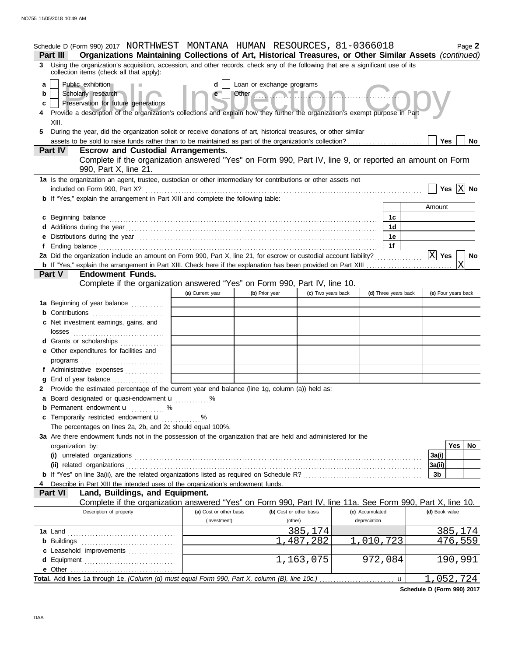|   | Schedule D (Form 990) 2017 NORTHWEST MONTANA HUMAN RESOURCES, 81-0366018                                                                                                                                                                                        |                         |                |                         |                 |                      |                    | Page 2              |
|---|-----------------------------------------------------------------------------------------------------------------------------------------------------------------------------------------------------------------------------------------------------------------|-------------------------|----------------|-------------------------|-----------------|----------------------|--------------------|---------------------|
|   | Organizations Maintaining Collections of Art, Historical Treasures, or Other Similar Assets (continued)<br>Part III                                                                                                                                             |                         |                |                         |                 |                      |                    |                     |
|   | 3 Using the organization's acquisition, accession, and other records, check any of the following that are a significant use of its<br>collection items (check all that apply):                                                                                  |                         |                |                         |                 |                      |                    |                     |
| a | Public exhibition<br>Loan or exchange programs<br>d                                                                                                                                                                                                             |                         |                |                         |                 |                      |                    |                     |
| b | Other <b>Contains the Contact of the Contact of the Contact of the Contact of the Contact of the Contact of the Contact of the Contact of the Contact of the Contact of the Contact of the Contact of the Contact of the Contact</b><br>Scholarly research<br>e |                         |                |                         |                 |                      |                    |                     |
| c | Preservation for future generations                                                                                                                                                                                                                             |                         |                |                         |                 |                      |                    |                     |
|   | Provide a description of the organization's collections and explain how they further the organization's exempt purpose in Part                                                                                                                                  |                         |                |                         |                 |                      |                    |                     |
|   | XIII.                                                                                                                                                                                                                                                           |                         |                |                         |                 |                      |                    |                     |
|   | During the year, did the organization solicit or receive donations of art, historical treasures, or other similar<br>5.                                                                                                                                         |                         |                |                         |                 |                      |                    |                     |
|   | Yes<br>assets to be sold to raise funds rather than to be maintained as part of the organization's collection?<br>No.                                                                                                                                           |                         |                |                         |                 |                      |                    |                     |
|   | <b>Part IV</b><br><b>Escrow and Custodial Arrangements.</b>                                                                                                                                                                                                     |                         |                |                         |                 |                      |                    |                     |
|   | Complete if the organization answered "Yes" on Form 990, Part IV, line 9, or reported an amount on Form<br>990, Part X, line 21.                                                                                                                                |                         |                |                         |                 |                      |                    |                     |
|   | 1a Is the organization an agent, trustee, custodian or other intermediary for contributions or other assets not                                                                                                                                                 |                         |                |                         |                 |                      |                    |                     |
|   |                                                                                                                                                                                                                                                                 |                         |                |                         |                 |                      |                    | Yes $ X $ No        |
|   | <b>b</b> If "Yes," explain the arrangement in Part XIII and complete the following table:                                                                                                                                                                       |                         |                |                         |                 |                      |                    |                     |
|   |                                                                                                                                                                                                                                                                 |                         |                |                         |                 |                      | Amount             |                     |
|   | c Beginning balance                                                                                                                                                                                                                                             |                         |                |                         |                 | 1c                   |                    |                     |
|   |                                                                                                                                                                                                                                                                 |                         |                |                         |                 | 1d<br>1e             |                    |                     |
|   | e Distributions during the year manufactured contains and the year manufactured with the set of the set of the set of the set of the set of the set of the set of the set of the set of the set of the set of the set of the s                                  |                         |                |                         |                 | 1f                   |                    |                     |
|   |                                                                                                                                                                                                                                                                 |                         |                |                         |                 |                      | $\overline{X}$ Yes | No                  |
|   |                                                                                                                                                                                                                                                                 |                         |                |                         |                 |                      |                    | Χ                   |
|   | <b>Endowment Funds.</b><br><b>Part V</b>                                                                                                                                                                                                                        |                         |                |                         |                 |                      |                    |                     |
|   | Complete if the organization answered "Yes" on Form 990, Part IV, line 10.                                                                                                                                                                                      |                         |                |                         |                 |                      |                    |                     |
|   |                                                                                                                                                                                                                                                                 | (a) Current year        | (b) Prior year | (c) Two years back      |                 | (d) Three years back |                    | (e) Four years back |
|   | 1a Beginning of year balance                                                                                                                                                                                                                                    |                         |                |                         |                 |                      |                    |                     |
|   | <b>b</b> Contributions <b>contributions</b>                                                                                                                                                                                                                     |                         |                |                         |                 |                      |                    |                     |
|   | c Net investment earnings, gains, and                                                                                                                                                                                                                           |                         |                |                         |                 |                      |                    |                     |
|   | losses                                                                                                                                                                                                                                                          |                         |                |                         |                 |                      |                    |                     |
|   | d Grants or scholarships                                                                                                                                                                                                                                        |                         |                |                         |                 |                      |                    |                     |
|   | e Other expenditures for facilities and                                                                                                                                                                                                                         |                         |                |                         |                 |                      |                    |                     |
|   |                                                                                                                                                                                                                                                                 |                         |                |                         |                 |                      |                    |                     |
|   | f Administrative expenses                                                                                                                                                                                                                                       |                         |                |                         |                 |                      |                    |                     |
|   | <b>g</b> End of year balance $\ldots$                                                                                                                                                                                                                           |                         |                |                         |                 |                      |                    |                     |
|   | 2 Provide the estimated percentage of the current year end balance (line 1g, column (a)) held as:                                                                                                                                                               |                         |                |                         |                 |                      |                    |                     |
|   | a Board designated or quasi-endowment <b>u</b> %                                                                                                                                                                                                                |                         |                |                         |                 |                      |                    |                     |
|   | <b>b</b> Permanent endowment <b>u</b> %                                                                                                                                                                                                                         |                         |                |                         |                 |                      |                    |                     |
|   | c Temporarily restricted endowment <b>u</b> %                                                                                                                                                                                                                   |                         |                |                         |                 |                      |                    |                     |
|   | The percentages on lines 2a, 2b, and 2c should equal 100%.                                                                                                                                                                                                      |                         |                |                         |                 |                      |                    |                     |
|   | 3a Are there endowment funds not in the possession of the organization that are held and administered for the                                                                                                                                                   |                         |                |                         |                 |                      |                    |                     |
|   | organization by:                                                                                                                                                                                                                                                |                         |                |                         |                 |                      |                    | Yes  <br>No         |
|   |                                                                                                                                                                                                                                                                 |                         |                |                         |                 |                      | 3a(i)              |                     |
|   |                                                                                                                                                                                                                                                                 |                         |                |                         |                 |                      | 3a(ii)             |                     |
|   |                                                                                                                                                                                                                                                                 |                         |                |                         |                 |                      | 3b                 |                     |
|   | Describe in Part XIII the intended uses of the organization's endowment funds.<br>Part VI<br>Land, Buildings, and Equipment.                                                                                                                                    |                         |                |                         |                 |                      |                    |                     |
|   | Complete if the organization answered "Yes" on Form 990, Part IV, line 11a. See Form 990, Part X, line 10.                                                                                                                                                      |                         |                |                         |                 |                      |                    |                     |
|   | Description of property                                                                                                                                                                                                                                         | (a) Cost or other basis |                | (b) Cost or other basis | (c) Accumulated |                      | (d) Book value     |                     |
|   |                                                                                                                                                                                                                                                                 | (investment)            |                | (other)                 | depreciation    |                      |                    |                     |
|   |                                                                                                                                                                                                                                                                 |                         |                | 385,174                 |                 |                      |                    | 385,174             |
|   |                                                                                                                                                                                                                                                                 |                         |                | 487,282                 | ,010,723        |                      |                    | 476,559             |
|   | c Leasehold improvements                                                                                                                                                                                                                                        |                         |                |                         |                 |                      |                    |                     |
|   |                                                                                                                                                                                                                                                                 |                         |                | 1,163,075               | 972,084         |                      |                    | 190,991             |
|   | e Other                                                                                                                                                                                                                                                         |                         |                |                         |                 |                      |                    |                     |
|   |                                                                                                                                                                                                                                                                 |                         |                |                         |                 | $\mathbf{u}$         |                    | 1,052,724           |

**Schedule D (Form 990) 2017**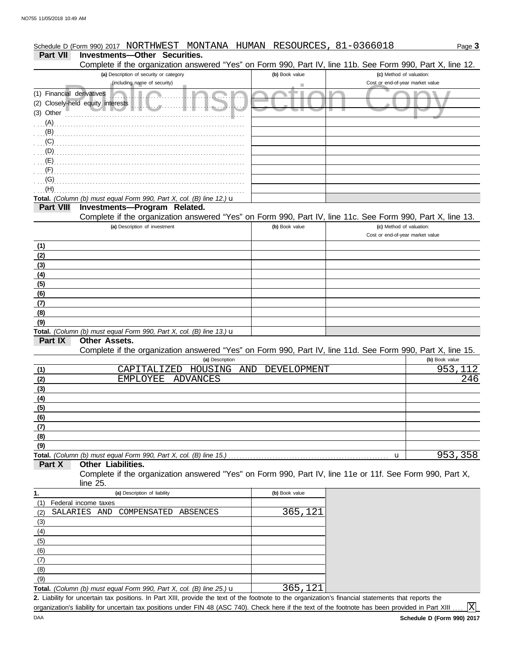#### (including name of security)<br>
Cost or end-of-year market value<br>
y-held equity interests<br>
experience of the contract value<br>
of the contract value<br>
of the contract value<br>
of the contract value<br>
of the contract value<br>
of the **(b)** Book value **(c)** Method of valuation: Page **3 Part VII Investments—Other Securities.** Schedule D (Form 990) 2017 NORTHWEST MONTANA HUMAN RESOURCES, 81-0366018 **(a)** Description of security or category (including name of security) Financial derivatives . . . . . . . . . . . . . . . . . . . . . . . . . . . . . . . . . . . . . . . . . . . . . . . . . (1) Closely-held equity interests . . . . . . . . . . . . . . . . . . . . . . . . . . . . . . . . . . . . . . . . . (2) (3) Other . . . . . . . . . . . . . . . . . . . . . . . . . . . . . . . . . . . . . . . . . . . . . . . . . . . . . . . . . . . . . . . . . **Total.** *(Column (b) must equal Form 990, Part X, col. (B) line 12.)* u **(a)** Description of investment **Part VIII Investments—Program Related. (b)** Book value **(c)** Method of valuation: Cost or end-of-year market value **(b)** Book value **Other Assets. (a)** Description **Part IX Part X (a)** Description of liability **Other Liabilities. (b)** Book value Federal income taxes **Total.** *(Column (b) must equal Form 990, Part X, col. (B) line 13.)* u **Total.** *(Column (b) must equal Form 990, Part X, col. (B) line 15.)* . . . . . . . . . . . . . . . . . . . . . . . . . . . . . . . . . . . . . . . . . . . . . . . . . . . . . . . . . . u **Total.** *(Column (b) must equal Form 990, Part X, col. (B) line 25.)* u **1.** . . . . . . . . . . . . . . . . . . . . . . . . . . . . . . . . . . . . . . . . . . . . . . . . . . . . . . . . . . . . . . . . . . . . . . . . . . . . . . . . . . . . . . . . . . . . . . . . . . . . . . . . . . . . . . . . . . . . . . . . . . . . . . . . . . . . . . . . . . . . . . . . . . . . . . . . (C) . . . . . . . . . . . . . . . . . . . . . . . . . . . . . . . . . . . . . . . . . . . . . . . . . . . . . . . . . . . . . . . . . . . . . . . . . . . . . . . . . . . . . . . . . . . . . . . . . . . . . . . . . . . . . . . . . . . . . . . . . . . . . . . . . . . . . . . . . . . . . . . . . . . . . . . . . . . . . . . . . . . . . . . . . . . . . . . . . . . . . . . . . . . . . . . . . . . . . . . . . . . . . . . . . . . . . . . . . . . . . . . . . . . . . . . . . . . . . . . . . . . . . . . . . . . . . . . . . . . . . . . . . . . . . . . . . . . . . . . . . . . . . . . . . . . . . . . . . . . . . . . . (A)  $(B)$ <sub> $($  $)$ </sub> $($  $)$  $($  $)$  $($  $)$  $($  $)$  $($  $)$  $($  $)$  $($  $)$  $($  $)$  $($  $)$  $($  $)$  $($  $)$  $($  $)$  $($  $)$  $($  $)$  $($  $)$  $($  $)$  $($  $)$  $($  $)$  $($  $)$  $($  $)$  $($  $)$  $($  $)$  $($  $)$  $($  $)$  $($  $)$  $($  $)$  $($  $)$  $($  $)$  $($  $)$  $($  $)$  $($  $)$  $($  $)$  $($  $)$  $($  $)$  $($  $)$ (D) (E) (F) (G) (H) **(9) (8) (7) (6) (5) (4) (3) (2) (1) (1) (2) (3) (4) (5) (6) (7) (8) (9)** (9) (8) (7) (6) (5) (4) (3) (2) (1) . . . . . . . . . . . . . . . . . . . . . . . . . . . . . . . . . . . . . . . . . . . . . . . . . . . . . . . . . . . . . . . . . . . . . . . . . . . . Complete if the organization answered "Yes" on Form 990, Part IV, line 11e or 11f. See Form 990, Part X, line 25. Complete if the organization answered "Yes" on Form 990, Part IV, line 11d. See Form 990, Part X, line 15. Complete if the organization answered "Yes" on Form 990, Part IV, line 11c. See Form 990, Part X, line 13. Complete if the organization answered "Yes" on Form 990, Part IV, line 11b. See Form 990, Part X, line 12. CAPITALIZED HOUSING AND DEVELOPMENT 953,112 EMPLOYEE ADVANCES 953,358 SALARIES AND COMPENSATED ABSENCES 365,121 365,121

Liability for uncertain tax positions. In Part XIII, provide the text of the footnote to the organization's financial statements that reports the **2.** organization's liability for uncertain tax positions under FIN 48 (ASC 740). Check here if the text of the footnote has been provided in Part XIII

lxl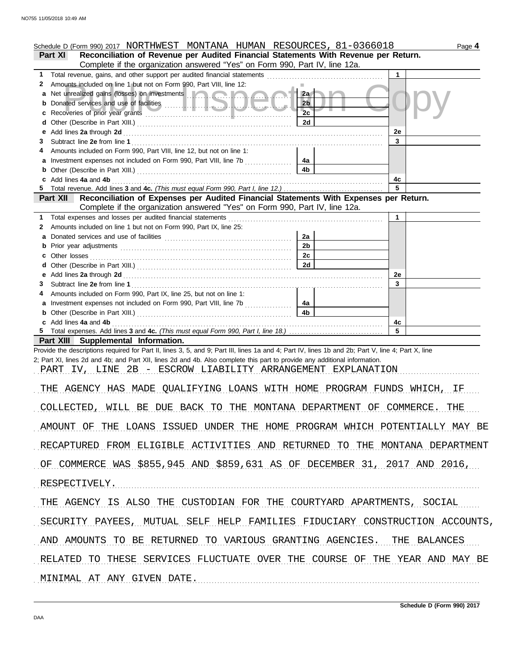|                | Schedule D (Form 990) 2017 NORTHWEST MONTANA HUMAN RESOURCES, 81-0366018                                                                           |                |             | Page 4 |
|----------------|----------------------------------------------------------------------------------------------------------------------------------------------------|----------------|-------------|--------|
| <b>Part XI</b> | Reconciliation of Revenue per Audited Financial Statements With Revenue per Return.                                                                |                |             |        |
|                | Complete if the organization answered "Yes" on Form 990, Part IV, line 12a.                                                                        |                |             |        |
| 1<br>2         | Amounts included on line 1 but not on Form 990, Part VIII, line 12:                                                                                |                | 1           |        |
| a              | Net unrealized gains (losses) on investments [1999]                                                                                                | 2a             |             |        |
| b              |                                                                                                                                                    | 2 <sub>b</sub> |             |        |
|                |                                                                                                                                                    | 2c             |             |        |
| d              |                                                                                                                                                    | 2d             |             |        |
| е              |                                                                                                                                                    |                | 2e          |        |
| З              |                                                                                                                                                    |                | 3           |        |
|                | Amounts included on Form 990, Part VIII, line 12, but not on line 1:                                                                               |                |             |        |
| a              | Investment expenses not included on Form 990, Part VIII, line 7b [    ]                                                                            | 4a<br>4b       |             |        |
|                | Add lines 4a and 4b                                                                                                                                |                | 4с          |        |
|                |                                                                                                                                                    |                | 5           |        |
|                | Part XII Reconciliation of Expenses per Audited Financial Statements With Expenses per Return.                                                     |                |             |        |
|                | Complete if the organization answered "Yes" on Form 990, Part IV, line 12a.                                                                        |                |             |        |
| 1              | Total expenses and losses per audited financial statements                                                                                         |                | $\mathbf 1$ |        |
| 2              | Amounts included on line 1 but not on Form 990, Part IX, line 25:                                                                                  | 2a             |             |        |
| a<br>b         |                                                                                                                                                    | 2 <sub>b</sub> |             |        |
| c              |                                                                                                                                                    | 2c             |             |        |
| d              |                                                                                                                                                    | 2d             |             |        |
| е              |                                                                                                                                                    |                | 2e          |        |
| 3              |                                                                                                                                                    |                | 3           |        |
|                | Amounts included on Form 990, Part IX, line 25, but not on line 1:                                                                                 |                |             |        |
| a              |                                                                                                                                                    | 4a<br>4b       |             |        |
| b              | c Add lines 4a and 4b                                                                                                                              |                | 4c          |        |
|                |                                                                                                                                                    |                | 5           |        |
|                | Part XIII Supplemental Information.                                                                                                                |                |             |        |
|                | Provide the descriptions required for Part II, lines 3, 5, and 9; Part III, lines 1a and 4; Part IV, lines 1b and 2b; Part V, line 4; Part X, line |                |             |        |
|                | 2; Part XI, lines 2d and 4b; and Part XII, lines 2d and 4b. Also complete this part to provide any additional information.                         |                |             |        |
|                | PART IV, LINE 2B - ESCROW LIABILITY ARRANGEMENT EXPLANATION                                                                                        |                |             |        |
|                | THE AGENCY HAS MADE QUALIFYING LOANS WITH HOME PROGRAM FUNDS WHICH, IF                                                                             |                |             |        |
|                | COLLECTED, WILL BE DUE BACK TO THE MONTANA DEPARTMENT OF COMMERCE. THE                                                                             |                |             |        |
|                | AMOUNT OF THE LOANS ISSUED UNDER THE HOME PROGRAM WHICH POTENTIALLY MAY BE                                                                         |                |             |        |
|                | RECAPTURED FROM ELIGIBLE ACTIVITIES AND RETURNED TO THE MONTANA DEPARTMENT                                                                         |                |             |        |
|                | OF COMMERCE WAS \$855,945 AND \$859,631 AS OF DECEMBER 31, 2017 AND 2016,                                                                          |                |             |        |
|                | RESPECTIVELY.                                                                                                                                      |                |             |        |
|                | THE AGENCY IS ALSO THE CUSTODIAN FOR THE COURTYARD APARTMENTS, SOCIAL                                                                              |                |             |        |
|                | SECURITY PAYEES, MUTUAL SELF HELP FAMILIES FIDUCIARY CONSTRUCTION ACCOUNTS,                                                                        |                |             |        |
|                | AND AMOUNTS TO BE RETURNED TO VARIOUS GRANTING AGENCIES. THE BALANCES                                                                              |                |             |        |
|                | RELATED TO THESE SERVICES FLUCTUATE OVER THE COURSE OF THE YEAR AND MAY BE                                                                         |                |             |        |
|                | MINIMAL AT ANY GIVEN DATE.                                                                                                                         |                |             |        |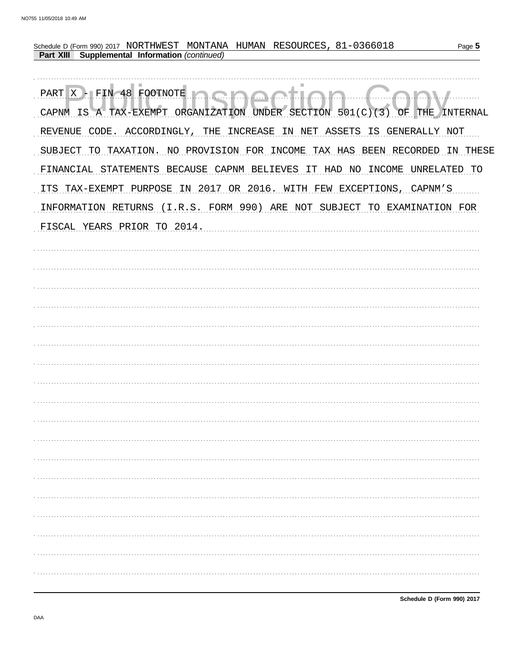| Schedule D (Form 990) 2017 NORTHWEST MONTANA HUMAN RESOURCES, 81-0366018<br>Page 5<br>Part XIII Supplemental Information (continued) |
|--------------------------------------------------------------------------------------------------------------------------------------|
|                                                                                                                                      |
| PART X - FIN 48 FOOTNOTE<br>CAPNM IS A TAX-EXEMPT ORGANIZATION UNDER SECTION 501(C)(3) OF THE INTERNAL                               |
| REVENUE CODE. ACCORDINGLY,<br>INCREASE<br>IN NET ASSETS<br>THE<br>IS GENERALLY NOT                                                   |
| SUBJECT TO TAXATION. NO PROVISION FOR INCOME TAX HAS BEEN RECORDED<br>IN THESE                                                       |
| FINANCIAL STATEMENTS BECAUSE CAPNM BELIEVES<br>IT HAD NO<br>INCOME<br>UNRELATED TO                                                   |
| IN 2017 OR 2016. WITH FEW EXCEPTIONS, CAPNM'S<br>ITS TAX-EXEMPT PURPOSE                                                              |
| (I.R.S. FORM 990) ARE NOT SUBJECT TO EXAMINATION FOR<br>INFORMATION RETURNS                                                          |
| FISCAL YEARS PRIOR TO 2014.                                                                                                          |
|                                                                                                                                      |
|                                                                                                                                      |
|                                                                                                                                      |
|                                                                                                                                      |
|                                                                                                                                      |
|                                                                                                                                      |
|                                                                                                                                      |
|                                                                                                                                      |
|                                                                                                                                      |
|                                                                                                                                      |
|                                                                                                                                      |
|                                                                                                                                      |
|                                                                                                                                      |
|                                                                                                                                      |
|                                                                                                                                      |
|                                                                                                                                      |
|                                                                                                                                      |
|                                                                                                                                      |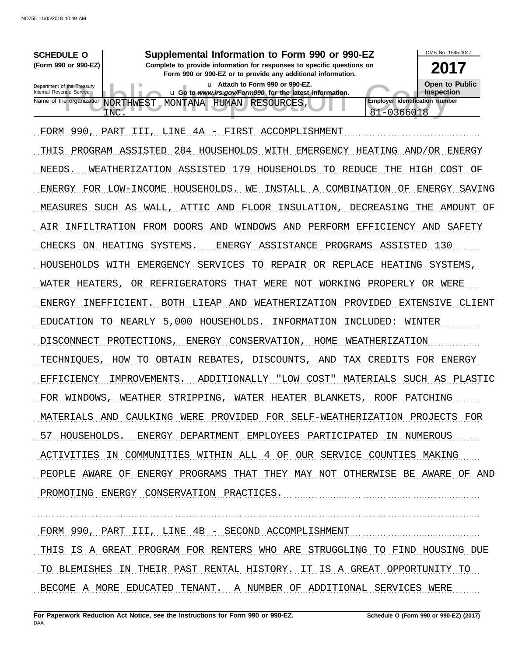

THIS PROGRAM ASSISTED 284 HOUSEHOLDS WITH EMERGENCY HEATING AND/OR ENERGY NEEDS. WEATHERIZATION ASSISTED 179 HOUSEHOLDS TO REDUCE THE HIGH COST OF ENERGY FOR LOW-INCOME HOUSEHOLDS. WE INSTALL A COMBINATION OF ENERGY SAVING MEASURES SUCH AS WALL, ATTIC AND FLOOR INSULATION, DECREASING THE AMOUNT OF AIR INFILTRATION FROM DOORS AND WINDOWS AND PERFORM EFFICIENCY AND SAFETY CHECKS ON HEATING SYSTEMS. ENERGY ASSISTANCE PROGRAMS ASSISTED 130 HOUSEHOLDS WITH EMERGENCY SERVICES TO REPAIR OR REPLACE HEATING SYSTEMS, WATER HEATERS, OR REFRIGERATORS THAT WERE NOT WORKING PROPERLY OR WERE ENERGY INEFFICIENT. BOTH LIEAP AND WEATHERIZATION PROVIDED EXTENSIVE CLIENT EDUCATION TO NEARLY 5,000 HOUSEHOLDS. INFORMATION INCLUDED: WINTER DISCONNECT PROTECTIONS, ENERGY CONSERVATION, HOME WEATHERIZATION TECHNIQUES, HOW TO OBTAIN REBATES, DISCOUNTS, AND TAX CREDITS FOR ENERGY EFFICIENCY IMPROVEMENTS. ADDITIONALLY "LOW COST" MATERIALS SUCH AS PLASTIC FOR WINDOWS, WEATHER STRIPPING, WATER HEATER BLANKETS, ROOF PATCHING MATERIALS AND CAULKING WERE PROVIDED FOR SELF-WEATHERIZATION PROJECTS FOR 57 HOUSEHOLDS. ENERGY DEPARTMENT EMPLOYEES PARTICIPATED IN NUMEROUS ACTIVITIES IN COMMUNITIES WITHIN ALL 4 OF OUR SERVICE COUNTIES MAKING PEOPLE AWARE OF ENERGY PROGRAMS THAT THEY MAY NOT OTHERWISE BE AWARE OF AND PROMOTING ENERGY CONSERVATION PRACTICES.

. . . . . . . . . . . . . . . . . . . . . . . . . . . . . . . . . . . . . . . . . . . . . . . . . . . . . . . . . . . . . . . . . . . . . . . . . . . . . . . . . . . . . . . . . . . . . . . . . . . . . . . . . . . . . . . . . . . . . . . . . . . . . . . . . . . . . . . . . . . . . . . . . . . . . . . . . . . . . . . . . FORM 990, PART III, LINE 4B - SECOND ACCOMPLISHMENT

THIS IS A GREAT PROGRAM FOR RENTERS WHO ARE STRUGGLING TO FIND HOUSING DUE TO BLEMISHES IN THEIR PAST RENTAL HISTORY. IT IS A GREAT OPPORTUNITY TO BECOME A MORE EDUCATED TENANT. A NUMBER OF ADDITIONAL SERVICES WERE

. . . . . . . . . . . . . . . . . . . . . . . . . . . . . . . . . . . . . . . . . . . . . . . . . . . . . . . . . . . . . . . . . . . . . . . . . . . . . . . . . . . . . . . . . . . . . . . . . . . . . . . . . . . . . . . . . . . . . . . . . . . . . . . . . . . . . . . . . . . . . . . . . . . . . . . . . . . . . . . . .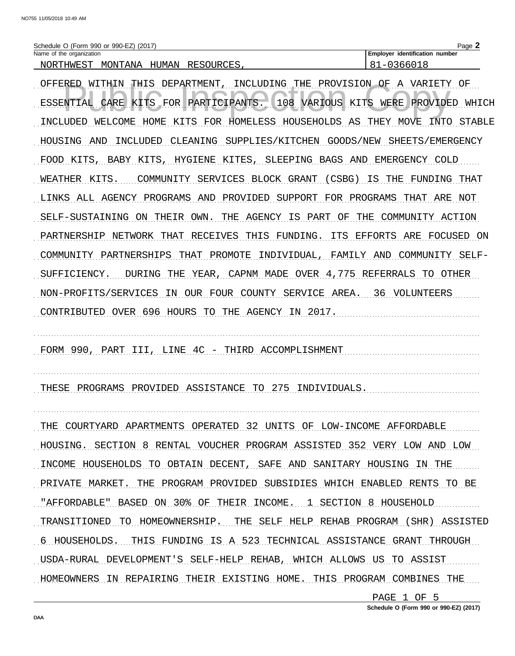| O (Form 990 or 990-EZ) (2017)<br>Schedule                                  |                           | $P$ aqe $\triangle$                 |
|----------------------------------------------------------------------------|---------------------------|-------------------------------------|
| Name of the organization                                                   |                           | identification number<br>. Emplover |
| TANA<br><b>HUMAN</b><br>NORTHWEST<br>$\mathsf{MO}_{\mathsf{L}}$<br>· TNT س | ים ד<br>یں ب<br>RESOURCES |                                     |

OFFERED WITHIN THIS DEPARTMENT, INCLUDING THE PROVISION OF A VARIETY OF CARE KITS FOR PARTICIPANTS. 108 VARIOUS KITS WERE PROVIDED WHICH ESSENTIAL INCLUDED WELCOME HOME KITS FOR HOMELESS HOUSEHOLDS AS THEY MOVE INTO STABLE HOUSING AND INCLUDED CLEANING SUPPLIES/KITCHEN GOODS/NEW SHEETS/EMERGENCY FOOD KITS, BABY KITS, HYGIENE KITES, SLEEPING BAGS AND EMERGENCY COLD WEATHER KITS. COMMUNITY SERVICES BLOCK GRANT (CSBG) IS THE FUNDING THAT LINKS ALL AGENCY PROGRAMS AND PROVIDED SUPPORT FOR PROGRAMS THAT ARE NOT SELF-SUSTAINING ON THEIR OWN. THE AGENCY IS PART OF THE COMMUNITY ACTION PARTNERSHIP NETWORK THAT RECEIVES THIS FUNDING. ITS EFFORTS ARE FOCUSED ON COMMUNITY PARTNERSHIPS THAT PROMOTE INDIVIDUAL, FAMILY AND COMMUNITY SELF-SUFFICIENCY. DURING THE YEAR, CAPNM MADE OVER 4,775 REFERRALS TO OTHER NON-PROFITS/SERVICES IN OUR FOUR COUNTY SERVICE AREA. 36 VOLUNTEERS CONTRIBUTED OVER 696 HOURS TO THE AGENCY IN 2017.

FORM 990, PART III, LINE 4C - THIRD ACCOMPLISHMENT

THESE PROGRAMS PROVIDED ASSISTANCE TO 275 INDIVIDUALS.

THE COURTYARD APARTMENTS OPERATED 32 UNITS OF LOW-INCOME AFFORDABLE HOUSING. SECTION 8 RENTAL VOUCHER PROGRAM ASSISTED 352 VERY LOW AND LOW INCOME HOUSEHOLDS TO OBTAIN DECENT, SAFE AND SANITARY HOUSING IN THE PRIVATE MARKET. THE PROGRAM PROVIDED SUBSIDIES WHICH ENABLED RENTS TO BE "AFFORDABLE" BASED ON 30% OF THEIR INCOME. 1 SECTION 8 HOUSEHOLD TRANSITIONED TO HOMEOWNERSHIP. THE SELF HELP REHAB PROGRAM (SHR) ASSISTED 6 HOUSEHOLDS. THIS FUNDING IS A 523 TECHNICAL ASSISTANCE GRANT THROUGH USDA-RURAL DEVELOPMENT'S SELF-HELP REHAB, WHICH ALLOWS US TO ASSIST HOMEOWNERS IN REPAIRING THEIR EXISTING HOME. THIS PROGRAM COMBINES THE

> PAGE 1 OF 5 Schedule O (Form 990 or 990-EZ) (2017)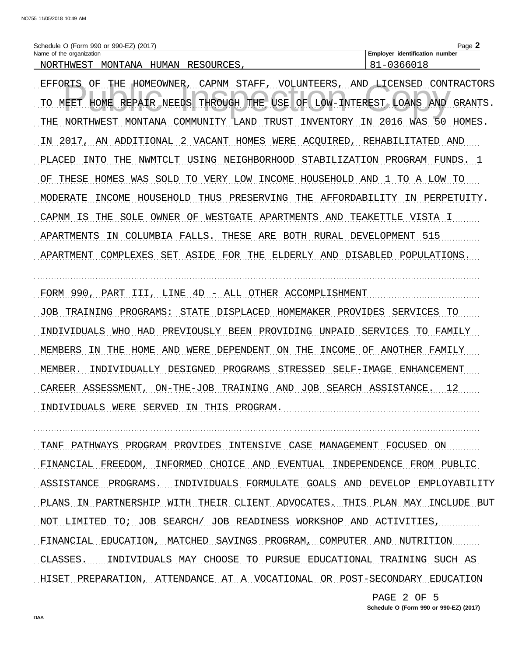| Schedule O (Form 990 or 990-EZ) (2017) |           | Page.                                 |
|----------------------------------------|-----------|---------------------------------------|
| Name of the organization               |           | <b>Employer identification number</b> |
| MONTANA<br>NORTHWEST<br>HUMAN          | RESOURCES | くんんい<br>$\overline{\phantom{0}}$      |

EFFORTS OF THE HOMEOWNER, CAPNM STAFF, VOLUNTEERS, AND LICENSED CONTRACTORS TO MEET HOME REPAIR NEEDS THROUGH THE USE OF LOW-INTEREST LOANS AND GRANTS. THE NORTHWEST MONTANA COMMUNITY LAND TRUST INVENTORY IN 2016 WAS 50 HOMES. IN 2017, AN ADDITIONAL 2 VACANT HOMES WERE ACQUIRED, REHABILITATED AND PLACED INTO THE NWMTCLT USING NEIGHBORHOOD STABILIZATION PROGRAM FUNDS. 1 OF THESE HOMES WAS SOLD TO VERY LOW INCOME HOUSEHOLD AND 1 TO A LOW TO MODERATE INCOME HOUSEHOLD THUS PRESERVING THE AFFORDABILITY IN PERPETUITY. CAPNM IS THE SOLE OWNER OF WESTGATE APARTMENTS AND TEAKETTLE VISTA I APARTMENTS IN COLUMBIA FALLS. THESE ARE BOTH RURAL DEVELOPMENT 515 APARTMENT COMPLEXES SET ASIDE FOR THE ELDERLY AND DISABLED POPULATIONS.

FORM 990, PART III, LINE 4D - ALL OTHER ACCOMPLISHMENT JOB TRAINING PROGRAMS: STATE DISPLACED HOMEMAKER PROVIDES SERVICES TO INDIVIDUALS WHO HAD PREVIOUSLY BEEN PROVIDING UNPAID SERVICES TO FAMILY MEMBERS IN THE HOME AND WERE DEPENDENT ON THE INCOME OF ANOTHER FAMILY MEMBER. INDIVIDUALLY DESIGNED PROGRAMS STRESSED SELF-IMAGE ENHANCEMENT CAREER ASSESSMENT, ON-THE-JOB TRAINING AND JOB SEARCH ASSISTANCE. 12 INDIVIDUALS WERE SERVED IN THIS PROGRAM.

TANF PATHWAYS PROGRAM PROVIDES INTENSIVE CASE MANAGEMENT FOCUSED ON FINANCIAL FREEDOM, INFORMED CHOICE AND EVENTUAL INDEPENDENCE FROM PUBLIC ASSISTANCE PROGRAMS. INDIVIDUALS FORMULATE GOALS AND DEVELOP EMPLOYABILITY PLANS IN PARTNERSHIP WITH THEIR CLIENT ADVOCATES. THIS PLAN MAY INCLUDE BUT NOT LIMITED TO; JOB SEARCH/ JOB READINESS WORKSHOP AND ACTIVITIES, FINANCIAL EDUCATION, MATCHED SAVINGS PROGRAM, COMPUTER AND NUTRITION CLASSES. INDIVIDUALS MAY CHOOSE TO PURSUE EDUCATIONAL TRAINING SUCH AS HISET PREPARATION, ATTENDANCE AT A VOCATIONAL OR POST-SECONDARY EDUCATION

> PAGE 2 OF 5 Schedule O (Form 990 or 990-EZ) (2017)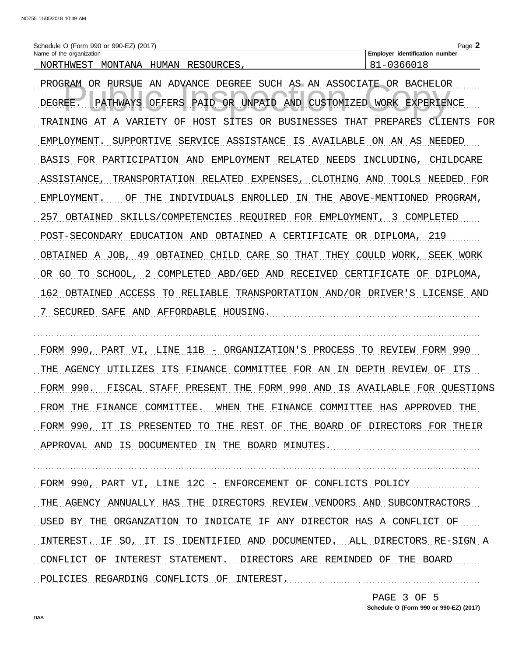| Schedule O (Form 990 or 990-EZ) (2017)        |                           | $P$ ade $\triangle$                  |
|-----------------------------------------------|---------------------------|--------------------------------------|
| Name of the organization                      |                           | identification number<br>Emplover    |
| TANA<br>CTHWEST)<br>NOR'<br>MONT <sup>r</sup> | <b>HUMAN</b><br>RESOURCES | $\overline{\phantom{0}}$<br><u>_</u> |

PROGRAM OR PURSUE AN ADVANCE DEGREE SUCH AS AN ASSOCIATE OR BACHELOR PATHWAYS OFFERS PAID OR UNPAID AND CUSTOMIZED WORK EXPERIENCE DEGREE. TRAINING AT A VARIETY OF HOST SITES OR BUSINESSES THAT PREPARES CLIENTS FOR EMPLOYMENT. SUPPORTIVE SERVICE ASSISTANCE IS AVAILABLE ON AN AS NEEDED BASIS FOR PARTICIPATION AND EMPLOYMENT RELATED NEEDS INCLUDING, CHILDCARE ASSISTANCE, TRANSPORTATION RELATED EXPENSES, CLOTHING AND TOOLS NEEDED FOR EMPLOYMENT. OF THE INDIVIDUALS ENROLLED IN THE ABOVE-MENTIONED PROGRAM, 257 OBTAINED SKILLS/COMPETENCIES REQUIRED FOR EMPLOYMENT, 3 COMPLETED POST-SECONDARY EDUCATION AND OBTAINED A CERTIFICATE OR DIPLOMA, 219 OBTAINED A JOB, 49 OBTAINED CHILD CARE SO THAT THEY COULD WORK, SEEK WORK OR GO TO SCHOOL, 2 COMPLETED ABD/GED AND RECEIVED CERTIFICATE OF DIPLOMA, 162 OBTAINED ACCESS TO RELIABLE TRANSPORTATION AND/OR DRIVER'S LICENSE AND 7 SECURED SAFE AND AFFORDABLE HOUSING.

FORM 990, PART VI, LINE 11B - ORGANIZATION'S PROCESS TO REVIEW FORM 990 THE AGENCY UTILIZES ITS FINANCE COMMITTEE FOR AN IN DEPTH REVIEW OF ITS FORM 990. FISCAL STAFF PRESENT THE FORM 990 AND IS AVAILABLE FOR QUESTIONS FROM THE FINANCE COMMITTEE. WHEN THE FINANCE COMMITTEE HAS APPROVED THE FORM 990, IT IS PRESENTED TO THE REST OF THE BOARD OF DIRECTORS FOR THEIR APPROVAL AND IS DOCUMENTED IN THE BOARD MINUTES.

FORM 990, PART VI, LINE 12C - ENFORCEMENT OF CONFLICTS POLICY THE AGENCY ANNUALLY HAS THE DIRECTORS REVIEW VENDORS AND SUBCONTRACTORS USED BY THE ORGANZATION TO INDICATE IF ANY DIRECTOR HAS A CONFLICT OF INTEREST. IF SO, IT IS IDENTIFIED AND DOCUMENTED. ALL DIRECTORS RE-SIGN A CONFLICT OF INTEREST STATEMENT. DIRECTORS ARE REMINDED OF THE BOARD POLICIES REGARDING CONFLICTS OF INTEREST.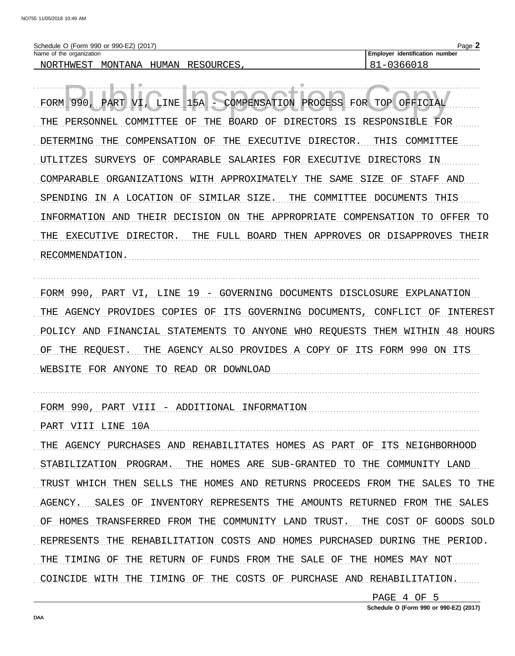| O (Form 990 or 990-EZ) (2017)<br>Schedule                            | Page                                   |
|----------------------------------------------------------------------|----------------------------------------|
| Name<br>organization<br>the<br>0ľ                                    | identification<br>number<br>. Emplover |
| ח הדומנ<br>MONTANA<br>ΤΜΆΝΤ<br>ית∩זו<br>HWEST<br>RESOURC<br>Ħ١<br>H. | _                                      |

LINE 15A COMPENSATION PROCESS FOR TOP OFFICIAL PART VI, FORM 990, THE PERSONNEL COMMITTEE OF THE BOARD OF DIRECTORS IS RESPONSIBLE FOR DETERMING THE COMPENSATION OF THE EXECUTIVE DIRECTOR. THIS COMMITTEE UTLITZES SURVEYS OF COMPARABLE SALARIES FOR EXECUTIVE DIRECTORS IN COMPARABLE ORGANIZATIONS WITH APPROXIMATELY THE SAME SIZE OF STAFF AND SPENDING IN A LOCATION OF SIMILAR SIZE. THE COMMITTEE DOCUMENTS THIS INFORMATION AND THEIR DECISION ON THE APPROPRIATE COMPENSATION TO OFFER TO THE EXECUTIVE DIRECTOR. THE FULL BOARD THEN APPROVES OR DISAPPROVES THEIR RECOMMENDATION.

FORM 990, PART VI, LINE 19 - GOVERNING DOCUMENTS DISCLOSURE EXPLANATION THE AGENCY PROVIDES COPIES OF ITS GOVERNING DOCUMENTS, CONFLICT OF INTEREST POLICY AND FINANCIAL STATEMENTS TO ANYONE WHO REOUESTS THEM WITHIN 48 HOURS OF THE REQUEST. THE AGENCY ALSO PROVIDES A COPY OF ITS FORM 990 ON ITS WEBSITE FOR ANYONE TO READ OR DOWNLOAD AND ANNOUNCED AND ANNOUNCED AND ALL AND AN AMERICAN MELTICAL METAL AND A

FORM 990, PART VIII - ADDITIONAL INFORMATION

PART VIII LINE 10A

THE AGENCY PURCHASES AND REHABILITATES HOMES AS PART OF ITS NEIGHBORHOOD STABILIZATION PROGRAM. THE HOMES ARE SUB-GRANTED TO THE COMMUNITY LAND TRUST WHICH THEN SELLS THE HOMES AND RETURNS PROCEEDS FROM THE SALES TO THE AGENCY. SALES OF INVENTORY REPRESENTS THE AMOUNTS RETURNED FROM THE SALES OF HOMES TRANSFERRED FROM THE COMMUNITY LAND TRUST. THE COST OF GOODS SOLD REPRESENTS THE REHABILITATION COSTS AND HOMES PURCHASED DURING THE PERIOD. THE TIMING OF THE RETURN OF FUNDS FROM THE SALE OF THE HOMES MAY NOT COINCIDE WITH THE TIMING OF THE COSTS OF PURCHASE AND REHABILITATION.

> PAGE 4 OF 5 Schedule O (Form 990 or 990-EZ) (2017)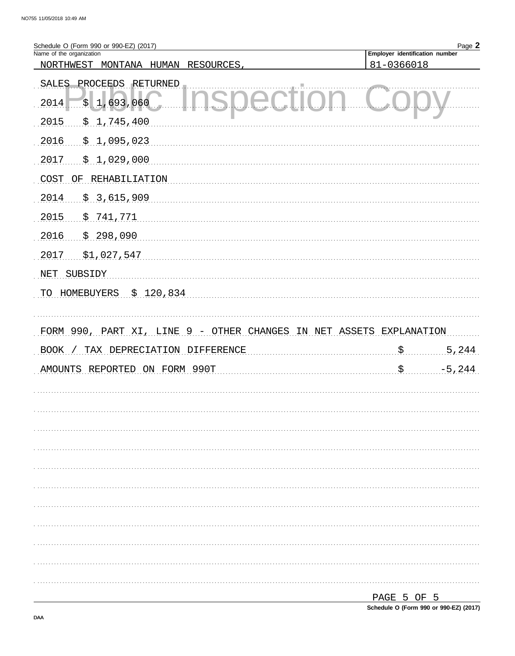| Schedule O (Form 990 or 990-EZ) (2017)<br>Name of the organization                                            | Employer identification number | Page 2   |
|---------------------------------------------------------------------------------------------------------------|--------------------------------|----------|
| NORTHWEST MONTANA<br>RESOURCES<br>HUMAN                                                                       | 81-0366018                     |          |
| SALES PROCEEDS RETURNED<br>\$1,693,060<br>2014<br>$\mathcal{L}_{\mathcal{L}}$ , $\mathcal{L}_{\mathcal{L}}$ , |                                |          |
| 2015<br>\$1,745,400                                                                                           |                                |          |
| 2016<br>\$1,095,023                                                                                           |                                |          |
| \$1,029,000<br>2017                                                                                           |                                |          |
| COST OF REHABILIATION                                                                                         |                                |          |
| 2014<br>\$3,615,909                                                                                           |                                |          |
| 2015<br>\$741,771                                                                                             |                                |          |
| 2016<br>\$298,090                                                                                             |                                |          |
| 2017<br>\$1,027,547                                                                                           |                                |          |
| NET SUBSIDY                                                                                                   |                                |          |
| \$120,834<br>TO HOMEBUYERS                                                                                    |                                |          |
|                                                                                                               |                                |          |
|                                                                                                               |                                |          |
| FORM 990, PART XI, LINE 9 - OTHER CHANGES IN NET ASSETS EXPLANATION                                           |                                |          |
| BOOK / TAX DEPRECIATION DIFFERENCE                                                                            | \$.                            | 5,244    |
| AMOUNTS REPORTED ON FORM 990T                                                                                 | \$.                            | $-5,244$ |
|                                                                                                               |                                |          |
|                                                                                                               |                                |          |
|                                                                                                               |                                |          |
|                                                                                                               |                                |          |
|                                                                                                               |                                |          |
|                                                                                                               |                                |          |
|                                                                                                               |                                |          |
|                                                                                                               |                                |          |
|                                                                                                               |                                |          |
|                                                                                                               |                                |          |
|                                                                                                               |                                |          |

Schedule O (Form 990 or 990-EZ) (2017)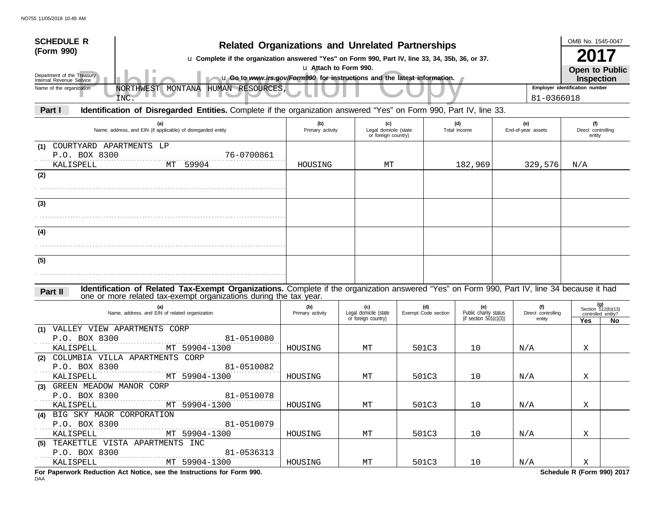| <b>SCHEDULE R</b><br>(Form 990)                        | <b>Related Organizations and Unrelated Partnerships</b><br>u Complete if the organization answered "Yes" on Form 990, Part IV, line 33, 34, 35b, 36, or 37.                                                       |                         |                                                     |                            |                                                           |                                     | OMB No. 1545-0047                          |                                                         |
|--------------------------------------------------------|-------------------------------------------------------------------------------------------------------------------------------------------------------------------------------------------------------------------|-------------------------|-----------------------------------------------------|----------------------------|-----------------------------------------------------------|-------------------------------------|--------------------------------------------|---------------------------------------------------------|
| Department of the Treasury<br>Internal Revenue Service | u Go to www.irs.gov/Form990 for instructions and the latest information.                                                                                                                                          |                         | u Attach to Form 990.                               |                            |                                                           |                                     | <b>Open to Public</b><br><b>Inspection</b> |                                                         |
| Name of the organization                               | HUMAN RESOURCES,<br>MONTANA<br>NORTHWEST<br>INC.                                                                                                                                                                  |                         |                                                     |                            |                                                           | 81-0366018                          | Employer identification number             |                                                         |
| Part I                                                 | Identification of Disregarded Entities. Complete if the organization answered "Yes" on Form 990, Part IV, line 33.                                                                                                |                         |                                                     |                            |                                                           |                                     |                                            |                                                         |
|                                                        | (a)<br>Name, address, and EIN (if applicable) of disregarded entity                                                                                                                                               | (b)<br>Primary activity | (c)<br>Legal domicile (state<br>or foreign country) |                            | (d)<br>Total income                                       | (e)<br>End-of-year assets           | (f)<br>Direct controlling<br>entity        |                                                         |
| COURTYARD APARTMENTS LP<br>P.O. BOX 8300<br>KALISPELL  | 76-0700861<br>MT 59904                                                                                                                                                                                            | HOUSING                 | МT                                                  |                            | 182,969                                                   | 329,576                             | N/A                                        |                                                         |
| (2)                                                    |                                                                                                                                                                                                                   |                         |                                                     |                            |                                                           |                                     |                                            |                                                         |
| (3)                                                    |                                                                                                                                                                                                                   |                         |                                                     |                            |                                                           |                                     |                                            |                                                         |
|                                                        |                                                                                                                                                                                                                   |                         |                                                     |                            |                                                           |                                     |                                            |                                                         |
| (4)                                                    |                                                                                                                                                                                                                   |                         |                                                     |                            |                                                           |                                     |                                            |                                                         |
|                                                        |                                                                                                                                                                                                                   |                         |                                                     |                            |                                                           |                                     |                                            |                                                         |
| (5)                                                    |                                                                                                                                                                                                                   |                         |                                                     |                            |                                                           |                                     |                                            |                                                         |
|                                                        |                                                                                                                                                                                                                   |                         |                                                     |                            |                                                           |                                     |                                            |                                                         |
| Part II                                                | Identification of Related Tax-Exempt Organizations. Complete if the organization answered "Yes" on Form 990, Part IV, line 34 because it had<br>one or more related tax-exempt organizations during the tax year. |                         |                                                     |                            |                                                           |                                     |                                            |                                                         |
|                                                        | (a)<br>Name, address, and EIN of related organization                                                                                                                                                             | (b)<br>Primary activity | (c)<br>Legal domicile (state<br>or foreign country) | (d)<br>Exempt Code section | (e)<br>Public charity status<br>(if section $501(c)(3)$ ) | (f)<br>Direct controlling<br>entity | Yes                                        | $(g)$<br>Section 512(b)(13)<br>controlled entity?<br>No |
| (1)                                                    | VALLEY VIEW APARTMENTS CORP                                                                                                                                                                                       |                         |                                                     |                            |                                                           |                                     |                                            |                                                         |
| P.O. BOX 8300<br>KALISPELL                             | 81-0510080<br>MT 59904-1300                                                                                                                                                                                       | HOUSING                 | MТ                                                  | 501C3                      | 10                                                        | N/A                                 | Χ                                          |                                                         |
| (2)<br>P.O. BOX 8300<br>KALISPELL                      | COLUMBIA VILLA APARTMENTS CORP<br>81-0510082<br>MT 59904-1300                                                                                                                                                     | HOUSING                 | МT                                                  | 501C3                      | 10                                                        | N/A                                 | Χ                                          |                                                         |
| GREEN MEADOW MANOR CORP<br>(3)                         |                                                                                                                                                                                                                   |                         |                                                     |                            |                                                           |                                     |                                            |                                                         |
| P.O. BOX 8300<br>KALISPELL                             | 81-0510078<br>MT 59904-1300                                                                                                                                                                                       | HOUSING                 | МT                                                  | 501C3                      | 10                                                        | N/A                                 | Χ                                          |                                                         |
| (4) BIG SKY MAOR CORPORATION                           |                                                                                                                                                                                                                   |                         |                                                     |                            |                                                           |                                     |                                            |                                                         |
| P.O. BOX 8300<br>KALISPELL                             | 81-0510079<br>MT 59904-1300                                                                                                                                                                                       | HOUSING                 | МT                                                  | 501C3                      | 10                                                        | N/A                                 | Χ                                          |                                                         |
|                                                        | (5) TEAKETTLE VISTA APARTMENTS INC                                                                                                                                                                                |                         |                                                     |                            |                                                           |                                     |                                            |                                                         |
| P.O. BOX 8300<br>KALISPELL                             | 81-0536313<br>MT 59904-1300                                                                                                                                                                                       | HOUSING                 | МT                                                  | 501C3                      | 10                                                        | N/A                                 | Χ                                          |                                                         |
|                                                        | For Paperwork Reduction Act Notice, see the Instructions for Form 990.                                                                                                                                            |                         |                                                     |                            |                                                           |                                     | Schedule R (Form 990) 2017                 |                                                         |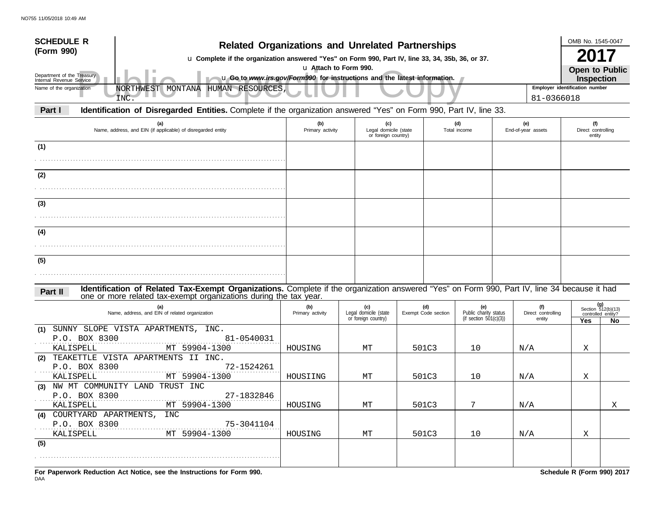| <b>SCHEDULE R</b><br>(Form 990)<br>Department of the Treasury | <b>Related Organizations and Unrelated Partnerships</b><br>u Complete if the organization answered "Yes" on Form 990, Part IV, line 33, 34, 35b, 36, or 37.<br>u Go to www.irs.gov/Form990 for instructions and the latest information. |                         | u Attach to Form 990.                               |                                              |                            |                                                           |                           |                                              | OMB No. 1545-0047<br><b>Open to Public</b><br><b>Inspection</b> |                                                 |
|---------------------------------------------------------------|-----------------------------------------------------------------------------------------------------------------------------------------------------------------------------------------------------------------------------------------|-------------------------|-----------------------------------------------------|----------------------------------------------|----------------------------|-----------------------------------------------------------|---------------------------|----------------------------------------------|-----------------------------------------------------------------|-------------------------------------------------|
| Internal Revenue Service<br>Name of the organization          | NORTHWEST MONTANA HUMAN RESOURCES,<br>INC.                                                                                                                                                                                              |                         |                                                     |                                              |                            |                                                           |                           | Employer identification number<br>81-0366018 |                                                                 |                                                 |
| Part I                                                        | Identification of Disregarded Entities. Complete if the organization answered "Yes" on Form 990, Part IV, line 33.                                                                                                                      |                         |                                                     |                                              |                            |                                                           |                           |                                              |                                                                 |                                                 |
|                                                               | (a)<br>Name, address, and EIN (if applicable) of disregarded entity                                                                                                                                                                     | (b)<br>Primary activity | (c)                                                 | Legal domicile (state<br>or foreign country) |                            | (d)<br>Total income                                       | (e)<br>End-of-year assets |                                              | (f)<br>Direct controlling<br>entity                             |                                                 |
| (1)                                                           |                                                                                                                                                                                                                                         |                         |                                                     |                                              |                            |                                                           |                           |                                              |                                                                 |                                                 |
| (2)                                                           |                                                                                                                                                                                                                                         |                         |                                                     |                                              |                            |                                                           |                           |                                              |                                                                 |                                                 |
| (3)                                                           |                                                                                                                                                                                                                                         |                         |                                                     |                                              |                            |                                                           |                           |                                              |                                                                 |                                                 |
|                                                               |                                                                                                                                                                                                                                         |                         |                                                     |                                              |                            |                                                           |                           |                                              |                                                                 |                                                 |
| (4)                                                           |                                                                                                                                                                                                                                         |                         |                                                     |                                              |                            |                                                           |                           |                                              |                                                                 |                                                 |
| (5)                                                           |                                                                                                                                                                                                                                         |                         |                                                     |                                              |                            |                                                           |                           |                                              |                                                                 |                                                 |
| Part II                                                       | Identification of Related Tax-Exempt Organizations. Complete if the organization answered "Yes" on Form 990, Part IV, line 34 because it had<br>one or more related tax-exempt organizations during the tax year.                       |                         |                                                     |                                              |                            |                                                           |                           |                                              |                                                                 |                                                 |
|                                                               | (a)<br>Name, address, and EIN of related organization                                                                                                                                                                                   | (b)<br>Primary activity | (c)<br>Legal domicile (state<br>or foreign country) |                                              | (d)<br>Exempt Code section | (e)<br>Public charity status<br>(if section $501(c)(3)$ ) |                           | (f)<br>Direct controlling<br>entity          |                                                                 | (g)<br>Section 512(b)(13)<br>controlled entity? |
| (1)<br>P.O. BOX 8300<br>KALISPELL                             | SUNNY SLOPE VISTA APARTMENTS, INC.<br>81-0540031<br>MT 59904-1300                                                                                                                                                                       | HOUSING                 | MТ                                                  |                                              | 501C3                      | 10                                                        | N/A                       |                                              | Yes<br>Χ                                                        | No.                                             |
| (2)<br>P.O. BOX 8300<br>KALISPELL                             | TEAKETTLE VISTA APARTMENTS II INC.<br>72-1524261<br>MT 59904-1300                                                                                                                                                                       | HOUSIING                | МT                                                  |                                              | 501C3                      | 10                                                        | N/A                       |                                              | Χ                                                               |                                                 |
| (3)<br>P.O. BOX 8300<br>KALISPELL                             | NW MT COMMUNITY LAND TRUST INC<br>27-1832846<br>MT 59904-1300                                                                                                                                                                           | HOUSING                 | MТ                                                  |                                              | 501C3                      | 7                                                         | N/A                       |                                              |                                                                 | Χ                                               |
| (4) COURTYARD APARTMENTS,<br>P.O. BOX 8300<br>KALISPELL       | INC<br>75-3041104<br>MT 59904-1300                                                                                                                                                                                                      | HOUSING                 | МT                                                  |                                              | 501C3                      | 10                                                        | N/A                       |                                              | Χ                                                               |                                                 |
| (5)                                                           |                                                                                                                                                                                                                                         |                         |                                                     |                                              |                            |                                                           |                           |                                              |                                                                 |                                                 |
|                                                               | For Paperwork Reduction Act Notice, see the Instructions for Form 990.                                                                                                                                                                  |                         |                                                     |                                              |                            |                                                           |                           |                                              | Schedule R (Form 990) 2017                                      |                                                 |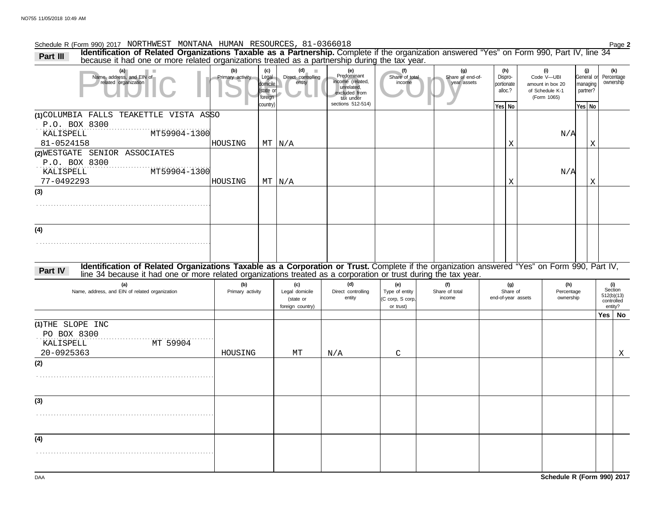## Schedule R (Form 990) 2017 Page **2** NORTHWEST MONTANA HUMAN RESOURCES, 81-0366018

Part III Identification of Related Organizations Taxable as a Partnership. Complete if the organization answered "Yes" on Form 990, Part IV, line 34<br>because it had one or more related organizations treated as a partnership

| (a)                                                                                                                                          |                         |                                                 |                                                         |                                                                                    |                                 |                       |                                        |                    |                    |                                                                         |                   |                                          |   |                                |
|----------------------------------------------------------------------------------------------------------------------------------------------|-------------------------|-------------------------------------------------|---------------------------------------------------------|------------------------------------------------------------------------------------|---------------------------------|-----------------------|----------------------------------------|--------------------|--------------------|-------------------------------------------------------------------------|-------------------|------------------------------------------|---|--------------------------------|
| Name, address, and EIN of<br>related organization                                                                                            | (b)<br>Primary activity | (c)<br>Legal<br>domicile<br>state or<br>foreign | (d)<br><b>The State</b><br>Direct controlling<br>entity | (e)<br>Predominant<br>income (related,<br>unrelated,<br>excluded from<br>tax under | (f)<br>Share of total<br>income |                       | (g)<br>Share of end-of-<br>year assets | Dispro-<br>alloc.? | (h)<br>portionate  | (i)<br>Code V-UBI<br>amount in box 20<br>of Schedule K-1<br>(Form 1065) |                   | (j)<br>General o<br>managing<br>partner? |   | (k)<br>Percentage<br>ownership |
|                                                                                                                                              |                         | country)                                        |                                                         | sections 512-514)                                                                  |                                 |                       |                                        |                    | Yes No             |                                                                         |                   | Yes No                                   |   |                                |
| (1) COLUMBIA FALLS TEAKETTLE VISTA ASSO                                                                                                      |                         |                                                 |                                                         |                                                                                    |                                 |                       |                                        |                    |                    |                                                                         |                   |                                          |   |                                |
| P.O. BOX 8300                                                                                                                                |                         |                                                 |                                                         |                                                                                    |                                 |                       |                                        |                    |                    |                                                                         |                   |                                          |   |                                |
| MT59904-1300<br>KALISPELL                                                                                                                    |                         |                                                 |                                                         |                                                                                    |                                 |                       |                                        |                    |                    |                                                                         | N/A               |                                          |   |                                |
|                                                                                                                                              |                         |                                                 |                                                         |                                                                                    |                                 |                       |                                        |                    |                    |                                                                         |                   |                                          |   |                                |
| 81-0524158                                                                                                                                   | HOUSING                 |                                                 | $MT$ $N/A$                                              |                                                                                    |                                 |                       |                                        |                    | Χ                  |                                                                         |                   |                                          | Х |                                |
| (2) WESTGATE SENIOR ASSOCIATES                                                                                                               |                         |                                                 |                                                         |                                                                                    |                                 |                       |                                        |                    |                    |                                                                         |                   |                                          |   |                                |
| P.O. BOX 8300                                                                                                                                |                         |                                                 |                                                         |                                                                                    |                                 |                       |                                        |                    |                    |                                                                         |                   |                                          |   |                                |
| MT59904-1300<br>KALISPELL                                                                                                                    |                         |                                                 |                                                         |                                                                                    |                                 |                       |                                        |                    |                    |                                                                         | N/A               |                                          |   |                                |
| 77-0492293                                                                                                                                   | HOUSING                 |                                                 | $MT$ $N/A$                                              |                                                                                    |                                 |                       |                                        |                    | X                  |                                                                         |                   |                                          | X |                                |
| (3)                                                                                                                                          |                         |                                                 |                                                         |                                                                                    |                                 |                       |                                        |                    |                    |                                                                         |                   |                                          |   |                                |
|                                                                                                                                              |                         |                                                 |                                                         |                                                                                    |                                 |                       |                                        |                    |                    |                                                                         |                   |                                          |   |                                |
|                                                                                                                                              |                         |                                                 |                                                         |                                                                                    |                                 |                       |                                        |                    |                    |                                                                         |                   |                                          |   |                                |
|                                                                                                                                              |                         |                                                 |                                                         |                                                                                    |                                 |                       |                                        |                    |                    |                                                                         |                   |                                          |   |                                |
|                                                                                                                                              |                         |                                                 |                                                         |                                                                                    |                                 |                       |                                        |                    |                    |                                                                         |                   |                                          |   |                                |
| (4)                                                                                                                                          |                         |                                                 |                                                         |                                                                                    |                                 |                       |                                        |                    |                    |                                                                         |                   |                                          |   |                                |
|                                                                                                                                              |                         |                                                 |                                                         |                                                                                    |                                 |                       |                                        |                    |                    |                                                                         |                   |                                          |   |                                |
|                                                                                                                                              |                         |                                                 |                                                         |                                                                                    |                                 |                       |                                        |                    |                    |                                                                         |                   |                                          |   |                                |
|                                                                                                                                              |                         |                                                 |                                                         |                                                                                    |                                 |                       |                                        |                    |                    |                                                                         |                   |                                          |   |                                |
| Identification of Related Organizations Taxable as a Corporation or Trust. Complete if the organization answered "Yes" on Form 990, Part IV, |                         |                                                 |                                                         |                                                                                    |                                 |                       |                                        |                    |                    |                                                                         |                   |                                          |   |                                |
| Part IV<br>line 34 because it had one or more related organizations treated as a corporation or trust during the tax year.                   |                         |                                                 |                                                         |                                                                                    |                                 |                       |                                        |                    |                    |                                                                         |                   |                                          |   |                                |
| (a)                                                                                                                                          |                         |                                                 |                                                         | (d)                                                                                |                                 |                       |                                        |                    | (g)                |                                                                         |                   |                                          |   |                                |
| Name, address, and EIN of related organization                                                                                               | (b)<br>Primary activity |                                                 | (c)<br>Legal domicile                                   | Direct controlling                                                                 | (e)<br>Type of entity           | (f)<br>Share of total |                                        |                    | Share of           |                                                                         | (h)<br>Percentage |                                          |   | (i)<br>Section                 |
|                                                                                                                                              |                         |                                                 | (state or                                               | entity                                                                             | (C corp, S corp,                | income                |                                        |                    | end-of-year assets |                                                                         | ownership         |                                          |   | 512(b)(13)<br>controlled       |
|                                                                                                                                              |                         |                                                 | foreign country)                                        |                                                                                    |                                 |                       |                                        |                    |                    |                                                                         |                   |                                          |   | entity?                        |
|                                                                                                                                              |                         |                                                 |                                                         |                                                                                    | or trust)                       |                       |                                        |                    |                    |                                                                         |                   |                                          |   |                                |
|                                                                                                                                              |                         |                                                 |                                                         |                                                                                    |                                 |                       |                                        |                    |                    |                                                                         |                   |                                          |   | Yes   No                       |
|                                                                                                                                              |                         |                                                 |                                                         |                                                                                    |                                 |                       |                                        |                    |                    |                                                                         |                   |                                          |   |                                |
| (1) THE SLOPE INC                                                                                                                            |                         |                                                 |                                                         |                                                                                    |                                 |                       |                                        |                    |                    |                                                                         |                   |                                          |   |                                |
| PO BOX 8300                                                                                                                                  |                         |                                                 |                                                         |                                                                                    |                                 |                       |                                        |                    |                    |                                                                         |                   |                                          |   |                                |
| MT 59904<br>KALISPELL                                                                                                                        |                         |                                                 |                                                         |                                                                                    |                                 |                       |                                        |                    |                    |                                                                         |                   |                                          |   |                                |
| 20-0925363                                                                                                                                   | HOUSING                 |                                                 | МT                                                      | N/A                                                                                | C                               |                       |                                        |                    |                    |                                                                         |                   |                                          |   | X                              |
| (2)                                                                                                                                          |                         |                                                 |                                                         |                                                                                    |                                 |                       |                                        |                    |                    |                                                                         |                   |                                          |   |                                |
|                                                                                                                                              |                         |                                                 |                                                         |                                                                                    |                                 |                       |                                        |                    |                    |                                                                         |                   |                                          |   |                                |
|                                                                                                                                              |                         |                                                 |                                                         |                                                                                    |                                 |                       |                                        |                    |                    |                                                                         |                   |                                          |   |                                |
|                                                                                                                                              |                         |                                                 |                                                         |                                                                                    |                                 |                       |                                        |                    |                    |                                                                         |                   |                                          |   |                                |
|                                                                                                                                              |                         |                                                 |                                                         |                                                                                    |                                 |                       |                                        |                    |                    |                                                                         |                   |                                          |   |                                |
| (3)                                                                                                                                          |                         |                                                 |                                                         |                                                                                    |                                 |                       |                                        |                    |                    |                                                                         |                   |                                          |   |                                |
|                                                                                                                                              |                         |                                                 |                                                         |                                                                                    |                                 |                       |                                        |                    |                    |                                                                         |                   |                                          |   |                                |
|                                                                                                                                              |                         |                                                 |                                                         |                                                                                    |                                 |                       |                                        |                    |                    |                                                                         |                   |                                          |   |                                |
|                                                                                                                                              |                         |                                                 |                                                         |                                                                                    |                                 |                       |                                        |                    |                    |                                                                         |                   |                                          |   |                                |
| (4)                                                                                                                                          |                         |                                                 |                                                         |                                                                                    |                                 |                       |                                        |                    |                    |                                                                         |                   |                                          |   |                                |
|                                                                                                                                              |                         |                                                 |                                                         |                                                                                    |                                 |                       |                                        |                    |                    |                                                                         |                   |                                          |   |                                |
|                                                                                                                                              |                         |                                                 |                                                         |                                                                                    |                                 |                       |                                        |                    |                    |                                                                         |                   |                                          |   |                                |
|                                                                                                                                              |                         |                                                 |                                                         |                                                                                    |                                 |                       |                                        |                    |                    |                                                                         |                   |                                          |   |                                |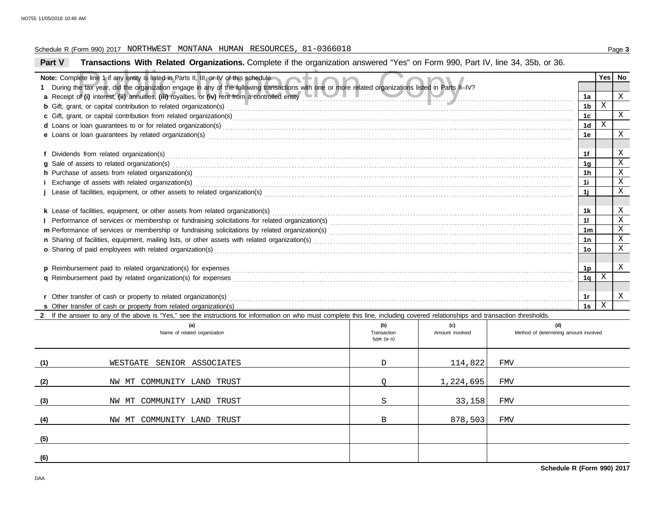## Schedule R (Form 990) 2017 Page **3** NORTHWEST MONTANA HUMAN RESOURCES, 81-0366018

## **Part V Transactions With Related Organizations.** Complete if the organization answered "Yes" on Form 990, Part IV, line 34, 35b, or 36.

| Note: Complete line 1 if any entity is listed in Parts II, III, or IV of this schedule.                                                                                                                                          |                                                                                                                                                                                                                                |              |                 |                                       |                |       |              |  |  |
|----------------------------------------------------------------------------------------------------------------------------------------------------------------------------------------------------------------------------------|--------------------------------------------------------------------------------------------------------------------------------------------------------------------------------------------------------------------------------|--------------|-----------------|---------------------------------------|----------------|-------|--------------|--|--|
|                                                                                                                                                                                                                                  | 1 During the tax year, did the organization engage in any of the following transactions with one or more related organizations listed in Parts II-IV?                                                                          |              |                 |                                       |                | Yes l | No           |  |  |
|                                                                                                                                                                                                                                  |                                                                                                                                                                                                                                |              |                 |                                       | 1a             |       | $\mathbf X$  |  |  |
|                                                                                                                                                                                                                                  |                                                                                                                                                                                                                                |              |                 |                                       | 1 <sub>b</sub> | X     |              |  |  |
|                                                                                                                                                                                                                                  |                                                                                                                                                                                                                                |              |                 |                                       | 1 <sub>c</sub> |       | X            |  |  |
|                                                                                                                                                                                                                                  | d Loans or loan guarantees to or for related organization(s) encourance contains an account of the container and container and container and container and container and container and container and container and container a |              |                 |                                       | 1 <sub>d</sub> | X     |              |  |  |
|                                                                                                                                                                                                                                  | e Loans or loan guarantees by related organization(s) entertainment contains and contained a state or loan guarantees by related organization(s) entertainment contains and contained a state of the Loans or loan guarantees  |              |                 |                                       | 1e             |       | X            |  |  |
|                                                                                                                                                                                                                                  |                                                                                                                                                                                                                                |              |                 |                                       |                |       |              |  |  |
|                                                                                                                                                                                                                                  |                                                                                                                                                                                                                                |              |                 |                                       | 1f             |       | X<br>X       |  |  |
| g Sale of assets to related organization(s)<br>and the contract contract contract contract contract contract contract contract contract contract contract contract contract contract contract contract contract contract contrac |                                                                                                                                                                                                                                |              |                 |                                       |                |       |              |  |  |
|                                                                                                                                                                                                                                  |                                                                                                                                                                                                                                |              |                 |                                       |                |       |              |  |  |
|                                                                                                                                                                                                                                  |                                                                                                                                                                                                                                |              |                 |                                       |                |       |              |  |  |
|                                                                                                                                                                                                                                  |                                                                                                                                                                                                                                |              |                 |                                       |                |       |              |  |  |
|                                                                                                                                                                                                                                  |                                                                                                                                                                                                                                |              |                 |                                       |                |       |              |  |  |
|                                                                                                                                                                                                                                  |                                                                                                                                                                                                                                |              |                 |                                       | 1k             |       | X            |  |  |
|                                                                                                                                                                                                                                  |                                                                                                                                                                                                                                |              |                 |                                       | 11             |       | $\mathbf X$  |  |  |
|                                                                                                                                                                                                                                  |                                                                                                                                                                                                                                |              |                 |                                       | 1m             |       | $\, {\rm X}$ |  |  |
|                                                                                                                                                                                                                                  |                                                                                                                                                                                                                                |              |                 |                                       | 1n             |       | $\mathbf X$  |  |  |
|                                                                                                                                                                                                                                  | <b>o</b> Sharing of paid employees with related organization(s)                                                                                                                                                                |              |                 |                                       | 1 <sub>o</sub> |       | $\mathbf X$  |  |  |
|                                                                                                                                                                                                                                  |                                                                                                                                                                                                                                |              |                 |                                       |                |       |              |  |  |
|                                                                                                                                                                                                                                  |                                                                                                                                                                                                                                |              |                 |                                       | 1p             |       | X            |  |  |
|                                                                                                                                                                                                                                  |                                                                                                                                                                                                                                |              |                 |                                       | 1 <sub>q</sub> | X     |              |  |  |
|                                                                                                                                                                                                                                  |                                                                                                                                                                                                                                |              |                 |                                       |                |       | X            |  |  |
|                                                                                                                                                                                                                                  |                                                                                                                                                                                                                                |              |                 |                                       | 1r<br>1s       | X     |              |  |  |
|                                                                                                                                                                                                                                  | 2 If the answer to any of the above is "Yes," see the instructions for information on who must complete this line, including covered relationships and transaction thresholds.                                                 |              |                 |                                       |                |       |              |  |  |
|                                                                                                                                                                                                                                  | (a)                                                                                                                                                                                                                            | (b)          | (c)             | (d)                                   |                |       |              |  |  |
|                                                                                                                                                                                                                                  | Name of related organization                                                                                                                                                                                                   | Transaction  | Amount involved | Method of determining amount involved |                |       |              |  |  |
|                                                                                                                                                                                                                                  |                                                                                                                                                                                                                                | type $(a-s)$ |                 |                                       |                |       |              |  |  |
|                                                                                                                                                                                                                                  |                                                                                                                                                                                                                                |              |                 |                                       |                |       |              |  |  |
| 114,822<br>WESTGATE SENIOR ASSOCIATES<br>D<br>(1)<br>FMV                                                                                                                                                                         |                                                                                                                                                                                                                                |              |                 |                                       |                |       |              |  |  |
|                                                                                                                                                                                                                                  |                                                                                                                                                                                                                                |              |                 |                                       |                |       |              |  |  |
| (2)                                                                                                                                                                                                                              | NW MT COMMUNITY LAND TRUST                                                                                                                                                                                                     | 0            | 1,224,695       | FMV                                   |                |       |              |  |  |
|                                                                                                                                                                                                                                  |                                                                                                                                                                                                                                |              |                 |                                       |                |       |              |  |  |
| (3)                                                                                                                                                                                                                              | NW MT COMMUNITY LAND TRUST                                                                                                                                                                                                     | S            | 33,158          | FMV                                   |                |       |              |  |  |

NW MT COMMUNITY LAND TRUST SERIES AND THE SERIES AND RESERVE BY A STRINGER BY A STRINGER BY A STRINGER BY A STRINGER

**(4)**

**(5)**

**(6)**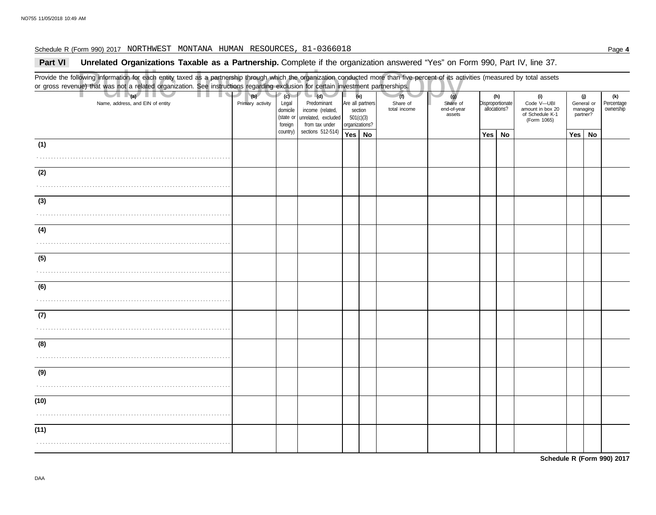## Schedule R (Form 990) 2017 Page **4** NORTHWEST MONTANA HUMAN RESOURCES, 81-0366018

## **Part VI** Unrelated Organizations Taxable as a Partnership. Complete if the organization answered "Yes" on Form 990, Part IV, line 37.

Nowing information for each entity taxed as a partnership through which the organization conducted more than five percent of its act<br>
(a) that was not a related organization. See instructions regarding exclusion for certai Provide the following information for each entity taxed as a partnership through which the organization conducted more than five percent of its activities (measured by total assets or gross revenue) that was not a related organization. See instructions regarding exclusion for certain investment partnerships. Name, address, and EIN of entity **Primary activity | Legal** domicile (state or Are all partners section 501(c)(3) organizations? Share of end-of-year assets Disproportionate allocations? Code V—UBI amount in box 20 of Schedule K-1 General or managing partner? **(a) (b) (c) (e) (g) (h) (i) (j)** . . . . . . . . . . . . . . . . . . . . . . . . . . . . . . . . . . . . . . . . . . . . . . . . . . . . . . . . . . . . . . . . . . . . . . **Yes No Yes No Yes No** . . . . . . . . . . . . . . . . . . . . . . . . . . . . . . . . . . . . . . . . . . . . . . . . . . . . . . . . . . . . . . . . . . . . . . . . . . . . . . . . . . . . . . . . . . . . . . . . . . . . . . . . . . . . . . . . . . . . . . . . . . . . . . . . . . . . . . . . . . . . . . . . . . . . . . . . . . . . . . . . . . . . . . . . . . . . . . . . . . . . . . . . . . . . . . . . . . . . . . . . . . . . . . . . . . . . . . . . . . . . . . . . . . . . . . . . . . . . . . . . . . . . . . . . . . . . . . . . . . . . . . . . . . . . . . . . . . . . . . . . . . . . . . . . . . . . . . . . . . . . . . . . . . . . . . . . . . . . . . . . . . . . . . . . . . . . . . . . . . . . . . . . . . . . . . . . . . . . . . . . . . . . . . . . . . . . . . . . . . . . . . . . . . . . . . . . . . . . . . . . . . . . . . . . . . . . . . . . . . . . . . . . . . . . . . . . . . . . . . . . . . . . . . . . . . . . . . . . . . . . . . . . . . . . . . . . . . . . . . . . . . . . . . . . . . . . . . . . . . . . . . . . . . . . . . . . . . . . . . . . . . . . . . . . . . . . . . . . . . . . . . . . . . . . . . . . . . . . . . . . . . . . . . . . . . . . . . . . . . . . . . . . . . . . . . . . . . . . . . . . . . . . . . . . . . . . . . . . . . . . . . . . . . . . . . . . . . . . . . . . . . . . . . . . . . . . . . . . . . . . . . . . . . . . . . . . . . . . . . . . . . . . . . . . . . . . . . . . . . . . (Form 1065) **(1) (2) (3) (4) (5) (6) (7) (8) (9) (10) (11) (d)** unrelated, excluded income (related, Predominant from tax under sections 512-514) foreign country) **(f)** total income Share of **(k)** ownership Percentage

**Schedule R (Form 990) 2017**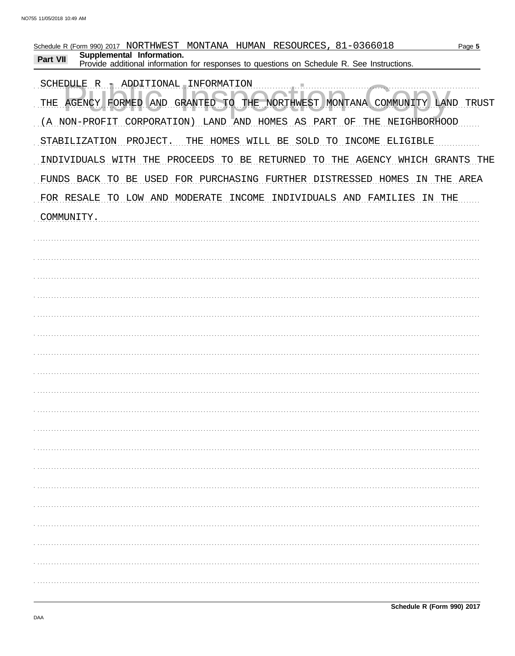| Schedule R (Form 990) 2017 NORTHWEST MONTANA HUMAN RESOURCES, 81-0366018<br>Page 5<br>Supplemental Information. |
|-----------------------------------------------------------------------------------------------------------------|
| Part VII<br>Provide additional information for responses to questions on Schedule R. See Instructions.          |
| SCHEDULE R 1 ADDITIONAL INFORMATION                                                                             |
| GRANTED TO THE NORTHWEST MONTANA COMMUNITY LAND TRUST<br>THE AGENCY FORMED AND                                  |
| (A NON-PROFIT CORPORATION) LAND AND HOMES AS PART OF THE NEIGHBORHOOD                                           |
| STABILIZATION PROJECT.<br>THE HOMES WILL BE SOLD TO<br>INCOME ELIGIBLE                                          |
| INDIVIDUALS WITH THE PROCEEDS TO BE RETURNED TO THE AGENCY WHICH GRANTS THE                                     |
| FUNDS BACK TO BE USED FOR PURCHASING FURTHER DISTRESSED HOMES<br>THE AREA<br>ΙN                                 |
| FOR RESALE<br>TO LOW AND MODERATE<br>INCOME INDIVIDUALS AND FAMILIES<br>IN THE                                  |
| COMMUNITY.                                                                                                      |
|                                                                                                                 |
|                                                                                                                 |
|                                                                                                                 |
|                                                                                                                 |
|                                                                                                                 |
|                                                                                                                 |
|                                                                                                                 |
|                                                                                                                 |
|                                                                                                                 |
|                                                                                                                 |
|                                                                                                                 |
|                                                                                                                 |
|                                                                                                                 |
|                                                                                                                 |
|                                                                                                                 |
|                                                                                                                 |
|                                                                                                                 |
|                                                                                                                 |
|                                                                                                                 |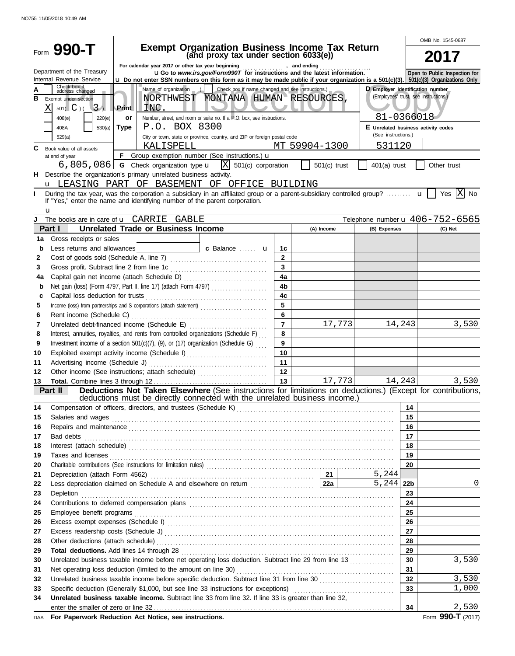|     |                                                                            |             |                                           |                                                                                                                                                                                                                                      |                |               |                |                                  |        | OMB No. 1545-0687                     |
|-----|----------------------------------------------------------------------------|-------------|-------------------------------------------|--------------------------------------------------------------------------------------------------------------------------------------------------------------------------------------------------------------------------------------|----------------|---------------|----------------|----------------------------------|--------|---------------------------------------|
|     | Form 990-T                                                                 |             |                                           | <b>Exempt Organization Business Income Tax Return</b>                                                                                                                                                                                |                |               |                |                                  |        |                                       |
|     |                                                                            |             |                                           | (and proxy tax under section 6033(e))                                                                                                                                                                                                |                |               |                |                                  |        | 2017                                  |
|     | Department of the Treasury                                                 |             |                                           | For calendar year 2017 or other tax year beginning<br>LGo to www.irs.gov/Form990T for instructions and the latest information.                                                                                                       |                |               |                |                                  |        | Open to Public Inspection for         |
|     | Internal Revenue Service                                                   |             |                                           | <b>u</b> Do not enter SSN numbers on this form as it may be made public if your organization is a 501(c)(3). $\frac{1}{2}$ 501(c)(3) Organizations Only                                                                              |                |               |                |                                  |        |                                       |
|     | Check box if<br>address changed                                            |             |                                           | Name of organization $\Box$ Check box if name changed and see instructions.)                                                                                                                                                         |                |               |                | D Employer identification number |        |                                       |
| в   | Exempt under section                                                       |             |                                           | NORTHWEST MONTANA HUMAN RESOURCES,                                                                                                                                                                                                   |                |               |                |                                  |        | (Employees' trust, see instructions.) |
|     | $501($ C $)($<br>3 <sub>1</sub>                                            | Print       | INC.                                      |                                                                                                                                                                                                                                      |                |               |                |                                  |        |                                       |
|     | 220(e)<br>408(e)                                                           | or          |                                           | Number, street, and room or suite no. If a $\overline{P}$ .O. box, see instructions.                                                                                                                                                 |                |               |                | 81-0366018                       |        |                                       |
|     | 408A<br>530(a)                                                             | <b>Type</b> | P.O. BOX 8300                             |                                                                                                                                                                                                                                      |                |               |                |                                  |        | E Unrelated business activity codes   |
|     | 529(a)                                                                     |             |                                           | City or town, state or province, country, and ZIP or foreign postal code                                                                                                                                                             |                |               |                | (See instructions.)              |        |                                       |
| C   | Book value of all assets                                                   |             | KALISPELL                                 |                                                                                                                                                                                                                                      |                | MT 59904-1300 |                | 531120                           |        |                                       |
|     | at end of year                                                             |             |                                           | F Group exemption number (See instructions.) u                                                                                                                                                                                       |                |               |                |                                  |        |                                       |
|     | 6,805,086                                                                  |             |                                           | <b>G</b> Check organization type $\mathbf{u}$   $X$   501(c) corporation                                                                                                                                                             |                |               | $501(c)$ trust | $401(a)$ trust                   |        | Other_trust                           |
| н   | Describe the organization's primary unrelated business activity.           |             |                                           |                                                                                                                                                                                                                                      |                |               |                |                                  |        |                                       |
|     |                                                                            |             |                                           | u LEASING PART OF BASEMENT OF OFFICE BUILDING                                                                                                                                                                                        |                |               |                |                                  |        |                                       |
| L   |                                                                            |             |                                           | During the tax year, was the corporation a subsidiary in an affiliated group or a parent-subsidiary controlled group? $\mathbf{u}$                                                                                                   |                |               |                |                                  |        | Yes $ X $ No                          |
|     | If "Yes," enter the name and identifying number of the parent corporation. |             |                                           |                                                                                                                                                                                                                                      |                |               |                |                                  |        |                                       |
|     | u                                                                          |             |                                           |                                                                                                                                                                                                                                      |                |               |                |                                  |        |                                       |
|     | The books are in care of <b>u</b> CARRIE GABLE                             |             |                                           |                                                                                                                                                                                                                                      |                |               |                |                                  |        | Telephone number $u$ 406-752-6565     |
|     | Part I                                                                     |             | <b>Unrelated Trade or Business Income</b> |                                                                                                                                                                                                                                      |                | (A) Income    |                | (B) Expenses                     |        | (C) Net                               |
| 1a  | Gross receipts or sales                                                    |             |                                           |                                                                                                                                                                                                                                      |                |               |                |                                  |        |                                       |
| b   | Less returns and allowances                                                |             |                                           | c Balance  u                                                                                                                                                                                                                         | 1c             |               |                |                                  |        |                                       |
| 2   |                                                                            |             |                                           |                                                                                                                                                                                                                                      | $\mathbf{2}$   |               |                |                                  |        |                                       |
| 3   |                                                                            |             |                                           |                                                                                                                                                                                                                                      | $\mathbf{3}$   |               |                |                                  |        |                                       |
| 4a  |                                                                            |             |                                           |                                                                                                                                                                                                                                      | 4a             |               |                |                                  |        |                                       |
| b   |                                                                            |             |                                           | Net gain (loss) (Form 4797, Part II, line 17) (attach Form 4797)                                                                                                                                                                     | 4 <sub>b</sub> |               |                |                                  |        |                                       |
| с   |                                                                            |             |                                           |                                                                                                                                                                                                                                      | 4 <sub>c</sub> |               |                |                                  |        |                                       |
| 5   |                                                                            |             |                                           | Income (loss) from partnerships and S corporations (attach statement)                                                                                                                                                                | 5              |               |                |                                  |        |                                       |
| 6   | Rent income (Schedule C)                                                   |             |                                           |                                                                                                                                                                                                                                      | 6              |               |                |                                  |        |                                       |
| 7   |                                                                            |             |                                           |                                                                                                                                                                                                                                      | $\overline{7}$ |               | 17,773         |                                  | 14,243 | 3,530                                 |
| 8   |                                                                            |             |                                           | Interest, annuities, royalties, and rents from controlled organizations (Schedule F)                                                                                                                                                 | 8              |               |                |                                  |        |                                       |
| 9   |                                                                            |             |                                           | Investment income of a section 501(c)(7), (9), or (17) organization (Schedule G)                                                                                                                                                     | 9              |               |                |                                  |        |                                       |
| 10  |                                                                            |             |                                           | Exploited exempt activity income (Schedule I)                                                                                                                                                                                        | 10<br>11       |               |                |                                  |        |                                       |
| 11  | Advertising income (Schedule J)                                            |             |                                           |                                                                                                                                                                                                                                      | 12             |               |                |                                  |        |                                       |
| 12  |                                                                            |             |                                           | Other income (See instructions; attach schedule)                                                                                                                                                                                     | 13             |               | 17,773         |                                  | 14,243 | 3,530                                 |
| 13  |                                                                            |             |                                           | Part II Deductions Not Taken Elsewhere (See instructions for limitations on deductions.) (Except for contributions,                                                                                                                  |                |               |                |                                  |        |                                       |
|     |                                                                            |             |                                           | deductions must be directly connected with the unrelated business income.)                                                                                                                                                           |                |               |                |                                  |        |                                       |
| 14  |                                                                            |             |                                           |                                                                                                                                                                                                                                      |                |               |                |                                  | 14     |                                       |
| 15  |                                                                            |             |                                           | Salaries and wages <b>contract the contract of the contract of the contract of the contract of the contract of the contract of the contract of the contract of the contract of the contract of the contract of the contract of t</b> |                |               |                |                                  | 15     |                                       |
| 16  |                                                                            |             |                                           | Repairs and maintenance <i>communication</i> and maintenance and maintenance and maintenance and maintenance and maintenance                                                                                                         |                |               |                |                                  | 16     |                                       |
| 17  |                                                                            |             |                                           | Bad debts <b>construction of the construction of the construction</b> of the construction of the construction of the construction of the construction of the construction of the construction of the construction of the constructi  |                |               |                |                                  | 17     |                                       |
| 18  |                                                                            |             |                                           |                                                                                                                                                                                                                                      |                |               |                |                                  | 18     |                                       |
| 19  |                                                                            |             |                                           | Taxes and licenses <b>contract the contract of the contract of the contract of the contract of the contract of the contract of the contract of the contract of the contract of the contract of the contract of the contract of t</b> |                |               |                |                                  | 19     |                                       |
| 20  |                                                                            |             |                                           |                                                                                                                                                                                                                                      |                |               |                |                                  | 20     |                                       |
| 21  |                                                                            |             |                                           | Depreciation (attach Form 4562) 21                                                                                                                                                                                                   |                |               |                | 5,244                            |        |                                       |
| 22  |                                                                            |             |                                           |                                                                                                                                                                                                                                      |                |               |                | 5, 244 $22b$                     |        | $\theta$                              |
| 23  |                                                                            |             |                                           |                                                                                                                                                                                                                                      |                |               |                |                                  | 23     |                                       |
| 24  |                                                                            |             |                                           |                                                                                                                                                                                                                                      |                |               |                |                                  | 24     |                                       |
| 25  |                                                                            |             |                                           |                                                                                                                                                                                                                                      |                |               |                |                                  | 25     |                                       |
| 26  |                                                                            |             |                                           |                                                                                                                                                                                                                                      |                |               |                |                                  | 26     |                                       |
| 27  |                                                                            |             |                                           |                                                                                                                                                                                                                                      |                |               |                |                                  | 27     |                                       |
| 28  |                                                                            |             |                                           |                                                                                                                                                                                                                                      |                |               |                |                                  | 28     |                                       |
| 29  |                                                                            |             |                                           |                                                                                                                                                                                                                                      |                |               |                |                                  | 29     |                                       |
| 30  |                                                                            |             |                                           | Unrelated business taxable income before net operating loss deduction. Subtract line 29 from line 13                                                                                                                                 |                |               |                |                                  | 30     | 3,530                                 |
| 31  |                                                                            |             |                                           |                                                                                                                                                                                                                                      |                |               |                |                                  | 31     |                                       |
| 32  |                                                                            |             |                                           | Unrelated business taxable income before specific deduction. Subtract line 31 from line 30 [[[[[[[[[[[[[[[[[[[                                                                                                                       |                |               |                |                                  | 32     | 3,530                                 |
| 33  |                                                                            |             |                                           |                                                                                                                                                                                                                                      |                |               |                |                                  | 33     | 1,000                                 |
| 34  |                                                                            |             |                                           | Unrelated business taxable income. Subtract line 33 from line 32. If line 33 is greater than line 32,                                                                                                                                |                |               |                |                                  |        |                                       |
|     |                                                                            |             |                                           |                                                                                                                                                                                                                                      |                |               |                |                                  | 34     | 2,530                                 |
| DAA | For Paperwork Reduction Act Notice, see instructions.                      |             |                                           |                                                                                                                                                                                                                                      |                |               |                |                                  |        | Form 990-T (2017)                     |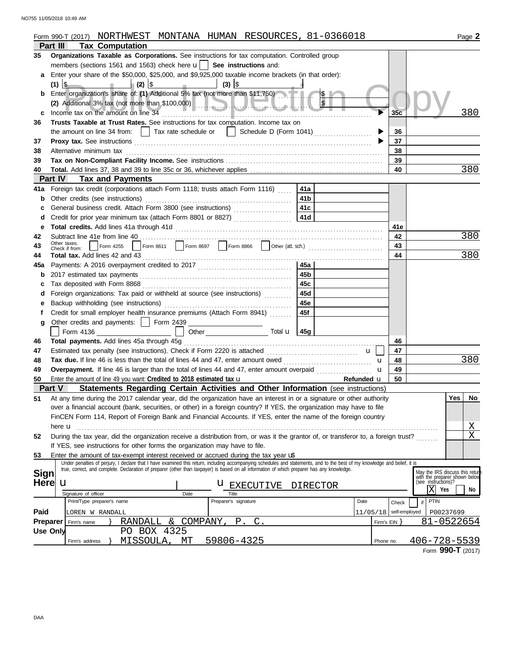|             | Form 990-T (2017) NORTHWEST MONTANA HUMAN RESOURCES, 81-0366018                                                                                                                                                                        |                   |                          | Page 2                                                                                 |
|-------------|----------------------------------------------------------------------------------------------------------------------------------------------------------------------------------------------------------------------------------------|-------------------|--------------------------|----------------------------------------------------------------------------------------|
|             | <b>Tax Computation</b><br>Part III                                                                                                                                                                                                     |                   |                          |                                                                                        |
| 35          | Organizations Taxable as Corporations. See instructions for tax computation. Controlled group                                                                                                                                          |                   |                          |                                                                                        |
|             | members (sections 1561 and 1563) check here $\mathbf{u}$   See instructions and:                                                                                                                                                       |                   |                          |                                                                                        |
| a           | Enter your share of the \$50,000, \$25,000, and \$9,925,000 taxable income brackets (in that order):                                                                                                                                   |                   |                          |                                                                                        |
|             | (1) $\frac{1}{3}$ (2) $\frac{1}{3}$<br>$\sim$ (3) $\vert$ \$                                                                                                                                                                           |                   |                          |                                                                                        |
| b           | Enter organization's share of: (1) Additional 5% tax (not more than \$11,750)                                                                                                                                                          | $\sim$            |                          |                                                                                        |
|             |                                                                                                                                                                                                                                        |                   |                          |                                                                                        |
| c           | Income tax on the amount on line 34                                                                                                                                                                                                    |                   | 35 <sub>c</sub>          | 380                                                                                    |
| 36          | Trusts Taxable at Trust Rates. See instructions for tax computation. Income tax on                                                                                                                                                     |                   |                          |                                                                                        |
|             |                                                                                                                                                                                                                                        |                   | 36                       |                                                                                        |
| 37          |                                                                                                                                                                                                                                        |                   | 37                       |                                                                                        |
| 38          | Alternative minimum tax                                                                                                                                                                                                                |                   | 38                       |                                                                                        |
| 39          |                                                                                                                                                                                                                                        |                   | 39                       |                                                                                        |
| 40          |                                                                                                                                                                                                                                        |                   | 40                       | 380                                                                                    |
|             | Part IV Tax and Payments                                                                                                                                                                                                               |                   |                          |                                                                                        |
| 41a         | Foreign tax credit (corporations attach Form 1118; trusts attach Form 1116)<br>41a                                                                                                                                                     |                   |                          |                                                                                        |
|             | Other credits (see instructions)<br>41b                                                                                                                                                                                                |                   |                          |                                                                                        |
|             | 41c<br>General business credit. Attach Form 3800 (see instructions)                                                                                                                                                                    |                   |                          |                                                                                        |
| d           | 41d                                                                                                                                                                                                                                    |                   |                          |                                                                                        |
| е           |                                                                                                                                                                                                                                        |                   | 41e                      |                                                                                        |
| 42          |                                                                                                                                                                                                                                        |                   | 42                       | 380                                                                                    |
| 43          | Other taxes.<br>$\Box$ Form 4255 $\Box$ Form 8611 $\Box$ Form 8697 $\Box$ Form 8866 $\Box$ Other (att. sch.) $\Box$<br>Check if from:                                                                                                  |                   | 43                       |                                                                                        |
| 44          | Total tax. Add lines 42 and 43                                                                                                                                                                                                         |                   | 44                       | 380                                                                                    |
| 45a         | 45a<br>Payments: A 2016 overpayment credited to 2017                                                                                                                                                                                   |                   |                          |                                                                                        |
| b           | 45 <sub>b</sub>                                                                                                                                                                                                                        |                   |                          |                                                                                        |
| c           | 45c                                                                                                                                                                                                                                    |                   |                          |                                                                                        |
| d           | 45d<br>Foreign organizations: Tax paid or withheld at source (see instructions)                                                                                                                                                        |                   |                          |                                                                                        |
|             | 45e                                                                                                                                                                                                                                    |                   |                          |                                                                                        |
|             | 45f<br>Credit for small employer health insurance premiums (Attach Form 8941)                                                                                                                                                          |                   |                          |                                                                                        |
| g           |                                                                                                                                                                                                                                        |                   |                          |                                                                                        |
|             | Other Total <b>u</b>   45g<br>Form 4136                                                                                                                                                                                                |                   |                          |                                                                                        |
| 46          |                                                                                                                                                                                                                                        |                   | 46                       |                                                                                        |
| 47          | Estimated tax penalty (see instructions). Check if Form 2220 is attached [                                                                                                                                                             | $ {\bf u} \cdot $ | 47                       |                                                                                        |
| 48          | Tax due. If line 46 is less than the total of lines 44 and 47, enter amount owed <i>[[[[[[[[[[[[[[[[[[[[[[[[[[[[[[]]]]]</i>                                                                                                            | u                 | 48                       | 380                                                                                    |
| 49          | Overpayment. If line 46 is larger than the total of lines 44 and 47, enter amount overpaid                                                                                                                                             | u                 | 49                       |                                                                                        |
| 50          | Enter the amount of line 49 you want: Credited to 2018 estimated tax $\mathbf u$                                                                                                                                                       | Refunded u        | 50                       |                                                                                        |
|             | Part V Statements Regarding Certain Activities and Other Information (see instructions)                                                                                                                                                |                   |                          |                                                                                        |
| 51          | At any time during the 2017 calendar year, did the organization have an interest in or a signature or other authority                                                                                                                  |                   |                          | Yes<br>No                                                                              |
|             | over a financial account (bank, securities, or other) in a foreign country? If YES, the organization may have to file<br>FinCEN Form 114, Report of Foreign Bank and Financial Accounts. If YES, enter the name of the foreign country |                   |                          |                                                                                        |
|             |                                                                                                                                                                                                                                        |                   |                          |                                                                                        |
|             | here <b>u</b>                                                                                                                                                                                                                          |                   |                          | Χ<br>X                                                                                 |
| 52          | During the tax year, did the organization receive a distribution from, or was it the grantor of, or transferor to, a foreign trust?                                                                                                    |                   |                          |                                                                                        |
|             | If YES, see instructions for other forms the organization may have to file.                                                                                                                                                            |                   |                          |                                                                                        |
| 53          | Under penalties of perjury, I declare that I have examined this return, including accompanying schedules and statements, and to the best of my knowledge and belief, it is                                                             |                   |                          |                                                                                        |
| Sign        | true, correct, and complete. Declaration of preparer (other than taxpayer) is based on all information of which preparer has any knowledge.                                                                                            |                   |                          |                                                                                        |
| <b>Here</b> | $\mathbf u$                                                                                                                                                                                                                            |                   |                          | May the IRS discuss this retur<br>with the preparer shown below<br>(see instructions)? |
|             | <b>U</b> EXECUTIVE<br>DIRECTOR                                                                                                                                                                                                         |                   | X                        | Yes<br>No                                                                              |
|             | Signature of officer<br>Title<br>Date<br>Preparer's signature<br>Print/Type preparer's name                                                                                                                                            | Date              | if<br>Check              | PTIN                                                                                   |
| Paid        | LOREN W RANDALL                                                                                                                                                                                                                        |                   | $11/05/18$ self-employed | P00237699                                                                              |
|             | RANDALL & COMPANY, P. C.<br><b>Preparer</b><br>Firm's name                                                                                                                                                                             |                   | Firm's $EIN$ }           | 81-0522654                                                                             |
|             | Use Only<br>PO BOX 4325                                                                                                                                                                                                                |                   |                          |                                                                                        |
|             | MISSOULA,<br>59806-4325<br>МT<br>Firm's address                                                                                                                                                                                        |                   | Phone no.                | 406-728-5539                                                                           |
|             |                                                                                                                                                                                                                                        |                   |                          |                                                                                        |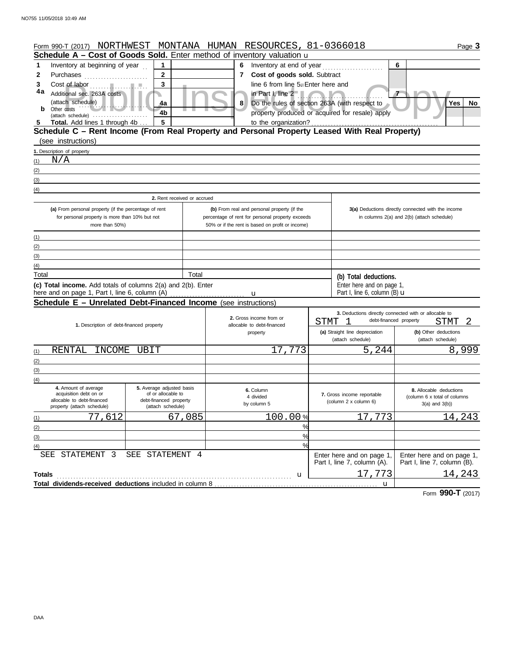|               |                                                                                                                  |                                             |       | Form 990-T (2017) NORTHWEST MONTANA HUMAN RESOURCES, 81-0366018                               |                                                     | Page 3                                                                                  |
|---------------|------------------------------------------------------------------------------------------------------------------|---------------------------------------------|-------|-----------------------------------------------------------------------------------------------|-----------------------------------------------------|-----------------------------------------------------------------------------------------|
|               |                                                                                                                  |                                             |       | Schedule A - Cost of Goods Sold. Enter method of inventory valuation u                        |                                                     |                                                                                         |
| 1             | Inventory at beginning of year                                                                                   | $\mathbf{1}$                                |       | 6                                                                                             | Inventory at end of year                            | 6                                                                                       |
| 2             | Purchases                                                                                                        | 2                                           |       | Cost of goods sold. Subtract<br>$\mathbf{7}$                                                  |                                                     |                                                                                         |
| 3             |                                                                                                                  | 3                                           |       | line 6 from line 5. Enter here and                                                            |                                                     |                                                                                         |
| 4a            | Additional sec. 263A costs                                                                                       |                                             |       | in Part I, line 2                                                                             |                                                     | 7                                                                                       |
|               | (attach schedule)                                                                                                | 4a                                          |       | 8                                                                                             | Do the rules of section 263A (with respect to       | <b>Yes</b><br>No                                                                        |
| b             | Other costs<br>(attach schedule)                                                                                 | 4 <sub>b</sub>                              |       |                                                                                               | property produced or acquired for resale) apply     |                                                                                         |
| 5             | Total. Add lines 1 through 4b                                                                                    | 5                                           |       | to the organization?                                                                          |                                                     |                                                                                         |
|               |                                                                                                                  |                                             |       | Schedule C - Rent Income (From Real Property and Personal Property Leased With Real Property) |                                                     |                                                                                         |
|               | (see instructions)                                                                                               |                                             |       |                                                                                               |                                                     |                                                                                         |
|               | 1. Description of property                                                                                       |                                             |       |                                                                                               |                                                     |                                                                                         |
| (1)           | N/A                                                                                                              |                                             |       |                                                                                               |                                                     |                                                                                         |
| (2)           |                                                                                                                  |                                             |       |                                                                                               |                                                     |                                                                                         |
| (3)           |                                                                                                                  |                                             |       |                                                                                               |                                                     |                                                                                         |
| (4)           |                                                                                                                  |                                             |       |                                                                                               |                                                     |                                                                                         |
|               |                                                                                                                  | 2. Rent received or accrued                 |       |                                                                                               |                                                     |                                                                                         |
|               | (a) From personal property (if the percentage of rent                                                            |                                             |       | (b) From real and personal property (if the                                                   |                                                     | 3(a) Deductions directly connected with the income                                      |
|               | for personal property is more than 10% but not                                                                   |                                             |       | percentage of rent for personal property exceeds                                              |                                                     | in columns 2(a) and 2(b) (attach schedule)                                              |
|               | more than 50%)                                                                                                   |                                             |       | 50% or if the rent is based on profit or income)                                              |                                                     |                                                                                         |
| (1)           |                                                                                                                  |                                             |       |                                                                                               |                                                     |                                                                                         |
| (2)           |                                                                                                                  |                                             |       |                                                                                               |                                                     |                                                                                         |
| (3)           |                                                                                                                  |                                             |       |                                                                                               |                                                     |                                                                                         |
| (4)           |                                                                                                                  |                                             |       |                                                                                               |                                                     |                                                                                         |
| Total         |                                                                                                                  |                                             | Total |                                                                                               | (b) Total deductions.                               |                                                                                         |
|               | (c) Total income. Add totals of columns 2(a) and 2(b). Enter                                                     |                                             |       |                                                                                               | Enter here and on page 1,                           |                                                                                         |
|               | here and on page 1, Part I, line 6, column (A)<br>Schedule E - Unrelated Debt-Financed Income (see instructions) |                                             |       | u                                                                                             | Part I, line 6, column (B) $\mathbf u$              |                                                                                         |
|               |                                                                                                                  |                                             |       |                                                                                               |                                                     |                                                                                         |
|               |                                                                                                                  |                                             |       | 2. Gross income from or                                                                       | STMT<br>- 1                                         | 3. Deductions directly connected with or allocable to<br>debt-financed property<br>STMT |
|               | 1. Description of debt-financed property                                                                         |                                             |       | allocable to debt-financed                                                                    |                                                     |                                                                                         |
|               |                                                                                                                  |                                             |       | property                                                                                      | (a) Straight line depreciation<br>(attach schedule) | (b) Other deductions<br>(attach schedule)                                               |
|               | RENTAL                                                                                                           | INCOME UBIT                                 |       | 17,773                                                                                        | 5,244                                               | 8,999                                                                                   |
| (1)           |                                                                                                                  |                                             |       |                                                                                               |                                                     |                                                                                         |
| (2)<br>(3)    |                                                                                                                  |                                             |       |                                                                                               |                                                     |                                                                                         |
| (4)           |                                                                                                                  |                                             |       |                                                                                               |                                                     |                                                                                         |
|               | 4. Amount of average                                                                                             | 5. Average adjusted basis                   |       | 6. Column                                                                                     |                                                     |                                                                                         |
|               | acquisition debt on or                                                                                           | of or allocable to                          |       | 4 divided                                                                                     | 7. Gross income reportable                          | <b>8.</b> Allocable deductions<br>(column 6 x total of columns                          |
|               | allocable to debt-financed<br>property (attach schedule)                                                         | debt-financed property<br>(attach schedule) |       | by column 5                                                                                   | (column 2 x column 6)                               | $3(a)$ and $3(b)$ )                                                                     |
| (1)           | 77,612                                                                                                           | 67,085                                      |       | 100.00%                                                                                       | 17,773                                              | 14,243                                                                                  |
| (2)           |                                                                                                                  |                                             |       | %                                                                                             |                                                     |                                                                                         |
| (3)           |                                                                                                                  |                                             |       | %                                                                                             |                                                     |                                                                                         |
| (4)           |                                                                                                                  |                                             |       | $\frac{0}{c}$                                                                                 |                                                     |                                                                                         |
|               | STATEMENT 3<br>SEE                                                                                               | SEE STATEMENT 4                             |       |                                                                                               | Enter here and on page 1,                           | Enter here and on page 1,                                                               |
|               |                                                                                                                  |                                             |       |                                                                                               | Part I, line 7, column (A).                         | Part I, line 7, column (B).                                                             |
| <b>Totals</b> |                                                                                                                  |                                             |       | u                                                                                             | 17,773                                              | 14,243                                                                                  |
|               |                                                                                                                  |                                             |       |                                                                                               | u                                                   |                                                                                         |

Form **990-T** (2017)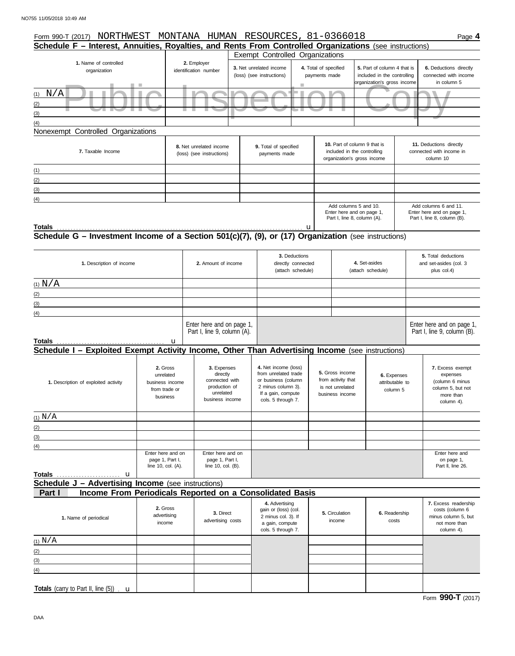| Form 990-T (2017) NORTHWEST MONTANA HUMAN RESOURCES, 81-0366018                                         |                           |   |                                      |                                                          |  |                                             |                    |   |                       |                                        |                              |                             | Page 4                                                   |
|---------------------------------------------------------------------------------------------------------|---------------------------|---|--------------------------------------|----------------------------------------------------------|--|---------------------------------------------|--------------------|---|-----------------------|----------------------------------------|------------------------------|-----------------------------|----------------------------------------------------------|
| Schedule F - Interest, Annuities, Royalties, and Rents From Controlled Organizations (see instructions) |                           |   |                                      |                                                          |  |                                             |                    |   |                       |                                        |                              |                             |                                                          |
| 1. Name of controlled                                                                                   |                           |   |                                      |                                                          |  | Exempt Controlled Organizations             |                    |   |                       |                                        |                              |                             |                                                          |
| organization                                                                                            |                           |   | 2. Employer<br>identification number |                                                          |  | 3. Net unrelated income                     |                    |   | 4. Total of specified |                                        |                              | 5. Part of column 4 that is | 6. Deductions directly                                   |
|                                                                                                         |                           |   |                                      |                                                          |  | (loss) (see instructions)                   |                    |   | payments made         |                                        |                              | included in the controlling | connected with income                                    |
|                                                                                                         |                           |   |                                      |                                                          |  |                                             |                    |   |                       |                                        |                              | organization's gross income | in column 5                                              |
| N/A<br>(1)                                                                                              |                           |   |                                      |                                                          |  |                                             |                    |   |                       |                                        |                              |                             |                                                          |
| (2)                                                                                                     |                           |   | a a                                  |                                                          |  |                                             |                    |   |                       |                                        |                              |                             |                                                          |
| (3)                                                                                                     |                           |   |                                      |                                                          |  |                                             |                    |   |                       |                                        |                              |                             |                                                          |
| (4)                                                                                                     |                           |   |                                      |                                                          |  |                                             |                    |   |                       |                                        |                              |                             |                                                          |
| Nonexempt Controlled Organizations                                                                      |                           |   |                                      |                                                          |  |                                             |                    |   |                       |                                        |                              |                             |                                                          |
|                                                                                                         |                           |   |                                      | 8. Net unrelated income                                  |  | 9. Total of specified                       |                    |   |                       |                                        | 10. Part of column 9 that is |                             | 11. Deductions directly                                  |
| 7. Taxable Income                                                                                       |                           |   |                                      | (loss) (see instructions)                                |  | payments made                               |                    |   |                       |                                        | included in the controlling  |                             | connected with income in                                 |
|                                                                                                         |                           |   |                                      |                                                          |  |                                             |                    |   |                       |                                        | organization's gross income  |                             | column 10                                                |
| (1)                                                                                                     |                           |   |                                      |                                                          |  |                                             |                    |   |                       |                                        |                              |                             |                                                          |
| (2)                                                                                                     |                           |   |                                      |                                                          |  |                                             |                    |   |                       |                                        |                              |                             |                                                          |
| (3)<br>the control of the control of the control of the control of the control of                       |                           |   |                                      |                                                          |  |                                             |                    |   |                       |                                        |                              |                             |                                                          |
| (4)                                                                                                     |                           |   |                                      |                                                          |  |                                             |                    |   |                       |                                        |                              |                             |                                                          |
|                                                                                                         |                           |   |                                      |                                                          |  |                                             |                    |   |                       | Add columns 5 and 10.                  |                              |                             | Add columns 6 and 11.                                    |
|                                                                                                         |                           |   |                                      |                                                          |  |                                             |                    |   |                       | Part I, line 8, column (A).            | Enter here and on page 1,    |                             | Enter here and on page 1,<br>Part I, line 8, column (B). |
| Totals                                                                                                  |                           |   |                                      |                                                          |  |                                             |                    | u |                       |                                        |                              |                             |                                                          |
| Schedule G - Investment Income of a Section 501(c)(7), (9), or (17) Organization (see instructions)     |                           |   |                                      |                                                          |  |                                             |                    |   |                       |                                        |                              |                             |                                                          |
|                                                                                                         |                           |   |                                      |                                                          |  |                                             |                    |   |                       |                                        |                              |                             |                                                          |
|                                                                                                         |                           |   |                                      |                                                          |  |                                             | 3. Deductions      |   |                       |                                        |                              |                             | 5. Total deductions                                      |
| 1. Description of income                                                                                |                           |   |                                      | 2. Amount of income                                      |  |                                             | directly connected |   |                       |                                        | 4. Set-asides                |                             | and set-asides (col. 3                                   |
|                                                                                                         |                           |   |                                      |                                                          |  |                                             | (attach schedule)  |   |                       |                                        | (attach schedule)            |                             | plus col.4)                                              |
| (1) N/A                                                                                                 |                           |   |                                      |                                                          |  |                                             |                    |   |                       |                                        |                              |                             |                                                          |
| (2)                                                                                                     |                           |   |                                      |                                                          |  |                                             |                    |   |                       |                                        |                              |                             |                                                          |
| (3)                                                                                                     |                           |   |                                      |                                                          |  |                                             |                    |   |                       |                                        |                              |                             |                                                          |
| (4)                                                                                                     |                           |   |                                      |                                                          |  |                                             |                    |   |                       |                                        |                              |                             |                                                          |
|                                                                                                         |                           |   |                                      |                                                          |  |                                             |                    |   |                       |                                        |                              |                             |                                                          |
|                                                                                                         |                           |   |                                      | Enter here and on page 1,<br>Part I, line 9, column (A). |  |                                             |                    |   |                       |                                        |                              |                             | Enter here and on page 1,<br>Part I, line 9, column (B). |
| Totals                                                                                                  |                           | u |                                      |                                                          |  |                                             |                    |   |                       |                                        |                              |                             |                                                          |
| Schedule I - Exploited Exempt Activity Income, Other Than Advertising Income (see instructions)         |                           |   |                                      |                                                          |  |                                             |                    |   |                       |                                        |                              |                             |                                                          |
|                                                                                                         |                           |   |                                      |                                                          |  |                                             |                    |   |                       |                                        |                              |                             |                                                          |
|                                                                                                         | 2. Gross                  |   |                                      | 3. Expenses                                              |  | 4. Net income (loss)                        |                    |   |                       |                                        |                              |                             | 7. Excess exempt                                         |
|                                                                                                         | unrelated                 |   |                                      | directly                                                 |  | from unrelated trade                        |                    |   |                       | 5. Gross income                        |                              | 6. Expenses                 | expenses                                                 |
| 1. Description of exploited activity                                                                    | business income           |   |                                      | connected with<br>production of                          |  | or business (column<br>2 minus column 3).   |                    |   |                       | from activity that<br>is not unrelated |                              | attributable to             | (column 6 minus<br>column 5, but not                     |
|                                                                                                         | from trade or<br>business |   |                                      | unrelated                                                |  | If a gain, compute                          |                    |   |                       | business income                        |                              | column 5                    | more than                                                |
|                                                                                                         |                           |   |                                      | business income                                          |  | cols. 5 through 7.                          |                    |   |                       |                                        |                              |                             | column 4).                                               |
|                                                                                                         |                           |   |                                      |                                                          |  |                                             |                    |   |                       |                                        |                              |                             |                                                          |
| (1) N/A                                                                                                 |                           |   |                                      |                                                          |  |                                             |                    |   |                       |                                        |                              |                             |                                                          |
| (2)                                                                                                     |                           |   |                                      |                                                          |  |                                             |                    |   |                       |                                        |                              |                             |                                                          |
| (3)                                                                                                     |                           |   |                                      |                                                          |  |                                             |                    |   |                       |                                        |                              |                             |                                                          |
| (4)                                                                                                     | Enter here and on         |   |                                      |                                                          |  |                                             |                    |   |                       |                                        |                              |                             | Enter here and                                           |
|                                                                                                         | page 1, Part I,           |   |                                      | Enter here and on<br>page 1, Part I,                     |  |                                             |                    |   |                       |                                        |                              |                             | on page 1,                                               |
|                                                                                                         | line 10, col. (A).        |   |                                      | line 10, col. (B).                                       |  |                                             |                    |   |                       |                                        |                              |                             | Part II, line 26.                                        |
| Totals<br>u                                                                                             |                           |   |                                      |                                                          |  |                                             |                    |   |                       |                                        |                              |                             |                                                          |
| Schedule J - Advertising Income (see instructions)                                                      |                           |   |                                      |                                                          |  |                                             |                    |   |                       |                                        |                              |                             |                                                          |
| Income From Periodicals Reported on a Consolidated Basis<br>Part I                                      |                           |   |                                      |                                                          |  |                                             |                    |   |                       |                                        |                              |                             |                                                          |
|                                                                                                         | 2. Gross                  |   |                                      |                                                          |  | 4. Advertising                              |                    |   |                       |                                        |                              |                             | 7. Excess readership<br>costs (column 6                  |
| 1. Name of periodical                                                                                   | advertising               |   |                                      | 3. Direct                                                |  | gain or (loss) (col.<br>2 minus col. 3). If |                    |   |                       | 5. Circulation                         |                              | 6. Readership               | minus column 5, but                                      |
|                                                                                                         | income                    |   |                                      | advertising costs                                        |  | a gain, compute                             |                    |   |                       | income                                 |                              | costs                       | not more than                                            |
|                                                                                                         |                           |   |                                      |                                                          |  | cols. 5 through 7.                          |                    |   |                       |                                        |                              |                             | column 4).                                               |
| $(1)$ N/A                                                                                               |                           |   |                                      |                                                          |  |                                             |                    |   |                       |                                        |                              |                             |                                                          |
| (2)                                                                                                     |                           |   |                                      |                                                          |  |                                             |                    |   |                       |                                        |                              |                             |                                                          |
| (3)                                                                                                     |                           |   |                                      |                                                          |  |                                             |                    |   |                       |                                        |                              |                             |                                                          |
| (4)                                                                                                     |                           |   |                                      |                                                          |  |                                             |                    |   |                       |                                        |                              |                             |                                                          |
|                                                                                                         |                           |   |                                      |                                                          |  |                                             |                    |   |                       |                                        |                              |                             |                                                          |
| Totals (carry to Part II, line (5))<br>$\mathbf u$                                                      |                           |   |                                      |                                                          |  |                                             |                    |   |                       |                                        |                              |                             |                                                          |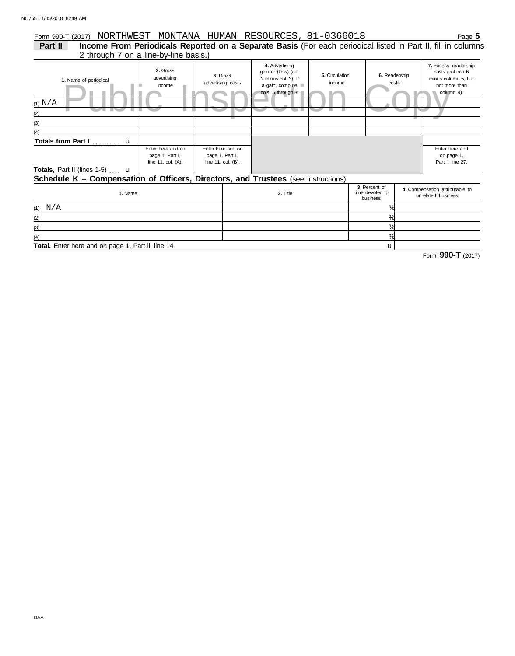## Form 990-T (2017) NORTHWEST MONTANA HUMAN RESOURCES, 81-0366018 Page **5**

2 through 7 on a line-by-line basis.) **Part II Income From Periodicals Reported on a Separate Basis** (For each periodical listed in Part II, fill in columns

| 1. Name of periodical<br>(1) $N/A$<br>(2)<br>(3)<br>(4)                           | 2. Gross<br>advertising<br>income                          | 3. Direct<br>advertising costs                             | 4. Advertising<br>gain or (loss) (col.<br>2 minus col. 3). If<br>a gain, compute<br>cols. 5 through 7. | 5. Circulation<br>income | 6. Readership                                | costs | 7. Excess readership<br>costs (column 6<br>minus column 5, but<br>not more than<br>column 4). |
|-----------------------------------------------------------------------------------|------------------------------------------------------------|------------------------------------------------------------|--------------------------------------------------------------------------------------------------------|--------------------------|----------------------------------------------|-------|-----------------------------------------------------------------------------------------------|
| Totals from Part I  u                                                             |                                                            |                                                            |                                                                                                        |                          |                                              |       |                                                                                               |
| <b>Totals, Part II (lines 1-5) u</b>                                              | Enter here and on<br>page 1, Part I,<br>line 11, col. (A). | Enter here and on<br>page 1, Part I,<br>line 11, col. (B). |                                                                                                        |                          |                                              |       | Enter here and<br>on page 1,<br>Part II, line 27.                                             |
| Schedule K - Compensation of Officers, Directors, and Trustees (see instructions) |                                                            |                                                            |                                                                                                        |                          |                                              |       |                                                                                               |
| 1. Name                                                                           |                                                            |                                                            | 2. Title                                                                                               |                          | 3. Percent of<br>time devoted to<br>business |       | 4. Compensation attributable to<br>unrelated business                                         |

| N/A<br>(1)                                        | $\%$       |  |
|---------------------------------------------------|------------|--|
| (2)                                               | $\%$       |  |
| (3)                                               | O/2        |  |
| (4)                                               | $O_{\ell}$ |  |
| Total. Enter here and on page 1, Part II, line 14 |            |  |

**Total.** Enter here and on page 1, Part ll, line 14

Form **990-T** (2017)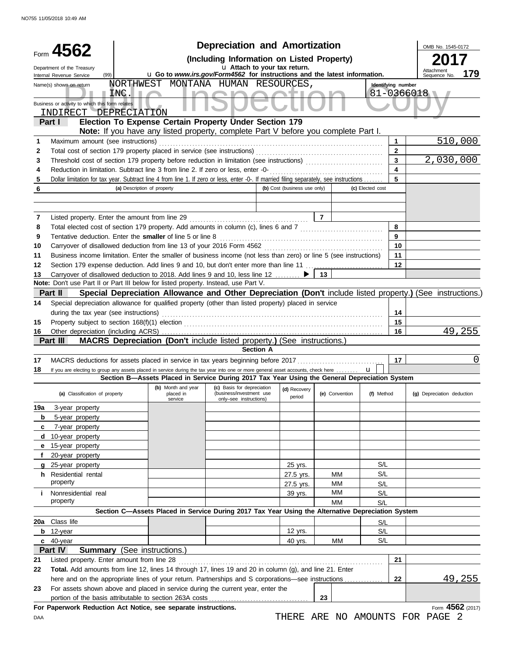NO755 11/05/2018 10:49 AM

|                            |                                                 |                                                                                    |                                                                                                                                                                                                    |                                                    |                              |                |                                  | OMB No. 1545-0172                                                                                          |
|----------------------------|-------------------------------------------------|------------------------------------------------------------------------------------|----------------------------------------------------------------------------------------------------------------------------------------------------------------------------------------------------|----------------------------------------------------|------------------------------|----------------|----------------------------------|------------------------------------------------------------------------------------------------------------|
| Form 4562                  |                                                 | <b>Depreciation and Amortization</b><br>(Including Information on Listed Property) |                                                                                                                                                                                                    |                                                    |                              |                |                                  |                                                                                                            |
| Department of the Treasury |                                                 |                                                                                    |                                                                                                                                                                                                    |                                                    | u Attach to your tax return. |                |                                  | Attachment                                                                                                 |
| Internal Revenue Service   | (99)                                            |                                                                                    | <b>u</b> Go to www.irs.gov/Form4562 for instructions and the latest information.                                                                                                                   |                                                    |                              |                |                                  | 179<br>Sequence No                                                                                         |
| Name(s) shown on return    |                                                 | INC.                                                                               | NORTHWEST MONTANA HUMAN RESOURCES,                                                                                                                                                                 |                                                    |                              |                | Identifying number<br>81-0366018 |                                                                                                            |
|                            | Business or activity to which this form relates |                                                                                    |                                                                                                                                                                                                    |                                                    |                              |                |                                  |                                                                                                            |
|                            | INDIRECT DEPRECIATION                           |                                                                                    |                                                                                                                                                                                                    |                                                    |                              |                |                                  |                                                                                                            |
| Part I                     |                                                 |                                                                                    | Election To Expense Certain Property Under Section 179                                                                                                                                             |                                                    |                              |                |                                  |                                                                                                            |
|                            |                                                 |                                                                                    | Note: If you have any listed property, complete Part V before you complete Part I.                                                                                                                 |                                                    |                              |                |                                  |                                                                                                            |
| 1                          | Maximum amount (see instructions)               |                                                                                    |                                                                                                                                                                                                    |                                                    |                              |                | $\mathbf{1}$                     | 510,000                                                                                                    |
| 2                          |                                                 |                                                                                    |                                                                                                                                                                                                    |                                                    |                              |                | $\mathbf{2}$                     |                                                                                                            |
| 3<br>4                     |                                                 |                                                                                    | Threshold cost of section 179 property before reduction in limitation (see instructions) [[[[[[[[[[[[[[[[[[[[[<br>Reduction in limitation. Subtract line 3 from line 2. If zero or less, enter -0- |                                                    |                              |                | 3<br>$\overline{\mathbf{A}}$     | 2,030,000                                                                                                  |
| 5                          |                                                 |                                                                                    | Dollar limitation for tax year. Subtract line 4 from line 1. If zero or less, enter -0-. If married filing separately, see instructions                                                            |                                                    |                              |                | 5                                |                                                                                                            |
| 6                          |                                                 | (a) Description of property                                                        |                                                                                                                                                                                                    |                                                    | (b) Cost (business use only) |                | (c) Elected cost                 |                                                                                                            |
|                            |                                                 |                                                                                    |                                                                                                                                                                                                    |                                                    |                              |                |                                  |                                                                                                            |
|                            |                                                 |                                                                                    |                                                                                                                                                                                                    |                                                    |                              |                |                                  |                                                                                                            |
| 7                          | Listed property. Enter the amount from line 29  |                                                                                    |                                                                                                                                                                                                    |                                                    |                              | $\overline{7}$ |                                  |                                                                                                            |
| 8                          |                                                 |                                                                                    | Total elected cost of section 179 property. Add amounts in column (c), lines 6 and 7 [[[[[[[[[[[[[[[[[[[[[[[[                                                                                      |                                                    |                              |                | 8                                |                                                                                                            |
| 9                          |                                                 |                                                                                    | Tentative deduction. Enter the smaller of line 5 or line 8                                                                                                                                         |                                                    |                              |                | 9                                |                                                                                                            |
| 10                         |                                                 |                                                                                    | Carryover of disallowed deduction from line 13 of your 2016 Form 4562                                                                                                                              |                                                    |                              |                | 10                               |                                                                                                            |
| 11                         |                                                 |                                                                                    | Business income limitation. Enter the smaller of business income (not less than zero) or line 5 (see instructions)                                                                                 |                                                    |                              |                | 11                               |                                                                                                            |
| 12                         |                                                 |                                                                                    | Section 179 expense deduction. Add lines 9 and 10, but don't enter more than line 11                                                                                                               |                                                    |                              | 13             | 12                               |                                                                                                            |
| 13                         |                                                 |                                                                                    | Carryover of disallowed deduction to 2018. Add lines 9 and 10, less line 12<br>Note: Don't use Part II or Part III below for listed property. Instead, use Part V.                                 |                                                    |                              |                |                                  |                                                                                                            |
| <b>Part II</b>             |                                                 |                                                                                    |                                                                                                                                                                                                    |                                                    |                              |                |                                  | Special Depreciation Allowance and Other Depreciation (Don't include listed property.) (See instructions.) |
| 14                         |                                                 |                                                                                    | Special depreciation allowance for qualified property (other than listed property) placed in service                                                                                               |                                                    |                              |                |                                  |                                                                                                            |
|                            | during the tax year (see instructions)          |                                                                                    |                                                                                                                                                                                                    |                                                    |                              |                | 14                               |                                                                                                            |
| 15                         |                                                 |                                                                                    |                                                                                                                                                                                                    |                                                    |                              |                | 15                               |                                                                                                            |
| 16                         | Other depreciation (including ACRS)             |                                                                                    |                                                                                                                                                                                                    |                                                    |                              |                | 16                               | 49,255                                                                                                     |
| Part III                   |                                                 |                                                                                    | MACRS Depreciation (Don't include listed property.) (See instructions.)                                                                                                                            |                                                    |                              |                |                                  |                                                                                                            |
|                            |                                                 |                                                                                    |                                                                                                                                                                                                    |                                                    | <b>Section A</b>             |                |                                  |                                                                                                            |
| 17                         |                                                 |                                                                                    | MACRS deductions for assets placed in service in tax years beginning before 2017                                                                                                                   |                                                    |                              |                | 17                               | 0                                                                                                          |
| 18                         |                                                 |                                                                                    | If you are electing to group any assets placed in service during the tax year into one or more general asset accounts, check here                                                                  |                                                    |                              |                | $\mathbf{u}$                     |                                                                                                            |
|                            |                                                 |                                                                                    | Section B-Assets Placed in Service During 2017 Tax Year Using the General Depreciation System<br>(b) Month and year                                                                                | (c) Basis for depreciation                         |                              |                |                                  |                                                                                                            |
|                            | (a) Classification of property                  |                                                                                    | placed in<br>service                                                                                                                                                                               | (business/investment use<br>only-see instructions) | (d) Recovery<br>period       | (e) Convention | (f) Method                       | (g) Depreciation deduction                                                                                 |
| 19a                        | 3-year property                                 |                                                                                    |                                                                                                                                                                                                    |                                                    |                              |                |                                  |                                                                                                            |
| b                          | 5-year property                                 |                                                                                    |                                                                                                                                                                                                    |                                                    |                              |                |                                  |                                                                                                            |
| c                          | 7-year property                                 |                                                                                    |                                                                                                                                                                                                    |                                                    |                              |                |                                  |                                                                                                            |
| d                          | 10-year property                                |                                                                                    |                                                                                                                                                                                                    |                                                    |                              |                |                                  |                                                                                                            |
| е                          | 15-year property                                |                                                                                    |                                                                                                                                                                                                    |                                                    |                              |                |                                  |                                                                                                            |
|                            | 20-year property                                |                                                                                    |                                                                                                                                                                                                    |                                                    |                              |                |                                  |                                                                                                            |
|                            | 25-year property                                |                                                                                    |                                                                                                                                                                                                    |                                                    | 25 yrs.                      |                | S/L                              |                                                                                                            |
| property                   | h Residential rental                            |                                                                                    |                                                                                                                                                                                                    |                                                    | 27.5 yrs.                    | ΜМ             | S/L                              |                                                                                                            |
|                            |                                                 |                                                                                    |                                                                                                                                                                                                    |                                                    | 27.5 yrs.                    | ΜМ<br>ΜМ       | S/L                              |                                                                                                            |
| property                   | Nonresidential real                             |                                                                                    |                                                                                                                                                                                                    |                                                    | 39 yrs.                      | MМ             | S/L<br>S/L                       |                                                                                                            |
|                            |                                                 |                                                                                    | Section C-Assets Placed in Service During 2017 Tax Year Using the Alternative Depreciation System                                                                                                  |                                                    |                              |                |                                  |                                                                                                            |
| 20a Class life             |                                                 |                                                                                    |                                                                                                                                                                                                    |                                                    |                              |                | S/L                              |                                                                                                            |
| $b$ 12-year                |                                                 |                                                                                    |                                                                                                                                                                                                    |                                                    | 12 yrs.                      |                | S/L                              |                                                                                                            |
| $c$ 40-year                |                                                 |                                                                                    |                                                                                                                                                                                                    |                                                    | 40 yrs.                      | MМ             | S/L                              |                                                                                                            |
| Part IV                    | <b>Summary</b> (See instructions.)              |                                                                                    |                                                                                                                                                                                                    |                                                    |                              |                |                                  |                                                                                                            |
| 21                         | Listed property. Enter amount from line 28      |                                                                                    |                                                                                                                                                                                                    |                                                    |                              |                | 21                               |                                                                                                            |
| 22                         |                                                 |                                                                                    | Total. Add amounts from line 12, lines 14 through 17, lines 19 and 20 in column (g), and line 21. Enter                                                                                            |                                                    |                              |                |                                  |                                                                                                            |
|                            |                                                 |                                                                                    | here and on the appropriate lines of your return. Partnerships and S corporations-see instructions.                                                                                                |                                                    |                              |                | 22                               | 49,255                                                                                                     |
| 23                         |                                                 |                                                                                    | For assets shown above and placed in service during the current year, enter the                                                                                                                    |                                                    |                              |                |                                  |                                                                                                            |
|                            |                                                 |                                                                                    | portion of the basis attributable to section 263A costs                                                                                                                                            |                                                    |                              | 23             |                                  |                                                                                                            |
|                            |                                                 |                                                                                    | For Paperwork Reduction Act Notice, see separate instructions.                                                                                                                                     |                                                    |                              |                |                                  | Form 4562 (2017)<br>THERE ARE NO AMOUNTS FOR PAGE 2                                                        |
| DAA                        |                                                 |                                                                                    |                                                                                                                                                                                                    |                                                    |                              |                |                                  |                                                                                                            |